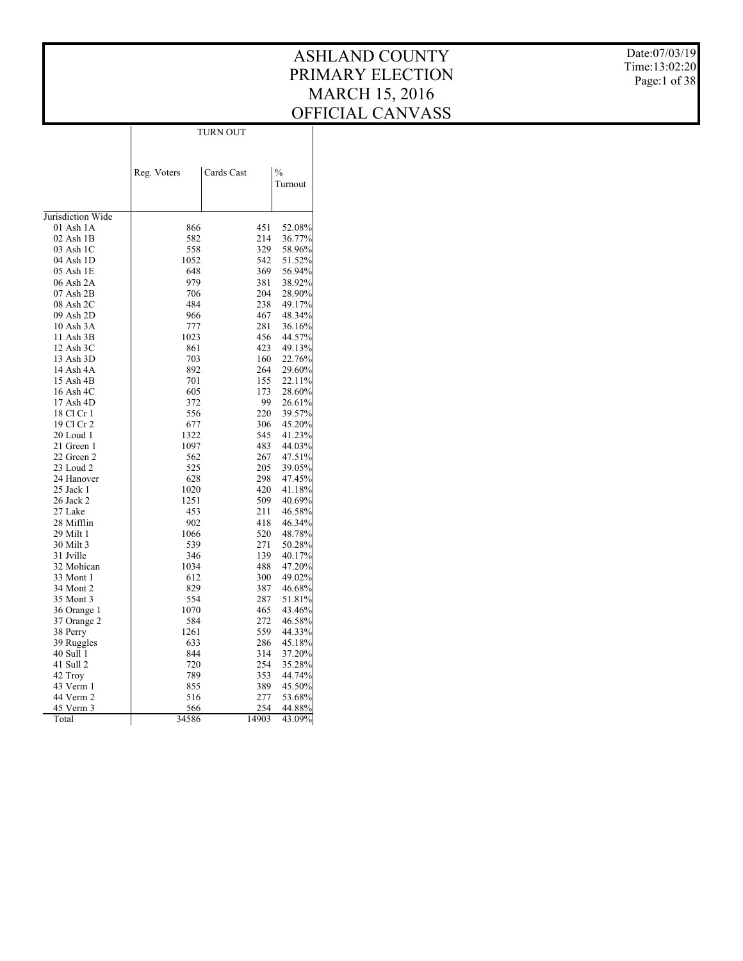Date:07/03/19 Time:13:02:20 Page:1 of 38

|                   |             | TURN OUT   |     |               |
|-------------------|-------------|------------|-----|---------------|
|                   |             |            |     |               |
|                   |             |            |     |               |
|                   |             |            |     | $\frac{0}{0}$ |
|                   | Reg. Voters | Cards Cast |     | Turnout       |
|                   |             |            |     |               |
|                   |             |            |     |               |
| Jurisdiction Wide |             |            |     |               |
| 01 Ash 1A         | 866         |            | 451 | 52.08%        |
| $02$ Ash $1B$     | 582         |            | 214 | 36.77%        |
| 03 Ash 1C         | 558         |            | 329 | 58.96%        |
| 04 Ash 1D         | 1052        |            | 542 | 51.52%        |
| 05 Ash 1E         | 648         |            | 369 | 56.94%        |
| 06 Ash 2A         | 979         |            | 381 | 38.92%        |
| 07 Ash 2B         | 706         |            | 204 | 28.90%        |
| 08 Ash 2C         | 484         |            | 238 | 49.17%        |
| 09 Ash 2D         | 966         |            | 467 | 48.34%        |
| 10 Ash 3A         | 777         |            | 281 | 36.16%        |
| 11 Ash 3B         | 1023        |            | 456 | 44.57%        |
| 12 Ash 3C         | 861         |            | 423 | 49.13%        |
| 13 Ash 3D         | 703         |            | 160 | 22.76%        |
| 14 Ash 4A         | 892         |            | 264 | 29.60%        |
| 15 Ash 4B         | 701         |            | 155 | 22.11%        |
| 16 Ash 4C         | 605         |            | 173 | 28.60%        |
| 17 Ash 4D         | 372         |            | 99  | 26.61%        |
| 18 Cl Cr 1        | 556         |            | 220 | 39.57%        |
| 19 Cl Cr 2        | 677         |            | 306 | 45.20%        |
| 20 Loud 1         | 1322        |            | 545 | 41.23%        |
| 21 Green 1        | 1097        |            | 483 | 44.03%        |
| 22 Green 2        | 562         |            | 267 | 47.51%        |
| 23 Loud 2         | 525         |            | 205 | 39.05%        |
| 24 Hanover        | 628         |            | 298 | 47.45%        |
| 25 Jack 1         | 1020        |            | 420 | 41.18%        |
| 26 Jack 2         | 1251        |            | 509 | 40.69%        |
| 27 Lake           | 453         |            | 211 | 46.58%        |
| 28 Mifflin        | 902         |            | 418 | 46.34%        |
| 29 Milt 1         | 1066        |            | 520 | 48.78%        |
| 30 Milt 3         | 539         |            | 271 | 50.28%        |
| 31 Jville         | 346         |            | 139 | 40.17%        |
| 32 Mohican        | 1034        |            | 488 | 47.20%        |
| 33 Mont 1         | 612         |            | 300 | 49.02%        |
| 34 Mont 2         | 829         |            | 387 | 46.68%        |
| 35 Mont 3         | 554         |            | 287 | 51.81%        |
| 36 Orange 1       | 1070        |            | 465 | 43.46%        |
| 37 Orange 2       | 584         |            | 272 | 46.58%        |
| 38 Perry          | 1261        |            | 559 | 44.33%        |
| 39 Ruggles        | 633         |            | 286 | 45.18%        |
| 40 Sull 1         | 844         |            | 314 | 37.20%        |
| 41 Sull 2         | 720         |            | 254 | 35.28%        |
| 42 Troy           | 789         |            | 353 | 44.74%        |
| 43 Verm 1         | 855         |            | 389 | 45.50%        |
| 44 Verm 2         | 516         |            | 277 | 53.68%        |
|                   | 566         |            | 254 | 44.88%        |
| 45 Verm 3         |             |            |     |               |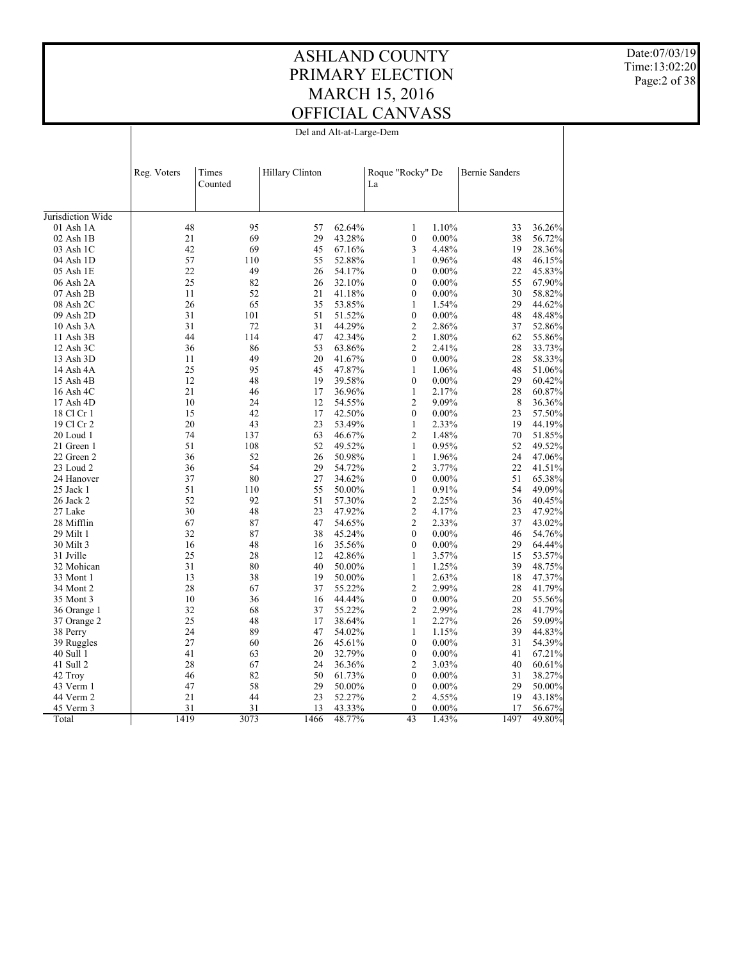Date:07/03/19 Time:13:02:20 Page:2 of 38

| Del and Alt-at-Large-Dem |  |
|--------------------------|--|
|--------------------------|--|

|                   | Reg. Voters | Times<br>Counted | Hillary Clinton |        | Roque "Rocky" De<br>La       | <b>Bernie Sanders</b> |        |
|-------------------|-------------|------------------|-----------------|--------|------------------------------|-----------------------|--------|
| Jurisdiction Wide |             |                  |                 |        |                              |                       |        |
|                   | 48          | 95               | 57              | 62.64% |                              | 33                    |        |
| $01$ Ash $1A$     | 21          | 69               | 29              |        | 1.10%<br>1<br>$\mathbf{0}$   | 38                    | 36.26% |
| $02$ Ash $1B$     |             |                  | 45              | 43.28% | $0.00\%$<br>4.48%            | 19                    | 56.72% |
| 03 Ash 1C         | 42<br>57    | 69               | 55              | 67.16% | 3<br>$\mathbf{1}$<br>0.96%   | 48                    | 28.36% |
| 04 Ash 1D         |             | 110              |                 | 52.88% |                              |                       | 46.15% |
| $05$ Ash $1E$     | 22          | 49               | 26              | 54.17% | $\mathbf{0}$<br>$0.00\%$     | 22                    | 45.83% |
| 06 Ash 2A         | 25          | 82               | 26              | 32.10% | $\mathbf{0}$<br>$0.00\%$     | 55                    | 67.90% |
| $07$ Ash $2B$     | 11          | 52               | 21              | 41.18% | $\mathbf{0}$<br>$0.00\%$     | 30                    | 58.82% |
| 08 Ash 2C         | 26          | 65               | 35              | 53.85% | $\mathbf{1}$<br>1.54%        | 29                    | 44.62% |
| 09 Ash 2D         | 31          | 101              | 51              | 51.52% | $\boldsymbol{0}$<br>$0.00\%$ | 48                    | 48.48% |
| 10 Ash 3A         | 31          | 72               | 31              | 44.29% | $\overline{c}$<br>2.86%      | 37                    | 52.86% |
| 11 Ash 3B         | 44          | 114              | 47              | 42.34% | $\sqrt{2}$<br>1.80%          | 62                    | 55.86% |
| 12 Ash 3C         | 36          | 86               | 53              | 63.86% | $\sqrt{2}$<br>2.41%          | 28                    | 33.73% |
| 13 Ash 3D         | 11          | 49               | 20              | 41.67% | $\mathbf{0}$<br>$0.00\%$     | 28                    | 58.33% |
| 14 Ash 4A         | 25          | 95               | 45              | 47.87% | $\mathbf{1}$<br>1.06%        | 48                    | 51.06% |
| 15 Ash 4B         | 12          | 48               | 19              | 39.58% | $\boldsymbol{0}$<br>$0.00\%$ | 29                    | 60.42% |
| 16 Ash 4C         | 21          | 46               | 17              | 36.96% | $\mathbf{1}$<br>2.17%        | 28                    | 60.87% |
| 17 Ash 4D         | 10          | 24               | 12              | 54.55% | $\overline{2}$<br>9.09%      | 8                     | 36.36% |
| 18 Cl Cr 1        | 15          | 42               | 17              | 42.50% | $\mathbf{0}$<br>$0.00\%$     | 23                    | 57.50% |
| 19 Cl Cr 2        | 20          | 43               | 23              | 53.49% | $\mathbf{1}$<br>2.33%        | 19                    | 44.19% |
| 20 Loud 1         | 74          | 137              | 63              | 46.67% | $\overline{c}$<br>1.48%      | 70                    | 51.85% |
| 21 Green 1        | 51          | 108              | 52              | 49.52% | $\mathbf{1}$<br>0.95%        | 52                    | 49.52% |
| 22 Green 2        | 36          | 52               | 26              | 50.98% | $\mathbf{1}$<br>1.96%        | 24                    | 47.06% |
| 23 Loud 2         | 36          | 54               | 29              | 54.72% | $\overline{c}$<br>3.77%      | 22                    | 41.51% |
| 24 Hanover        | 37          | 80               | 27              | 34.62% | $\mathbf{0}$<br>$0.00\%$     | 51                    | 65.38% |
| 25 Jack 1         | 51          | 110              | 55              | 50.00% | $\mathbf{1}$<br>0.91%        | 54                    | 49.09% |
| 26 Jack 2         | 52          | 92               | 51              | 57.30% | $\sqrt{2}$<br>2.25%          | 36                    | 40.45% |
| 27 Lake           | 30          | 48               | 23              | 47.92% | $\sqrt{2}$<br>4.17%          | 23                    | 47.92% |
| 28 Mifflin        | 67          | 87               | 47              | 54.65% | $\sqrt{2}$<br>2.33%          | 37                    | 43.02% |
| 29 Milt 1         | 32          | 87               | 38              | 45.24% | $\mathbf{0}$<br>$0.00\%$     | 46                    | 54.76% |
| 30 Milt 3         | 16          | 48               | 16              | 35.56% | $\mathbf{0}$<br>$0.00\%$     | 29                    | 64.44% |
| 31 Jville         | 25          | 28               | 12              | 42.86% | 3.57%<br>1                   | 15                    | 53.57% |
| 32 Mohican        | 31          | 80               | 40              | 50.00% | $\mathbf{1}$<br>1.25%        | 39                    | 48.75% |
| 33 Mont 1         | 13          | 38               | 19              | 50.00% | $\mathbf{1}$<br>2.63%        | 18                    | 47.37% |
| 34 Mont 2         | 28          | 67               | 37              | 55.22% | 2.99%<br>$\overline{c}$      | 28                    | 41.79% |
| 35 Mont 3         | 10          | 36               | 16              | 44.44% | $\boldsymbol{0}$<br>$0.00\%$ | 20                    | 55.56% |
| 36 Orange 1       | 32          | 68               | 37              | 55.22% | 2.99%<br>$\overline{c}$      | 28                    | 41.79% |
| 37 Orange 2       | 25          | 48               | 17              | 38.64% | $\mathbf{1}$<br>2.27%        | 26                    | 59.09% |
| 38 Perry          | 24          | 89               | 47              | 54.02% | $\mathbf{1}$<br>1.15%        | 39                    | 44.83% |
| 39 Ruggles        | 27          | 60               | 26              | 45.61% | $\mathbf{0}$<br>$0.00\%$     | 31                    | 54.39% |
| 40 Sull 1         | 41          | 63               | 20              | 32.79% | $\boldsymbol{0}$<br>$0.00\%$ | 41                    | 67.21% |
| 41 Sull 2         | 28          | 67               | 24              | 36.36% | $\overline{c}$<br>3.03%      | 40                    | 60.61% |
| 42 Troy           | 46          | 82               | 50              | 61.73% | $0.00\%$<br>$\boldsymbol{0}$ | 31                    | 38.27% |
| 43 Verm 1         | 47          | 58               | 29              | 50.00% | $\boldsymbol{0}$<br>$0.00\%$ | 29                    | 50.00% |
| 44 Verm 2         | 21          | 44               | 23              | 52.27% | $\overline{c}$<br>4.55%      | 19                    | 43.18% |
| 45 Verm 3         | 31          | 31               | 13              | 43.33% | $\mathbf{0}$<br>$0.00\%$     | 17                    | 56.67% |
| Total             | 1419        | 3073             | 1466            | 48.77% | 43<br>1.43%                  | 1497                  | 49.80% |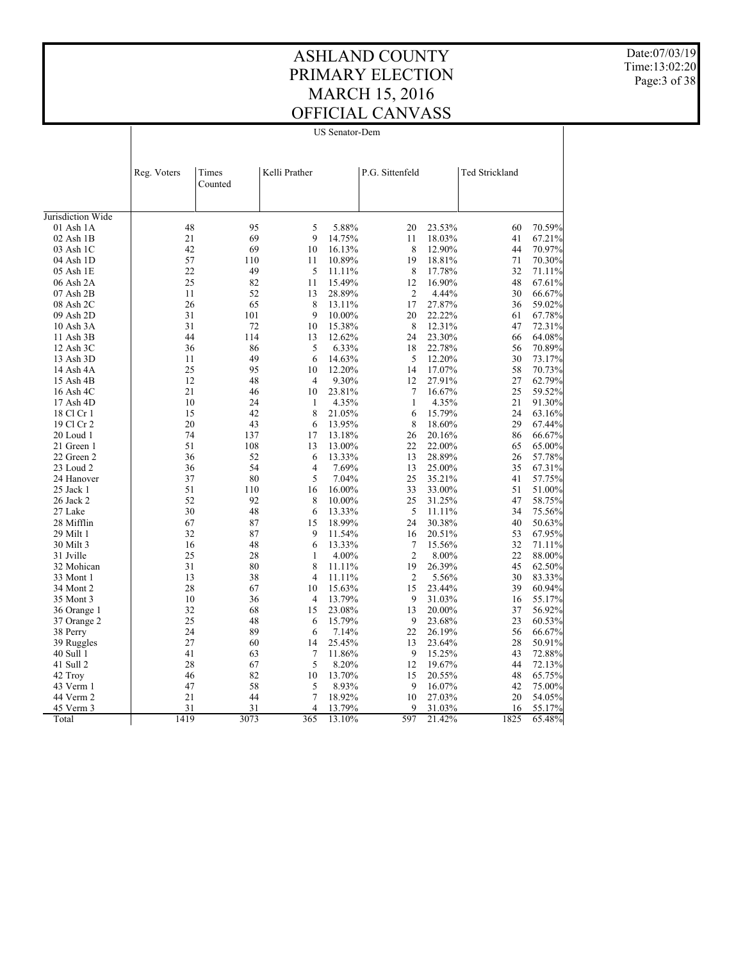Date:07/03/19 Time:13:02:20 Page:3 of 38

US Senator-Dem

|                   | Reg. Voters | Times<br>Counted | Kelli Prather  |        | P.G. Sittenfeld |        | <b>Ted Strickland</b> |        |
|-------------------|-------------|------------------|----------------|--------|-----------------|--------|-----------------------|--------|
| Jurisdiction Wide |             |                  |                |        |                 |        |                       |        |
| $01$ Ash $1A$     | 48          | 95               | 5              | 5.88%  | 20              | 23.53% | 60                    | 70.59% |
| $02$ Ash $1B$     | 21          | 69               | 9              | 14.75% | 11              | 18.03% | 41                    | 67.21% |
| 03 Ash 1C         | 42          | 69               | 10             | 16.13% | 8               | 12.90% | 44                    | 70.97% |
| 04 Ash 1D         | 57          | 110              | 11             | 10.89% | 19              | 18.81% | 71                    | 70.30% |
| 05 Ash 1E         | 22          | 49               | 5              | 11.11% | 8               | 17.78% | 32                    | 71.11% |
| 06 Ash 2A         | 25          | 82               | 11             | 15.49% | 12              | 16.90% | 48                    | 67.61% |
| 07 Ash 2B         | 11          | 52               | 13             | 28.89% | $\overline{2}$  | 4.44%  | 30                    | 66.67% |
| 08 Ash 2C         | 26          | 65               | 8              | 13.11% | 17              | 27.87% | 36                    | 59.02% |
| 09 Ash 2D         | 31          | 101              | 9              | 10.00% | 20              | 22.22% | 61                    | 67.78% |
| 10 Ash 3A         | 31          | 72               | 10             | 15.38% | 8               | 12.31% | 47                    | 72.31% |
| $11$ Ash $3B$     | 44          | 114              | 13             | 12.62% | 24              | 23.30% | 66                    | 64.08% |
| $12$ Ash $3C$     | 36          | 86               | 5              | 6.33%  | 18              | 22.78% | 56                    | 70.89% |
| 13 Ash 3D         | 11          | 49               | 6              | 14.63% | 5               | 12.20% | 30                    | 73.17% |
| 14 Ash 4A         | 25          | 95               | 10             | 12.20% | 14              | 17.07% | 58                    | 70.73% |
| 15 Ash 4B         | 12          | 48               | 4              | 9.30%  | 12              | 27.91% | 27                    | 62.79% |
| 16 Ash 4C         | 21          | 46               | 10             | 23.81% | $\tau$          | 16.67% | 25                    | 59.52% |
| 17 Ash 4D         | 10          | 24               | 1              | 4.35%  | $\mathbf{1}$    | 4.35%  | 21                    | 91.30% |
| 18 Cl Cr 1        | 15          | 42               | 8              | 21.05% | 6               | 15.79% | 24                    | 63.16% |
| 19 Cl Cr 2        | 20          | 43               | 6              | 13.95% | 8               | 18.60% | 29                    | 67.44% |
| 20 Loud 1         | 74          | 137              | 17             | 13.18% | 26              | 20.16% | 86                    | 66.67% |
| 21 Green 1        | 51          | 108              | 13             | 13.00% | 22              | 22.00% | 65                    | 65.00% |
| 22 Green 2        | 36          | 52               | 6              | 13.33% | 13              | 28.89% | 26                    | 57.78% |
| 23 Loud 2         | 36          | 54               | 4              | 7.69%  | 13              | 25.00% | 35                    | 67.31% |
| 24 Hanover        | 37          | 80               | 5              | 7.04%  | 25              | 35.21% | 41                    | 57.75% |
| 25 Jack 1         | 51          | 110              | 16             | 16.00% | 33              | 33.00% | 51                    | 51.00% |
| 26 Jack 2         | 52          | 92               | 8              | 10.00% | 25              | 31.25% | 47                    | 58.75% |
| 27 Lake           | 30          | 48               | 6              | 13.33% | 5               | 11.11% | 34                    | 75.56% |
| 28 Mifflin        | 67          | 87               | 15             | 18.99% | 24              | 30.38% | 40                    | 50.63% |
| 29 Milt 1         | 32          | 87               | 9              | 11.54% | 16              | 20.51% | 53                    | 67.95% |
| 30 Milt 3         | 16          | 48               | 6              | 13.33% | $\overline{7}$  | 15.56% | 32                    | 71.11% |
| 31 Jville         | 25          | 28               | 1              | 4.00%  | $\overline{2}$  | 8.00%  | 22                    | 88.00% |
| 32 Mohican        | 31          | 80               | 8              | 11.11% | 19              | 26.39% | 45                    | 62.50% |
| 33 Mont 1         | 13          | 38               | $\overline{4}$ | 11.11% | $\overline{c}$  | 5.56%  | 30                    | 83.33% |
| 34 Mont 2         | 28          | 67               | 10             | 15.63% | 15              | 23.44% | 39                    | 60.94% |
| 35 Mont 3         | 10          | 36               | $\overline{4}$ | 13.79% | 9               | 31.03% | 16                    | 55.17% |
| 36 Orange 1       | 32          | 68               | 15             | 23.08% | 13              | 20.00% | 37                    | 56.92% |
| 37 Orange 2       | 25          | 48               | 6              | 15.79% | 9               | 23.68% | 23                    | 60.53% |
| 38 Perry          | 24          | 89               | 6              | 7.14%  | 22              | 26.19% | 56                    | 66.67% |
| 39 Ruggles        | 27          | 60               | 14             | 25.45% | 13              | 23.64% | 28                    | 50.91% |
| 40 Sull 1         | 41          | 63               | 7              | 11.86% | 9               | 15.25% | 43                    | 72.88% |
| 41 Sull 2         | 28          | 67               | 5              | 8.20%  | 12              | 19.67% | 44                    | 72.13% |
| 42 Troy           | 46          | 82               | 10             | 13.70% | 15              | 20.55% | 48                    | 65.75% |
| 43 Verm 1         | 47          | 58               | 5              | 8.93%  | 9               | 16.07% | 42                    | 75.00% |
| 44 Verm 2         | 21          | 44               | $\overline{7}$ | 18.92% | 10              | 27.03% | 20                    | 54.05% |
| 45 Verm 3         | 31          | 31               | 4              | 13.79% | 9               | 31.03% | 16                    | 55.17% |
| Total             | 1419        | 3073             | 365            | 13.10% | 597             | 21.42% | 1825                  | 65.48% |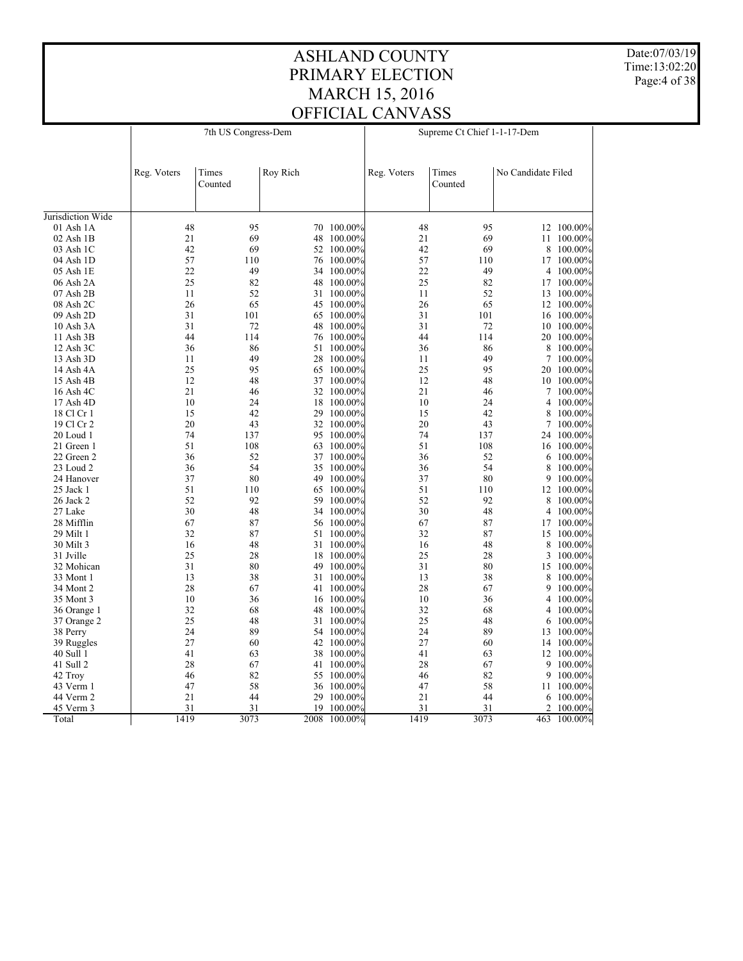Date:07/03/19 Time:13:02:20 Page:4 of 38

|                   | 7th US Congress-Dem |                  |          |                    | Supreme Ct Chief 1-1-17-Dem |                  |                    |                    |
|-------------------|---------------------|------------------|----------|--------------------|-----------------------------|------------------|--------------------|--------------------|
|                   | Reg. Voters         | Times<br>Counted | Roy Rich |                    | Reg. Voters                 | Times<br>Counted | No Candidate Filed |                    |
| Jurisdiction Wide |                     |                  |          |                    |                             |                  |                    |                    |
| $01$ Ash $1A$     | 48                  | 95               | 70       | 100.00%            | 48                          | 95               |                    | 12 100.00%         |
| 02 Ash 1B         | 21                  | 69               | 48       | 100.00%            | 21                          | 69               |                    | 11 100.00%         |
| 03 Ash 1C         | 42                  | 69               | 52       | 100.00%            | 42                          | 69               | 8                  | 100.00%            |
| 04 Ash 1D         | 57                  | 110              |          | 76 100.00%         | 57                          | 110              |                    | 17 100.00%         |
| 05 Ash 1E         | 22                  | 49               | 34       | $100.00\%$         | 22                          | 49               | 4                  | 100.00%            |
| 06 Ash 2A         | 25                  | 82               | 48       | 100.00%            | 25                          | 82               |                    | 17 100.00%         |
| 07 Ash 2B         | 11                  | 52               |          | 31 100.00%         | 11                          | 52               |                    | 13 100.00%         |
| 08 Ash 2C         | 26                  | 65               | 45       | $100.00\%$         | 26                          | 65               | 12                 | 100.00%            |
| 09 Ash 2D         | 31                  | 101              | 65       | 100.00%            | 31                          | 101              | 16                 | 100.00%            |
| 10 Ash 3A         | 31                  | 72               |          | 48 100.00%         | 31                          | 72               |                    | 10 100.00%         |
| 11 Ash 3B         | 44                  | 114              | 76       | 100.00%            | 44                          | 114              |                    | 20 100.00%         |
| 12 Ash 3C         | 36                  | 86               | 51       | 100.00%            | 36                          | 86               | 8                  | 100.00%            |
| 13 Ash 3D         | 11                  | 49               | 28       | 100.00%            | 11                          | 49               | 7                  | 100.00%            |
| 14 Ash 4A         | 25                  | 95               | 65       | 100.00%            | 25                          | 95               |                    | 20 100.00%         |
| 15 Ash 4B         | 12                  | 48               |          | 37 100.00%         | 12                          | 48               |                    | 10 100.00%         |
| 16 Ash 4C         | 21                  | 46               |          | 32 100.00%         | 21                          | 46               | 7                  | 100.00%            |
| 17 Ash 4D         | 10                  | 24               | 18       | 100.00%            | 10                          | 24               | 4                  | 100.00%            |
| 18 Cl Cr 1        | 15                  | 42               |          | 29 100.00%         | 15                          | 42               | 8                  | 100.00%            |
| 19 Cl Cr 2        | 20                  | 43               | 32       | 100.00%            | 20                          | 43               | 7                  | 100.00%            |
| 20 Loud 1         | 74                  | 137              | 95       | $100.00\%$         | 74                          | 137              |                    | 24 100.00%         |
| 21 Green 1        | 51                  | 108              |          | 63 100.00%         | 51                          | 108              |                    | 16 100.00%         |
| 22 Green 2        | 36                  | 52               |          | 37 100.00%         | 36                          | 52               | 6                  | 100.00%            |
| 23 Loud 2         | 36                  | 54               | 35       | $100.00\%$         | 36                          | 54               | 8                  | 100.00%            |
| 24 Hanover        | 37                  | 80               | 49       | 100.00%            | 37                          | 80               | 9                  | 100.00%            |
| 25 Jack 1         | 51                  | 110              | 65       | 100.00%            | 51                          | 110              |                    | 12 100.00%         |
| 26 Jack 2         | 52                  | 92               | 59       | 100.00%            | 52                          | 92               | 8                  |                    |
| 27 Lake           | 30                  | 48               | 34       | 100.00%            | 30                          | 48               | 4                  | 100.00%<br>100.00% |
| 28 Mifflin        | 67                  | 87               | 56       | 100.00%            | 67                          | 87               |                    | 17 100.00%         |
|                   | 32                  | 87               |          | 51 100.00%         | 32                          | 87               |                    |                    |
| 29 Milt 1         | 16                  | 48               | 31       |                    |                             | 48               | 15                 | 100.00%            |
| 30 Milt 3         | 25                  |                  |          | 100.00%<br>100.00% | 16                          |                  | 8                  | 100.00%            |
| 31 Jville         |                     | 28               | 18       |                    | 25                          | 28               | 3                  | 100.00%            |
| 32 Mohican        | 31                  | 80               |          | 49 100.00%         | 31                          | 80               |                    | 15 100.00%         |
| 33 Mont 1         | 13                  | 38               | 31       | 100.00%            | 13                          | 38               | 8                  | 100.00%            |
| 34 Mont 2         | 28                  | 67               | 41       | 100.00%            | 28                          | 67               | 9                  | 100.00%            |
| 35 Mont 3         | 10                  | 36               |          | 16 100.00%         | 10                          | 36               |                    | 4 100.00%          |
| 36 Orange 1       | 32                  | 68               | 48       | $100.00\%$         | 32                          | 68               | $\overline{4}$     | 100.00%            |
| 37 Orange 2       | 25                  | 48               | 31       | 100.00%            | 25                          | 48               | 6                  | 100.00%            |
| 38 Perry          | 24                  | 89               |          | 54 100.00%         | 24                          | 89               |                    | 13 100.00%         |
| 39 Ruggles        | 27                  | 60               | 42       | 100.00%            | 27                          | 60               |                    | 14 100.00%         |
| 40 Sull 1         | 41                  | 63               | 38       | $100.00\%$         | 41                          | 63               |                    | 12 100.00%         |
| 41 Sull 2         | 28                  | 67               | 41       | 100.00%            | 28                          | 67               | 9                  | 100.00%            |
| 42 Troy           | 46                  | 82               | 55       | 100.00%            | 46                          | 82               | 9                  | 100.00%            |
| 43 Verm 1         | 47                  | 58               |          | 36 100.00%         | 47                          | 58               |                    | 11 100.00%         |
| 44 Verm 2         | 21                  | 44               | 29       | 100.00%            | 21                          | 44               | 6                  | 100.00%            |
| 45 Verm 3         | 31                  | 31               | 19       | 100.00%            | 31                          | 31               | $\overline{2}$     | 100.00%            |
| Total             | 1419                | 3073             | 2008     | $100.00\%$         | 1419                        | 3073             | 463                | 100.00%            |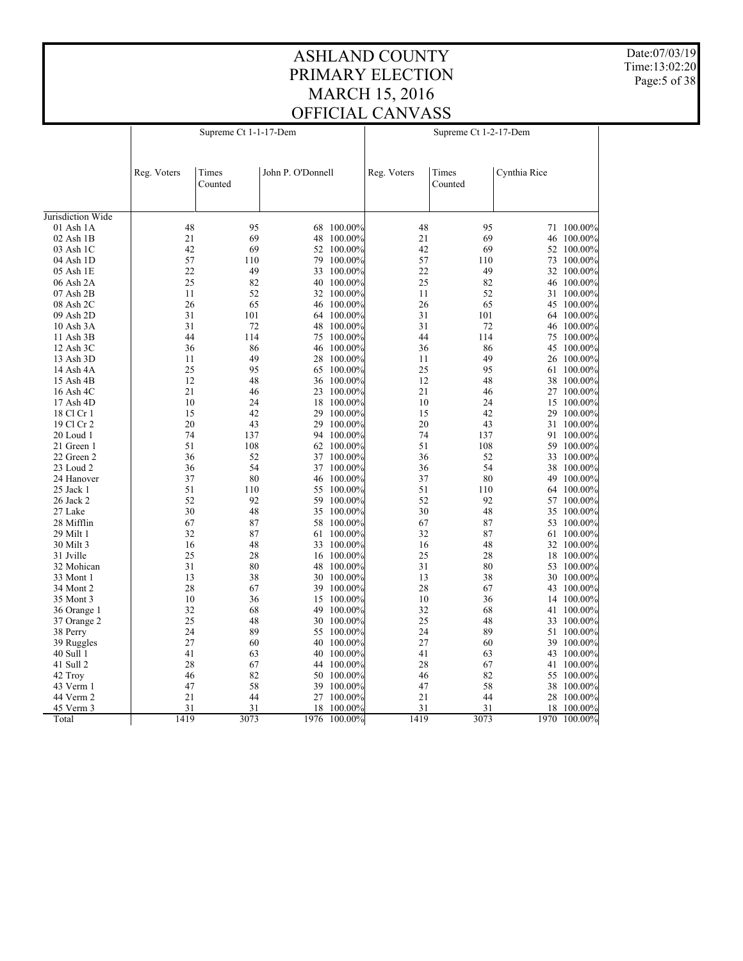Date:07/03/19 Time:13:02:20 Page:5 of 38

| Times<br>John P. O'Donnell<br>Times<br>Cynthia Rice<br>Reg. Voters<br>Reg. Voters<br>Counted<br>Counted<br>Jurisdiction Wide<br>48<br>95<br>68 100.00%<br>48<br>95<br>01 Ash 1A<br>71 100.00%<br>21<br>69<br>48 100.00%<br>21<br>69<br>$02$ Ash $1B$<br>46 100.00%<br>42<br>69<br>52 100.00%<br>42<br>69<br>03 Ash 1C<br>52<br>$100.00\%$<br>57<br>57<br>110<br>79 100.00%<br>110<br>73 100.00%<br>04 Ash 1D<br>49<br>05 Ash 1E<br>22<br>49<br>33 100.00%<br>22<br>32 100.00%<br>25<br>82<br>100.00%<br>25<br>82<br>06 Ash 2A<br>40<br>100.00%<br>46<br>11<br>$07$ Ash $2B$<br>52<br>32 100.00%<br>11<br>52<br>31 100.00%<br>26<br>65<br>100.00%<br>26<br>65<br>08 Ash 2C<br>46<br>45 100.00%<br>31<br>09 Ash 2D<br>101<br>64 100.00%<br>31<br>101<br>64 100.00%<br>31<br>10 Ash 3A<br>72<br>48 100.00%<br>31<br>72<br>46 100.00%<br>44<br>44<br>114<br>75<br>$100.00\%$<br>114<br>$100.00\%$<br>11 Ash 3B<br>75<br>36<br>86<br>46 100.00%<br>36<br>86<br>45 100.00%<br>12 Ash 3C<br>49<br>49<br>13 Ash 3D<br>11<br>28 100.00%<br>11<br>26 100.00%<br>25<br>95<br>65 100.00%<br>25<br>95<br>61 100.00%<br>14 Ash 4A<br>12<br>12<br>48<br>48<br>15 Ash 4B<br>36 100.00%<br>38 100.00%<br>21<br>21<br>16 Ash 4C<br>46<br>23 100.00%<br>46<br>27 100.00%<br>17 Ash 4D<br>10<br>24<br>100.00%<br>10<br>24<br>100.00%<br>18<br>15<br>15<br>42<br>29 100.00%<br>15<br>42<br>29 100.00%<br>18 Cl Cr 1<br>20<br>43<br>20<br>43<br>19 Cl Cr 2<br>29<br>100.00%<br>31 100.00%<br>74<br>137<br>74<br>20 Loud 1<br>94 100.00%<br>137<br>$100.00\%$<br>91<br>51<br>108<br>62 100.00%<br>51<br>108<br>21 Green 1<br>59 100.00%<br>52<br>52<br>22 Green 2<br>36<br>37 100.00%<br>36<br>100.00%<br>33<br>54<br>54<br>23 Loud 2<br>36<br>37 100.00%<br>36<br>38 100.00%<br>37<br>80<br>46 100.00%<br>37<br>80<br>24 Hanover<br>49 100.00%<br>51<br>110<br>51<br>110<br>25 Jack 1<br>55<br>$100.00\%$<br>$100.00\%$<br>64<br>52<br>92<br>52<br>92<br>26 Jack 2<br>59<br>100.00%<br>57 100.00%<br>30<br>48<br>30<br>48<br>27 Lake<br>35 100.00%<br>35 100.00%<br>67<br>87<br>67<br>87<br>28 Mifflin<br>58<br>$100.00\%$<br>53 100.00%<br>32<br>87<br>32<br>87<br>$29$ Milt 1<br>61 100.00%<br>61 100.00%<br>30 Milt 3<br>16<br>48<br>33 100.00%<br>16<br>48<br>32 100.00%<br>25<br>28<br>25<br>28<br>31 Jville<br>16 100.00%<br>18<br>100.00%<br>31<br>31<br>32 Mohican<br>80<br>48 100.00%<br>80<br>53 100.00%<br>13<br>38<br>100.00%<br>13<br>38<br>33 Mont 1<br>30<br>30<br>$100.00\%$<br>28<br>67<br>100.00%<br>28<br>67<br>34 Mont 2<br>39<br>43 100.00%<br>10<br>36<br>15 100.00%<br>10<br>36<br>14 100.00%<br>35 Mont 3<br>32<br>68<br>49<br>100.00%<br>32<br>68<br>36 Orange 1<br>41<br>$100.00\%$<br>25<br>48<br>30 100.00%<br>25<br>48<br>37 Orange 2<br>33 100.00%<br>89<br>89<br>24<br>55 100.00%<br>24<br>38 Perry<br>51 100.00%<br>27<br>60<br>40 100.00%<br>27<br>60<br>39 100.00%<br>39 Ruggles<br>41<br>41<br>63<br>40 100.00%<br>63<br>43 100.00%<br>40 Sull 1<br>67<br>67<br>41 Sull 2<br>28<br>44 100.00%<br>28<br>41 100.00%<br>82<br>100.00%<br>82<br>42 Troy<br>46<br>50<br>46<br>100.00%<br>55<br>47<br>58<br>39 100.00%<br>58<br>43 Verm 1<br>47<br>38 100.00%<br>21<br>44<br>21<br>44<br>44 Verm 2<br>27 100.00%<br>28 100.00%<br>31<br>31<br>31<br>31<br>45 Verm 3<br>18<br>$100.00\%$<br>18<br>$100.00\%$<br>1970 100.00% |       | Supreme Ct 1-1-17-Dem |      |      |            | Supreme Ct 1-2-17-Dem |      |  |  |  |
|------------------------------------------------------------------------------------------------------------------------------------------------------------------------------------------------------------------------------------------------------------------------------------------------------------------------------------------------------------------------------------------------------------------------------------------------------------------------------------------------------------------------------------------------------------------------------------------------------------------------------------------------------------------------------------------------------------------------------------------------------------------------------------------------------------------------------------------------------------------------------------------------------------------------------------------------------------------------------------------------------------------------------------------------------------------------------------------------------------------------------------------------------------------------------------------------------------------------------------------------------------------------------------------------------------------------------------------------------------------------------------------------------------------------------------------------------------------------------------------------------------------------------------------------------------------------------------------------------------------------------------------------------------------------------------------------------------------------------------------------------------------------------------------------------------------------------------------------------------------------------------------------------------------------------------------------------------------------------------------------------------------------------------------------------------------------------------------------------------------------------------------------------------------------------------------------------------------------------------------------------------------------------------------------------------------------------------------------------------------------------------------------------------------------------------------------------------------------------------------------------------------------------------------------------------------------------------------------------------------------------------------------------------------------------------------------------------------------------------------------------------------------------------------------------------------------------------------------------------------------------------------------------------------------------------------------------------------------------------------------------------------------------------------------------------------------------------------------------------------------------------------------------------------------------------------------------------------------------------------------------------------------------------------------------------------------------------|-------|-----------------------|------|------|------------|-----------------------|------|--|--|--|
|                                                                                                                                                                                                                                                                                                                                                                                                                                                                                                                                                                                                                                                                                                                                                                                                                                                                                                                                                                                                                                                                                                                                                                                                                                                                                                                                                                                                                                                                                                                                                                                                                                                                                                                                                                                                                                                                                                                                                                                                                                                                                                                                                                                                                                                                                                                                                                                                                                                                                                                                                                                                                                                                                                                                                                                                                                                                                                                                                                                                                                                                                                                                                                                                                                                                                                                                    |       |                       |      |      |            |                       |      |  |  |  |
|                                                                                                                                                                                                                                                                                                                                                                                                                                                                                                                                                                                                                                                                                                                                                                                                                                                                                                                                                                                                                                                                                                                                                                                                                                                                                                                                                                                                                                                                                                                                                                                                                                                                                                                                                                                                                                                                                                                                                                                                                                                                                                                                                                                                                                                                                                                                                                                                                                                                                                                                                                                                                                                                                                                                                                                                                                                                                                                                                                                                                                                                                                                                                                                                                                                                                                                                    |       |                       |      |      |            |                       |      |  |  |  |
|                                                                                                                                                                                                                                                                                                                                                                                                                                                                                                                                                                                                                                                                                                                                                                                                                                                                                                                                                                                                                                                                                                                                                                                                                                                                                                                                                                                                                                                                                                                                                                                                                                                                                                                                                                                                                                                                                                                                                                                                                                                                                                                                                                                                                                                                                                                                                                                                                                                                                                                                                                                                                                                                                                                                                                                                                                                                                                                                                                                                                                                                                                                                                                                                                                                                                                                                    |       |                       |      |      |            |                       |      |  |  |  |
|                                                                                                                                                                                                                                                                                                                                                                                                                                                                                                                                                                                                                                                                                                                                                                                                                                                                                                                                                                                                                                                                                                                                                                                                                                                                                                                                                                                                                                                                                                                                                                                                                                                                                                                                                                                                                                                                                                                                                                                                                                                                                                                                                                                                                                                                                                                                                                                                                                                                                                                                                                                                                                                                                                                                                                                                                                                                                                                                                                                                                                                                                                                                                                                                                                                                                                                                    |       |                       |      |      |            |                       |      |  |  |  |
|                                                                                                                                                                                                                                                                                                                                                                                                                                                                                                                                                                                                                                                                                                                                                                                                                                                                                                                                                                                                                                                                                                                                                                                                                                                                                                                                                                                                                                                                                                                                                                                                                                                                                                                                                                                                                                                                                                                                                                                                                                                                                                                                                                                                                                                                                                                                                                                                                                                                                                                                                                                                                                                                                                                                                                                                                                                                                                                                                                                                                                                                                                                                                                                                                                                                                                                                    |       |                       |      |      |            |                       |      |  |  |  |
|                                                                                                                                                                                                                                                                                                                                                                                                                                                                                                                                                                                                                                                                                                                                                                                                                                                                                                                                                                                                                                                                                                                                                                                                                                                                                                                                                                                                                                                                                                                                                                                                                                                                                                                                                                                                                                                                                                                                                                                                                                                                                                                                                                                                                                                                                                                                                                                                                                                                                                                                                                                                                                                                                                                                                                                                                                                                                                                                                                                                                                                                                                                                                                                                                                                                                                                                    |       |                       |      |      |            |                       |      |  |  |  |
|                                                                                                                                                                                                                                                                                                                                                                                                                                                                                                                                                                                                                                                                                                                                                                                                                                                                                                                                                                                                                                                                                                                                                                                                                                                                                                                                                                                                                                                                                                                                                                                                                                                                                                                                                                                                                                                                                                                                                                                                                                                                                                                                                                                                                                                                                                                                                                                                                                                                                                                                                                                                                                                                                                                                                                                                                                                                                                                                                                                                                                                                                                                                                                                                                                                                                                                                    |       |                       |      |      |            |                       |      |  |  |  |
|                                                                                                                                                                                                                                                                                                                                                                                                                                                                                                                                                                                                                                                                                                                                                                                                                                                                                                                                                                                                                                                                                                                                                                                                                                                                                                                                                                                                                                                                                                                                                                                                                                                                                                                                                                                                                                                                                                                                                                                                                                                                                                                                                                                                                                                                                                                                                                                                                                                                                                                                                                                                                                                                                                                                                                                                                                                                                                                                                                                                                                                                                                                                                                                                                                                                                                                                    |       |                       |      |      |            |                       |      |  |  |  |
|                                                                                                                                                                                                                                                                                                                                                                                                                                                                                                                                                                                                                                                                                                                                                                                                                                                                                                                                                                                                                                                                                                                                                                                                                                                                                                                                                                                                                                                                                                                                                                                                                                                                                                                                                                                                                                                                                                                                                                                                                                                                                                                                                                                                                                                                                                                                                                                                                                                                                                                                                                                                                                                                                                                                                                                                                                                                                                                                                                                                                                                                                                                                                                                                                                                                                                                                    |       |                       |      |      |            |                       |      |  |  |  |
|                                                                                                                                                                                                                                                                                                                                                                                                                                                                                                                                                                                                                                                                                                                                                                                                                                                                                                                                                                                                                                                                                                                                                                                                                                                                                                                                                                                                                                                                                                                                                                                                                                                                                                                                                                                                                                                                                                                                                                                                                                                                                                                                                                                                                                                                                                                                                                                                                                                                                                                                                                                                                                                                                                                                                                                                                                                                                                                                                                                                                                                                                                                                                                                                                                                                                                                                    |       |                       |      |      |            |                       |      |  |  |  |
|                                                                                                                                                                                                                                                                                                                                                                                                                                                                                                                                                                                                                                                                                                                                                                                                                                                                                                                                                                                                                                                                                                                                                                                                                                                                                                                                                                                                                                                                                                                                                                                                                                                                                                                                                                                                                                                                                                                                                                                                                                                                                                                                                                                                                                                                                                                                                                                                                                                                                                                                                                                                                                                                                                                                                                                                                                                                                                                                                                                                                                                                                                                                                                                                                                                                                                                                    |       |                       |      |      |            |                       |      |  |  |  |
|                                                                                                                                                                                                                                                                                                                                                                                                                                                                                                                                                                                                                                                                                                                                                                                                                                                                                                                                                                                                                                                                                                                                                                                                                                                                                                                                                                                                                                                                                                                                                                                                                                                                                                                                                                                                                                                                                                                                                                                                                                                                                                                                                                                                                                                                                                                                                                                                                                                                                                                                                                                                                                                                                                                                                                                                                                                                                                                                                                                                                                                                                                                                                                                                                                                                                                                                    |       |                       |      |      |            |                       |      |  |  |  |
|                                                                                                                                                                                                                                                                                                                                                                                                                                                                                                                                                                                                                                                                                                                                                                                                                                                                                                                                                                                                                                                                                                                                                                                                                                                                                                                                                                                                                                                                                                                                                                                                                                                                                                                                                                                                                                                                                                                                                                                                                                                                                                                                                                                                                                                                                                                                                                                                                                                                                                                                                                                                                                                                                                                                                                                                                                                                                                                                                                                                                                                                                                                                                                                                                                                                                                                                    |       |                       |      |      |            |                       |      |  |  |  |
|                                                                                                                                                                                                                                                                                                                                                                                                                                                                                                                                                                                                                                                                                                                                                                                                                                                                                                                                                                                                                                                                                                                                                                                                                                                                                                                                                                                                                                                                                                                                                                                                                                                                                                                                                                                                                                                                                                                                                                                                                                                                                                                                                                                                                                                                                                                                                                                                                                                                                                                                                                                                                                                                                                                                                                                                                                                                                                                                                                                                                                                                                                                                                                                                                                                                                                                                    |       |                       |      |      |            |                       |      |  |  |  |
|                                                                                                                                                                                                                                                                                                                                                                                                                                                                                                                                                                                                                                                                                                                                                                                                                                                                                                                                                                                                                                                                                                                                                                                                                                                                                                                                                                                                                                                                                                                                                                                                                                                                                                                                                                                                                                                                                                                                                                                                                                                                                                                                                                                                                                                                                                                                                                                                                                                                                                                                                                                                                                                                                                                                                                                                                                                                                                                                                                                                                                                                                                                                                                                                                                                                                                                                    |       |                       |      |      |            |                       |      |  |  |  |
|                                                                                                                                                                                                                                                                                                                                                                                                                                                                                                                                                                                                                                                                                                                                                                                                                                                                                                                                                                                                                                                                                                                                                                                                                                                                                                                                                                                                                                                                                                                                                                                                                                                                                                                                                                                                                                                                                                                                                                                                                                                                                                                                                                                                                                                                                                                                                                                                                                                                                                                                                                                                                                                                                                                                                                                                                                                                                                                                                                                                                                                                                                                                                                                                                                                                                                                                    |       |                       |      |      |            |                       |      |  |  |  |
|                                                                                                                                                                                                                                                                                                                                                                                                                                                                                                                                                                                                                                                                                                                                                                                                                                                                                                                                                                                                                                                                                                                                                                                                                                                                                                                                                                                                                                                                                                                                                                                                                                                                                                                                                                                                                                                                                                                                                                                                                                                                                                                                                                                                                                                                                                                                                                                                                                                                                                                                                                                                                                                                                                                                                                                                                                                                                                                                                                                                                                                                                                                                                                                                                                                                                                                                    |       |                       |      |      |            |                       |      |  |  |  |
|                                                                                                                                                                                                                                                                                                                                                                                                                                                                                                                                                                                                                                                                                                                                                                                                                                                                                                                                                                                                                                                                                                                                                                                                                                                                                                                                                                                                                                                                                                                                                                                                                                                                                                                                                                                                                                                                                                                                                                                                                                                                                                                                                                                                                                                                                                                                                                                                                                                                                                                                                                                                                                                                                                                                                                                                                                                                                                                                                                                                                                                                                                                                                                                                                                                                                                                                    |       |                       |      |      |            |                       |      |  |  |  |
|                                                                                                                                                                                                                                                                                                                                                                                                                                                                                                                                                                                                                                                                                                                                                                                                                                                                                                                                                                                                                                                                                                                                                                                                                                                                                                                                                                                                                                                                                                                                                                                                                                                                                                                                                                                                                                                                                                                                                                                                                                                                                                                                                                                                                                                                                                                                                                                                                                                                                                                                                                                                                                                                                                                                                                                                                                                                                                                                                                                                                                                                                                                                                                                                                                                                                                                                    |       |                       |      |      |            |                       |      |  |  |  |
|                                                                                                                                                                                                                                                                                                                                                                                                                                                                                                                                                                                                                                                                                                                                                                                                                                                                                                                                                                                                                                                                                                                                                                                                                                                                                                                                                                                                                                                                                                                                                                                                                                                                                                                                                                                                                                                                                                                                                                                                                                                                                                                                                                                                                                                                                                                                                                                                                                                                                                                                                                                                                                                                                                                                                                                                                                                                                                                                                                                                                                                                                                                                                                                                                                                                                                                                    |       |                       |      |      |            |                       |      |  |  |  |
|                                                                                                                                                                                                                                                                                                                                                                                                                                                                                                                                                                                                                                                                                                                                                                                                                                                                                                                                                                                                                                                                                                                                                                                                                                                                                                                                                                                                                                                                                                                                                                                                                                                                                                                                                                                                                                                                                                                                                                                                                                                                                                                                                                                                                                                                                                                                                                                                                                                                                                                                                                                                                                                                                                                                                                                                                                                                                                                                                                                                                                                                                                                                                                                                                                                                                                                                    |       |                       |      |      |            |                       |      |  |  |  |
|                                                                                                                                                                                                                                                                                                                                                                                                                                                                                                                                                                                                                                                                                                                                                                                                                                                                                                                                                                                                                                                                                                                                                                                                                                                                                                                                                                                                                                                                                                                                                                                                                                                                                                                                                                                                                                                                                                                                                                                                                                                                                                                                                                                                                                                                                                                                                                                                                                                                                                                                                                                                                                                                                                                                                                                                                                                                                                                                                                                                                                                                                                                                                                                                                                                                                                                                    |       |                       |      |      |            |                       |      |  |  |  |
|                                                                                                                                                                                                                                                                                                                                                                                                                                                                                                                                                                                                                                                                                                                                                                                                                                                                                                                                                                                                                                                                                                                                                                                                                                                                                                                                                                                                                                                                                                                                                                                                                                                                                                                                                                                                                                                                                                                                                                                                                                                                                                                                                                                                                                                                                                                                                                                                                                                                                                                                                                                                                                                                                                                                                                                                                                                                                                                                                                                                                                                                                                                                                                                                                                                                                                                                    |       |                       |      |      |            |                       |      |  |  |  |
|                                                                                                                                                                                                                                                                                                                                                                                                                                                                                                                                                                                                                                                                                                                                                                                                                                                                                                                                                                                                                                                                                                                                                                                                                                                                                                                                                                                                                                                                                                                                                                                                                                                                                                                                                                                                                                                                                                                                                                                                                                                                                                                                                                                                                                                                                                                                                                                                                                                                                                                                                                                                                                                                                                                                                                                                                                                                                                                                                                                                                                                                                                                                                                                                                                                                                                                                    |       |                       |      |      |            |                       |      |  |  |  |
|                                                                                                                                                                                                                                                                                                                                                                                                                                                                                                                                                                                                                                                                                                                                                                                                                                                                                                                                                                                                                                                                                                                                                                                                                                                                                                                                                                                                                                                                                                                                                                                                                                                                                                                                                                                                                                                                                                                                                                                                                                                                                                                                                                                                                                                                                                                                                                                                                                                                                                                                                                                                                                                                                                                                                                                                                                                                                                                                                                                                                                                                                                                                                                                                                                                                                                                                    |       |                       |      |      |            |                       |      |  |  |  |
|                                                                                                                                                                                                                                                                                                                                                                                                                                                                                                                                                                                                                                                                                                                                                                                                                                                                                                                                                                                                                                                                                                                                                                                                                                                                                                                                                                                                                                                                                                                                                                                                                                                                                                                                                                                                                                                                                                                                                                                                                                                                                                                                                                                                                                                                                                                                                                                                                                                                                                                                                                                                                                                                                                                                                                                                                                                                                                                                                                                                                                                                                                                                                                                                                                                                                                                                    |       |                       |      |      |            |                       |      |  |  |  |
|                                                                                                                                                                                                                                                                                                                                                                                                                                                                                                                                                                                                                                                                                                                                                                                                                                                                                                                                                                                                                                                                                                                                                                                                                                                                                                                                                                                                                                                                                                                                                                                                                                                                                                                                                                                                                                                                                                                                                                                                                                                                                                                                                                                                                                                                                                                                                                                                                                                                                                                                                                                                                                                                                                                                                                                                                                                                                                                                                                                                                                                                                                                                                                                                                                                                                                                                    |       |                       |      |      |            |                       |      |  |  |  |
|                                                                                                                                                                                                                                                                                                                                                                                                                                                                                                                                                                                                                                                                                                                                                                                                                                                                                                                                                                                                                                                                                                                                                                                                                                                                                                                                                                                                                                                                                                                                                                                                                                                                                                                                                                                                                                                                                                                                                                                                                                                                                                                                                                                                                                                                                                                                                                                                                                                                                                                                                                                                                                                                                                                                                                                                                                                                                                                                                                                                                                                                                                                                                                                                                                                                                                                                    |       |                       |      |      |            |                       |      |  |  |  |
|                                                                                                                                                                                                                                                                                                                                                                                                                                                                                                                                                                                                                                                                                                                                                                                                                                                                                                                                                                                                                                                                                                                                                                                                                                                                                                                                                                                                                                                                                                                                                                                                                                                                                                                                                                                                                                                                                                                                                                                                                                                                                                                                                                                                                                                                                                                                                                                                                                                                                                                                                                                                                                                                                                                                                                                                                                                                                                                                                                                                                                                                                                                                                                                                                                                                                                                                    |       |                       |      |      |            |                       |      |  |  |  |
|                                                                                                                                                                                                                                                                                                                                                                                                                                                                                                                                                                                                                                                                                                                                                                                                                                                                                                                                                                                                                                                                                                                                                                                                                                                                                                                                                                                                                                                                                                                                                                                                                                                                                                                                                                                                                                                                                                                                                                                                                                                                                                                                                                                                                                                                                                                                                                                                                                                                                                                                                                                                                                                                                                                                                                                                                                                                                                                                                                                                                                                                                                                                                                                                                                                                                                                                    |       |                       |      |      |            |                       |      |  |  |  |
|                                                                                                                                                                                                                                                                                                                                                                                                                                                                                                                                                                                                                                                                                                                                                                                                                                                                                                                                                                                                                                                                                                                                                                                                                                                                                                                                                                                                                                                                                                                                                                                                                                                                                                                                                                                                                                                                                                                                                                                                                                                                                                                                                                                                                                                                                                                                                                                                                                                                                                                                                                                                                                                                                                                                                                                                                                                                                                                                                                                                                                                                                                                                                                                                                                                                                                                                    |       |                       |      |      |            |                       |      |  |  |  |
|                                                                                                                                                                                                                                                                                                                                                                                                                                                                                                                                                                                                                                                                                                                                                                                                                                                                                                                                                                                                                                                                                                                                                                                                                                                                                                                                                                                                                                                                                                                                                                                                                                                                                                                                                                                                                                                                                                                                                                                                                                                                                                                                                                                                                                                                                                                                                                                                                                                                                                                                                                                                                                                                                                                                                                                                                                                                                                                                                                                                                                                                                                                                                                                                                                                                                                                                    |       |                       |      |      |            |                       |      |  |  |  |
|                                                                                                                                                                                                                                                                                                                                                                                                                                                                                                                                                                                                                                                                                                                                                                                                                                                                                                                                                                                                                                                                                                                                                                                                                                                                                                                                                                                                                                                                                                                                                                                                                                                                                                                                                                                                                                                                                                                                                                                                                                                                                                                                                                                                                                                                                                                                                                                                                                                                                                                                                                                                                                                                                                                                                                                                                                                                                                                                                                                                                                                                                                                                                                                                                                                                                                                                    |       |                       |      |      |            |                       |      |  |  |  |
|                                                                                                                                                                                                                                                                                                                                                                                                                                                                                                                                                                                                                                                                                                                                                                                                                                                                                                                                                                                                                                                                                                                                                                                                                                                                                                                                                                                                                                                                                                                                                                                                                                                                                                                                                                                                                                                                                                                                                                                                                                                                                                                                                                                                                                                                                                                                                                                                                                                                                                                                                                                                                                                                                                                                                                                                                                                                                                                                                                                                                                                                                                                                                                                                                                                                                                                                    |       |                       |      |      |            |                       |      |  |  |  |
|                                                                                                                                                                                                                                                                                                                                                                                                                                                                                                                                                                                                                                                                                                                                                                                                                                                                                                                                                                                                                                                                                                                                                                                                                                                                                                                                                                                                                                                                                                                                                                                                                                                                                                                                                                                                                                                                                                                                                                                                                                                                                                                                                                                                                                                                                                                                                                                                                                                                                                                                                                                                                                                                                                                                                                                                                                                                                                                                                                                                                                                                                                                                                                                                                                                                                                                                    |       |                       |      |      |            |                       |      |  |  |  |
|                                                                                                                                                                                                                                                                                                                                                                                                                                                                                                                                                                                                                                                                                                                                                                                                                                                                                                                                                                                                                                                                                                                                                                                                                                                                                                                                                                                                                                                                                                                                                                                                                                                                                                                                                                                                                                                                                                                                                                                                                                                                                                                                                                                                                                                                                                                                                                                                                                                                                                                                                                                                                                                                                                                                                                                                                                                                                                                                                                                                                                                                                                                                                                                                                                                                                                                                    |       |                       |      |      |            |                       |      |  |  |  |
|                                                                                                                                                                                                                                                                                                                                                                                                                                                                                                                                                                                                                                                                                                                                                                                                                                                                                                                                                                                                                                                                                                                                                                                                                                                                                                                                                                                                                                                                                                                                                                                                                                                                                                                                                                                                                                                                                                                                                                                                                                                                                                                                                                                                                                                                                                                                                                                                                                                                                                                                                                                                                                                                                                                                                                                                                                                                                                                                                                                                                                                                                                                                                                                                                                                                                                                                    |       |                       |      |      |            |                       |      |  |  |  |
|                                                                                                                                                                                                                                                                                                                                                                                                                                                                                                                                                                                                                                                                                                                                                                                                                                                                                                                                                                                                                                                                                                                                                                                                                                                                                                                                                                                                                                                                                                                                                                                                                                                                                                                                                                                                                                                                                                                                                                                                                                                                                                                                                                                                                                                                                                                                                                                                                                                                                                                                                                                                                                                                                                                                                                                                                                                                                                                                                                                                                                                                                                                                                                                                                                                                                                                                    |       |                       |      |      |            |                       |      |  |  |  |
|                                                                                                                                                                                                                                                                                                                                                                                                                                                                                                                                                                                                                                                                                                                                                                                                                                                                                                                                                                                                                                                                                                                                                                                                                                                                                                                                                                                                                                                                                                                                                                                                                                                                                                                                                                                                                                                                                                                                                                                                                                                                                                                                                                                                                                                                                                                                                                                                                                                                                                                                                                                                                                                                                                                                                                                                                                                                                                                                                                                                                                                                                                                                                                                                                                                                                                                                    |       |                       |      |      |            |                       |      |  |  |  |
|                                                                                                                                                                                                                                                                                                                                                                                                                                                                                                                                                                                                                                                                                                                                                                                                                                                                                                                                                                                                                                                                                                                                                                                                                                                                                                                                                                                                                                                                                                                                                                                                                                                                                                                                                                                                                                                                                                                                                                                                                                                                                                                                                                                                                                                                                                                                                                                                                                                                                                                                                                                                                                                                                                                                                                                                                                                                                                                                                                                                                                                                                                                                                                                                                                                                                                                                    |       |                       |      |      |            |                       |      |  |  |  |
|                                                                                                                                                                                                                                                                                                                                                                                                                                                                                                                                                                                                                                                                                                                                                                                                                                                                                                                                                                                                                                                                                                                                                                                                                                                                                                                                                                                                                                                                                                                                                                                                                                                                                                                                                                                                                                                                                                                                                                                                                                                                                                                                                                                                                                                                                                                                                                                                                                                                                                                                                                                                                                                                                                                                                                                                                                                                                                                                                                                                                                                                                                                                                                                                                                                                                                                                    |       |                       |      |      |            |                       |      |  |  |  |
|                                                                                                                                                                                                                                                                                                                                                                                                                                                                                                                                                                                                                                                                                                                                                                                                                                                                                                                                                                                                                                                                                                                                                                                                                                                                                                                                                                                                                                                                                                                                                                                                                                                                                                                                                                                                                                                                                                                                                                                                                                                                                                                                                                                                                                                                                                                                                                                                                                                                                                                                                                                                                                                                                                                                                                                                                                                                                                                                                                                                                                                                                                                                                                                                                                                                                                                                    |       |                       |      |      |            |                       |      |  |  |  |
|                                                                                                                                                                                                                                                                                                                                                                                                                                                                                                                                                                                                                                                                                                                                                                                                                                                                                                                                                                                                                                                                                                                                                                                                                                                                                                                                                                                                                                                                                                                                                                                                                                                                                                                                                                                                                                                                                                                                                                                                                                                                                                                                                                                                                                                                                                                                                                                                                                                                                                                                                                                                                                                                                                                                                                                                                                                                                                                                                                                                                                                                                                                                                                                                                                                                                                                                    |       |                       |      |      |            |                       |      |  |  |  |
|                                                                                                                                                                                                                                                                                                                                                                                                                                                                                                                                                                                                                                                                                                                                                                                                                                                                                                                                                                                                                                                                                                                                                                                                                                                                                                                                                                                                                                                                                                                                                                                                                                                                                                                                                                                                                                                                                                                                                                                                                                                                                                                                                                                                                                                                                                                                                                                                                                                                                                                                                                                                                                                                                                                                                                                                                                                                                                                                                                                                                                                                                                                                                                                                                                                                                                                                    |       |                       |      |      |            |                       |      |  |  |  |
|                                                                                                                                                                                                                                                                                                                                                                                                                                                                                                                                                                                                                                                                                                                                                                                                                                                                                                                                                                                                                                                                                                                                                                                                                                                                                                                                                                                                                                                                                                                                                                                                                                                                                                                                                                                                                                                                                                                                                                                                                                                                                                                                                                                                                                                                                                                                                                                                                                                                                                                                                                                                                                                                                                                                                                                                                                                                                                                                                                                                                                                                                                                                                                                                                                                                                                                                    |       |                       |      |      |            |                       |      |  |  |  |
|                                                                                                                                                                                                                                                                                                                                                                                                                                                                                                                                                                                                                                                                                                                                                                                                                                                                                                                                                                                                                                                                                                                                                                                                                                                                                                                                                                                                                                                                                                                                                                                                                                                                                                                                                                                                                                                                                                                                                                                                                                                                                                                                                                                                                                                                                                                                                                                                                                                                                                                                                                                                                                                                                                                                                                                                                                                                                                                                                                                                                                                                                                                                                                                                                                                                                                                                    |       |                       |      |      |            |                       |      |  |  |  |
|                                                                                                                                                                                                                                                                                                                                                                                                                                                                                                                                                                                                                                                                                                                                                                                                                                                                                                                                                                                                                                                                                                                                                                                                                                                                                                                                                                                                                                                                                                                                                                                                                                                                                                                                                                                                                                                                                                                                                                                                                                                                                                                                                                                                                                                                                                                                                                                                                                                                                                                                                                                                                                                                                                                                                                                                                                                                                                                                                                                                                                                                                                                                                                                                                                                                                                                                    |       |                       |      |      |            |                       |      |  |  |  |
|                                                                                                                                                                                                                                                                                                                                                                                                                                                                                                                                                                                                                                                                                                                                                                                                                                                                                                                                                                                                                                                                                                                                                                                                                                                                                                                                                                                                                                                                                                                                                                                                                                                                                                                                                                                                                                                                                                                                                                                                                                                                                                                                                                                                                                                                                                                                                                                                                                                                                                                                                                                                                                                                                                                                                                                                                                                                                                                                                                                                                                                                                                                                                                                                                                                                                                                                    |       |                       |      |      |            |                       |      |  |  |  |
|                                                                                                                                                                                                                                                                                                                                                                                                                                                                                                                                                                                                                                                                                                                                                                                                                                                                                                                                                                                                                                                                                                                                                                                                                                                                                                                                                                                                                                                                                                                                                                                                                                                                                                                                                                                                                                                                                                                                                                                                                                                                                                                                                                                                                                                                                                                                                                                                                                                                                                                                                                                                                                                                                                                                                                                                                                                                                                                                                                                                                                                                                                                                                                                                                                                                                                                                    |       |                       |      |      |            |                       |      |  |  |  |
|                                                                                                                                                                                                                                                                                                                                                                                                                                                                                                                                                                                                                                                                                                                                                                                                                                                                                                                                                                                                                                                                                                                                                                                                                                                                                                                                                                                                                                                                                                                                                                                                                                                                                                                                                                                                                                                                                                                                                                                                                                                                                                                                                                                                                                                                                                                                                                                                                                                                                                                                                                                                                                                                                                                                                                                                                                                                                                                                                                                                                                                                                                                                                                                                                                                                                                                                    |       |                       |      |      |            |                       |      |  |  |  |
|                                                                                                                                                                                                                                                                                                                                                                                                                                                                                                                                                                                                                                                                                                                                                                                                                                                                                                                                                                                                                                                                                                                                                                                                                                                                                                                                                                                                                                                                                                                                                                                                                                                                                                                                                                                                                                                                                                                                                                                                                                                                                                                                                                                                                                                                                                                                                                                                                                                                                                                                                                                                                                                                                                                                                                                                                                                                                                                                                                                                                                                                                                                                                                                                                                                                                                                                    |       |                       |      |      |            |                       |      |  |  |  |
|                                                                                                                                                                                                                                                                                                                                                                                                                                                                                                                                                                                                                                                                                                                                                                                                                                                                                                                                                                                                                                                                                                                                                                                                                                                                                                                                                                                                                                                                                                                                                                                                                                                                                                                                                                                                                                                                                                                                                                                                                                                                                                                                                                                                                                                                                                                                                                                                                                                                                                                                                                                                                                                                                                                                                                                                                                                                                                                                                                                                                                                                                                                                                                                                                                                                                                                                    |       |                       |      |      |            |                       |      |  |  |  |
|                                                                                                                                                                                                                                                                                                                                                                                                                                                                                                                                                                                                                                                                                                                                                                                                                                                                                                                                                                                                                                                                                                                                                                                                                                                                                                                                                                                                                                                                                                                                                                                                                                                                                                                                                                                                                                                                                                                                                                                                                                                                                                                                                                                                                                                                                                                                                                                                                                                                                                                                                                                                                                                                                                                                                                                                                                                                                                                                                                                                                                                                                                                                                                                                                                                                                                                                    | Total | 1419                  | 3073 | 1976 | $100.00\%$ | 1419                  | 3073 |  |  |  |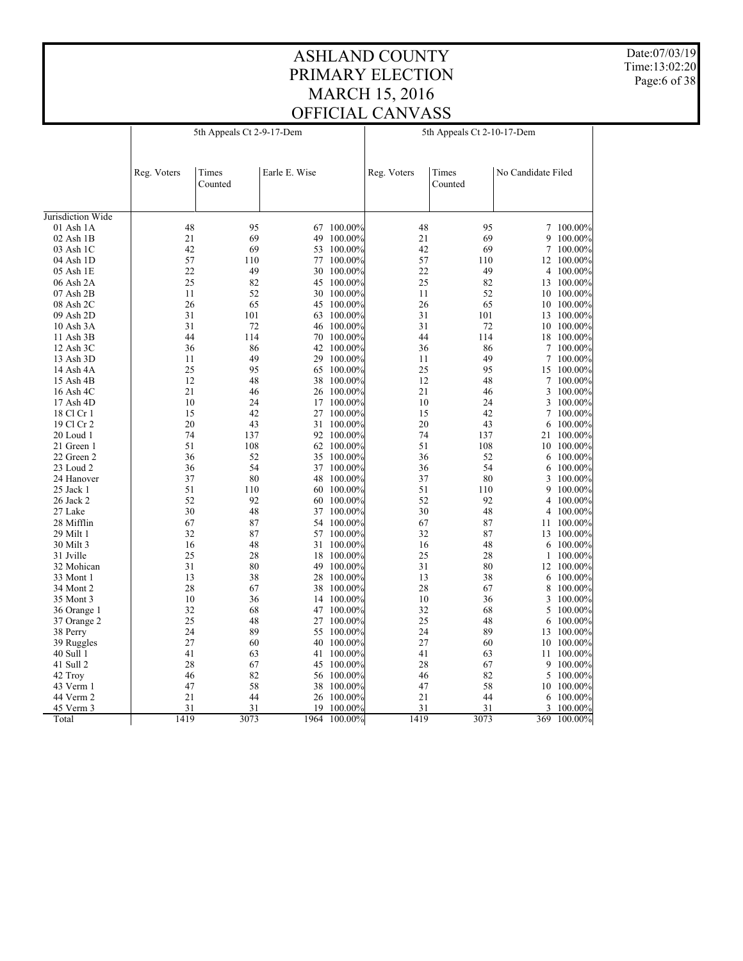Date:07/03/19 Time:13:02:20 Page:6 of 38

|                   | 5th Appeals Ct 2-9-17-Dem |                  |               |            | 5th Appeals Ct 2-10-17-Dem |                  |                    |            |
|-------------------|---------------------------|------------------|---------------|------------|----------------------------|------------------|--------------------|------------|
|                   | Reg. Voters               | Times<br>Counted | Earle E. Wise |            | Reg. Voters                | Times<br>Counted | No Candidate Filed |            |
| Jurisdiction Wide |                           |                  |               |            |                            |                  |                    |            |
| 01 Ash 1A         | 48                        | 95               |               | 67 100.00% | 48                         | 95               |                    | 7 100.00%  |
| 02 Ash 1B         | 21                        | 69               | 49            | 100.00%    | 21                         | 69               | 9                  | 100.00%    |
| 03 Ash 1C         | 42                        | 69               | 53            | 100.00%    | 42                         | 69               | 7                  | 100.00%    |
| 04 Ash 1D         | 57                        | 110              |               | 77 100.00% | 57                         | 110              |                    | 12 100.00% |
| 05 Ash 1E         | 22                        | 49               |               | 30 100.00% | 22                         | 49               | 4                  | 100.00%    |
| 06 Ash 2A         | 25                        | 82               |               | 45 100.00% | 25                         | 82               | 13                 | $100.00\%$ |
| 07 Ash 2B         | 11                        | 52               |               | 30 100.00% | 11                         | 52               |                    | 10 100.00% |
| 08 Ash 2C         | 26                        | 65               | 45            | 100.00%    | 26                         | 65               | 10                 | 100.00%    |
| 09 Ash 2D         | 31                        | 101              |               | 63 100.00% | 31                         | 101              | 13                 | $100.00\%$ |
| 10 Ash 3A         | 31                        | 72               |               | 46 100.00% | 31                         | 72               |                    | 10 100.00% |
| 11 Ash 3B         | 44                        | 114              | 70            | $100.00\%$ | 44                         | 114              |                    | 18 100.00% |
| 12 Ash 3C         | 36                        | 86               |               | 42 100.00% | 36                         | 86               | $\tau$             | 100.00%    |
| 13 Ash 3D         | 11                        | 49               | 29            | 100.00%    | 11                         | 49               | 7                  | 100.00%    |
| 14 Ash 4A         | 25                        | 95               |               | 65 100.00% | 25                         | 95               |                    | 15 100.00% |
| 15 Ash 4B         | 12                        | 48               |               | 38 100.00% | 12                         | 48               | 7                  | 100.00%    |
| 16 Ash 4C         | 21                        | 46               |               | 26 100.00% | 21                         | 46               | 3                  | 100.00%    |
| 17 Ash 4D         | 10                        | 24               | 17            | 100.00%    | 10                         | 24               | 3                  | 100.00%    |
| 18 Cl Cr 1        | 15                        | 42               |               | 27 100.00% | 15                         | 42               | 7                  | 100.00%    |
| 19 Cl Cr 2        | 20                        | 43               |               | 31 100.00% | 20                         | 43               | 6                  | 100.00%    |
| 20 Loud 1         | 74                        | 137              |               | 92 100.00% | 74                         | 137              | 21                 | 100.00%    |
| 21 Green 1        | 51                        | 108              |               | 62 100.00% | 51                         | 108              |                    | 10 100.00% |
| 22 Green 2        | 36                        | 52               | 35            | 100.00%    | 36                         | 52               | 6                  | 100.00%    |
| 23 Loud 2         | 36                        | 54               |               | 37 100.00% | 36                         | 54               | 6                  | 100.00%    |
| 24 Hanover        | 37                        | 80               |               | 48 100.00% | 37                         | 80               | 3                  |            |
|                   | 51                        | 110              | 60            | 100.00%    | 51                         | 110              | 9                  | 100.00%    |
| 25 Jack 1         | 52                        | 92               |               |            | 52                         | 92               |                    | 100.00%    |
| 26 Jack 2         |                           |                  |               | 60 100.00% | 30                         |                  | 4                  | 100.00%    |
| 27 Lake           | 30                        | 48               |               | 37 100.00% |                            | 48               | 4                  | 100.00%    |
| 28 Mifflin        | 67                        | 87               |               | 54 100.00% | 67                         | 87               |                    | 11 100.00% |
| 29 Milt 1         | 32                        | 87               |               | 57 100.00% | 32                         | 87               | 13                 | $100.00\%$ |
| 30 Milt 3         | 16                        | 48               |               | 31 100.00% | 16                         | 48               | 6                  | $100.00\%$ |
| 31 Jville         | 25                        | 28               | 18            | 100.00%    | 25                         | 28               | 1                  | 100.00%    |
| 32 Mohican        | 31                        | 80               |               | 49 100.00% | 31                         | 80               |                    | 12 100.00% |
| 33 Mont 1         | 13                        | 38               |               | 28 100.00% | 13                         | 38               | 6                  | 100.00%    |
| 34 Mont 2         | 28                        | 67               | 38            | 100.00%    | 28                         | 67               | 8                  | 100.00%    |
| 35 Mont 3         | 10                        | 36               |               | 14 100.00% | 10                         | 36               |                    | 3 100.00%  |
| 36 Orange 1       | 32                        | 68               | 47            | $100.00\%$ | 32                         | 68               | 5                  | 100.00%    |
| 37 Orange 2       | 25                        | 48               | 27            | $100.00\%$ | 25                         | 48               | 6                  | 100.00%    |
| 38 Perry          | 24                        | 89               |               | 55 100.00% | 24                         | 89               |                    | 13 100.00% |
| 39 Ruggles        | 27                        | 60               | 40            | 100.00%    | 27                         | 60               | 10                 | $100.00\%$ |
| 40 Sull 1         | 41                        | 63               | 41            | 100.00%    | 41                         | 63               | 11                 | 100.00%    |
| 41 Sull 2         | 28                        | 67               |               | 45 100.00% | 28                         | 67               | 9                  | 100.00%    |
| 42 Troy           | 46                        | 82               |               | 56 100.00% | 46                         | 82               | 5                  | 100.00%    |
| 43 Verm 1         | 47                        | 58               | 38            | $100.00\%$ | 47                         | 58               |                    | 10 100.00% |
| 44 Verm 2         | 21                        | 44               |               | 26 100.00% | 21                         | 44               | 6                  | 100.00%    |
| 45 Verm 3         | 31                        | 31               | 19            | 100.00%    | 31                         | 31               | 3                  | 100.00%    |
| Total             | 1419                      | 3073             | 1964          | 100.00%    | 1419                       | 3073             | 369                | 100.00%    |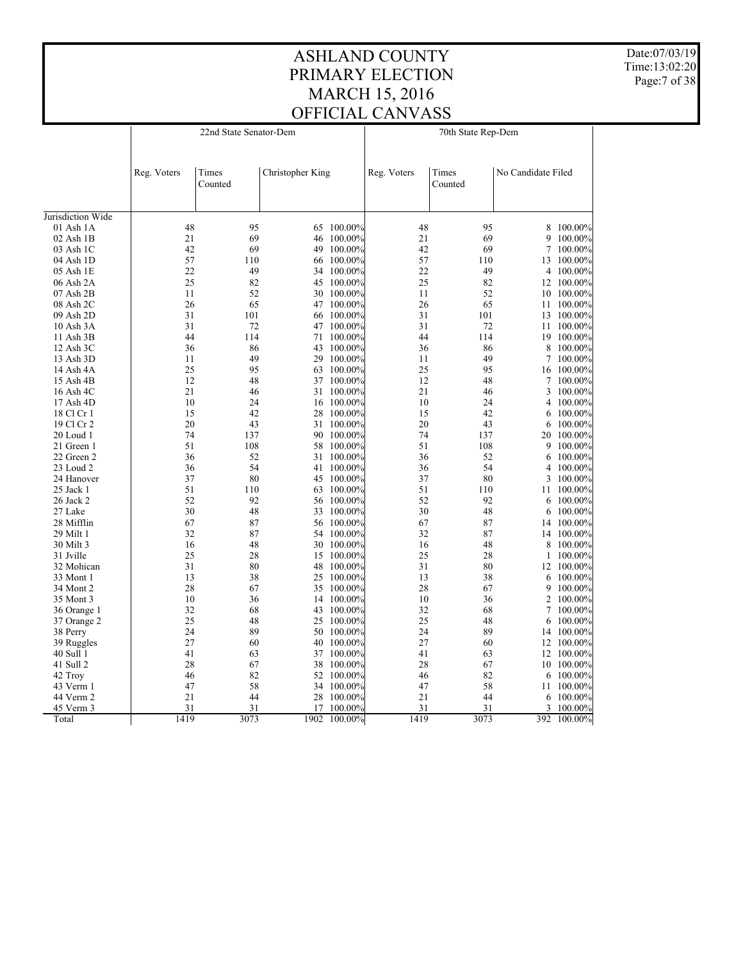Date:07/03/19 Time:13:02:20 Page:7 of 38

|                         | 22nd State Senator-Dem |         |                  |                       | 70th State Rep-Dem |         |                    |                    |
|-------------------------|------------------------|---------|------------------|-----------------------|--------------------|---------|--------------------|--------------------|
|                         |                        |         |                  |                       |                    |         |                    |                    |
|                         | Reg. Voters            | Times   | Christopher King |                       | Reg. Voters        | Times   | No Candidate Filed |                    |
|                         |                        | Counted |                  |                       |                    | Counted |                    |                    |
| Jurisdiction Wide       |                        |         |                  |                       |                    |         |                    |                    |
| 01 Ash 1A               | 48                     | 95      | 65               | 100.00%               | 48                 | 95      |                    | 8 100.00%          |
| $02$ Ash $1B$           | 21                     | 69      |                  | 46 100.00%            | 21                 | 69      | 9                  | $100.00\%$         |
| 03 Ash 1C               | 42                     | 69      | 49               | 100.00%               | 42                 | 69      | 7                  | 100.00%            |
| 04 Ash 1D               | 57                     | 110     |                  | 66 100.00%            | 57                 | 110     |                    | 13 100.00%         |
| 05 Ash 1E               | 22                     | 49      |                  | 34 100.00%            | 22                 | 49      |                    | 4 100.00%          |
| 06 Ash 2A               | 25                     | 82      | 45               | $100.00\%$            | 25                 | 82      | 12                 | 100.00%            |
| 07 Ash 2B               | 11                     | 52      |                  | 30 100.00%            | 11                 | 52      |                    | 10 100.00%         |
| 08 Ash 2C               | 26                     | 65      |                  | 47 100.00%            | 26                 | 65      |                    | 11 100.00%         |
| 09 Ash 2D               | 31                     | 101     |                  | 66 100.00%            | 31                 | 101     | 13                 | 100.00%            |
| 10 Ash 3A               | 31                     | 72      |                  | 47 100.00%            | 31                 | 72      | 11                 | 100.00%            |
| 11 Ash 3B               | 44                     | 114     | 71               | 100.00%               | 44                 | 114     |                    | 19 100.00%         |
| 12 Ash 3C               | 36                     | 86      | 43               | 100.00%               | 36                 | 86      | 8                  | 100.00%            |
| 13 Ash 3D               | 11                     | 49      |                  | 29 100.00%            | 11                 | 49      | 7                  | 100.00%            |
| 14 Ash 4A               | 25                     | 95      | 63               | 100.00%               | 25                 | 95      | 16                 | 100.00%            |
| 15 Ash 4B               | 12                     | 48      |                  | 37 100.00%            | 12                 | 48      | 7                  | 100.00%            |
| 16 Ash 4C               | 21                     | 46      |                  | 31 100.00%            | 21                 | 46      | 3                  | 100.00%            |
|                         | 10                     | 24      | 16               | $100.00\%$            | 10                 | 24      | 4                  |                    |
| 17 Ash 4D<br>18 Cl Cr 1 | 15                     | 42      | 28               |                       | 15                 | 42      |                    | 100.00%            |
| 19 Cl Cr 2              | 20                     | 43      |                  | 100.00%<br>31 100.00% | 20                 | 43      | 6                  | 100.00%<br>100.00% |
| 20 Loud 1               | 74                     | 137     |                  | 90 100.00%            | 74                 | 137     | 6                  | 100.00%            |
|                         | 51                     | 108     |                  |                       | 51                 | 108     | 20                 |                    |
| 21 Green 1              | 36                     | 52      | 58<br>31         | $100.00\%$<br>100.00% | 36                 | 52      |                    | 9 100.00%          |
| 22 Green 2              | 36                     | 54      |                  |                       | 36                 | 54      | 6<br>4             | 100.00%<br>100.00% |
| 23 Loud 2               | 37                     |         |                  | 41 100.00%            |                    | 80      |                    |                    |
| 24 Hanover              | 51                     | 80      |                  | 45 100.00%            | 37<br>51           |         | 3                  | 100.00%            |
| 25 Jack 1               |                        | 110     | 63               | 100.00%               |                    | 110     | 11                 | 100.00%            |
| 26 Jack 2               | 52                     | 92      |                  | 56 100.00%            | 52                 | 92      | 6                  | 100.00%            |
| 27 Lake                 | 30                     | 48      |                  | 33 100.00%            | 30                 | 48      | 6                  | 100.00%            |
| 28 Mifflin              | 67                     | 87      |                  | 56 100.00%            | 67                 | 87      | 14                 | $100.00\%$         |
| 29 Milt 1               | 32                     | 87      |                  | 54 100.00%            | 32                 | 87      |                    | 14 100.00%         |
| 30 Milt 3               | 16                     | 48      |                  | 30 100.00%            | 16                 | 48      | 8                  | 100.00%            |
| 31 Jville               | 25                     | 28      | 15               | 100.00%               | 25                 | 28      | 1                  | 100.00%            |
| 32 Mohican              | 31                     | 80      |                  | 48 100.00%            | 31                 | 80      |                    | 12 100.00%         |
| 33 Mont 1               | 13                     | 38      | 25               | $100.00\%$            | 13                 | 38      | 6                  | 100.00%            |
| 34 Mont 2               | 28                     | 67      | 35               | 100.00%               | 28                 | 67      | 9                  | 100.00%            |
| 35 Mont 3               | 10                     | 36      |                  | 14 100.00%            | 10                 | 36      |                    | 2 100.00%          |
| 36 Orange 1             | 32                     | 68      | 43               | 100.00%               | 32                 | 68      | 7                  | 100.00%            |
| 37 Orange 2             | 25                     | 48      |                  | 25 100.00%            | 25                 | 48      | 6                  | 100.00%            |
| 38 Perry                | 24                     | 89      |                  | 50 100.00%            | 24                 | 89      |                    | 14 100.00%         |
| 39 Ruggles              | 27                     | 60      | 40               | 100.00%               | 27                 | 60      | 12                 | 100.00%            |
| 40 Sull 1               | 41                     | 63      | 37               | 100.00%               | 41                 | 63      | 12                 | 100.00%            |
| 41 Sull 2               | 28                     | 67      |                  | 38 100.00%            | 28                 | 67      |                    | 10 100.00%         |
| 42 Troy                 | 46                     | 82      |                  | 52 100.00%            | 46                 | 82      | 6                  | 100.00%            |
| 43 Verm 1               | 47                     | 58      |                  | 34 100.00%            | 47                 | 58      | 11                 | 100.00%            |
| 44 Verm 2               | 21                     | 44      |                  | 28 100.00%            | 21                 | 44      | 6                  | 100.00%            |
| 45 Verm 3               | 31                     | 31      | 17               | 100.00%               | 31                 | 31      | 3                  | 100.00%            |
| Total                   | 1419                   | 3073    | 1902             | 100.00%               | 1419               | 3073    | 392                | 100.00%            |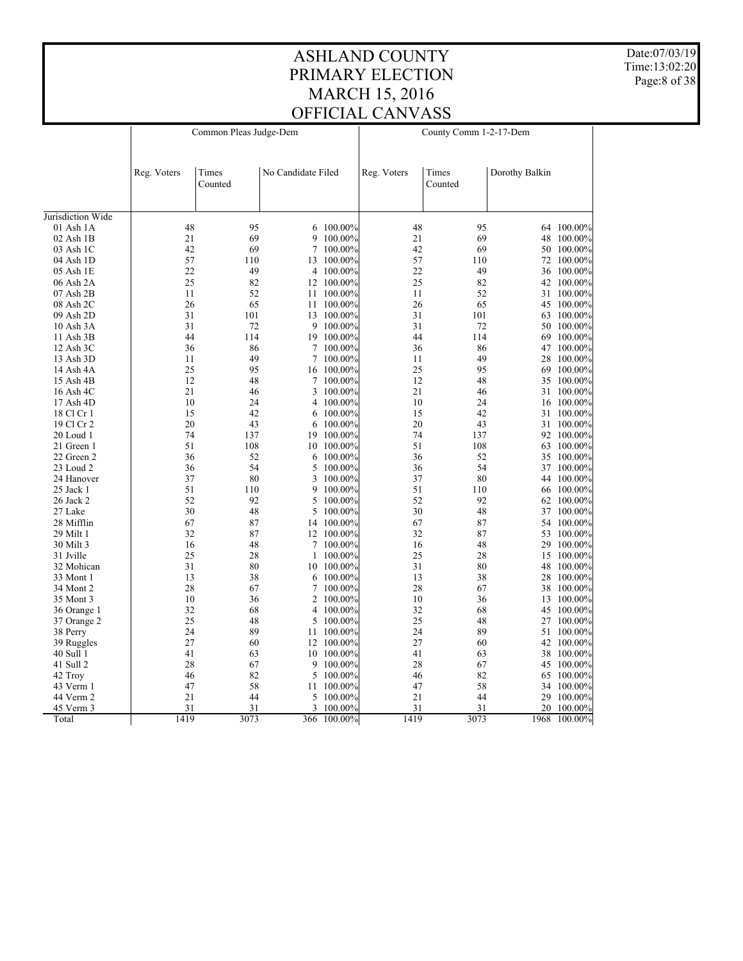Date:07/03/19 Time:13:02:20 Page:8 of 38

|                   | Common Pleas Judge-Dem |                  |                    |            | County Comm 1-2-17-Dem |                  |                |              |
|-------------------|------------------------|------------------|--------------------|------------|------------------------|------------------|----------------|--------------|
|                   | Reg. Voters            | Times<br>Counted | No Candidate Filed |            | Reg. Voters            | Times<br>Counted | Dorothy Balkin |              |
| Jurisdiction Wide |                        |                  |                    |            |                        |                  |                |              |
| 01 Ash 1A         | 48                     | 95               |                    | 6 100.00%  | 48                     | 95               |                | 64 100.00%   |
| $02$ Ash $1B$     | 21                     | 69               | 9                  | $100.00\%$ | 21                     | 69               |                | 48 100.00%   |
| 03 Ash 1C         | 42                     | 69               |                    | 7 100.00%  | 42                     | 69               |                | 50 100.00%   |
| 04 Ash 1D         | 57                     | 110              |                    | 13 100.00% | 57                     | 110              |                | 72 100.00%   |
| 05 Ash 1E         | 22                     | 49               | 4                  | $100.00\%$ | 22                     | 49               |                | 36 100.00%   |
| 06 Ash 2A         | 25                     | 82               |                    | 12 100.00% | 25                     | 82               |                | 42 100.00%   |
| 07 Ash 2B         | 11                     | 52               |                    | 11 100.00% | 11                     | 52               |                | 31 100.00%   |
| 08 Ash 2C         | 26                     | 65               | 11                 | 100.00%    | 26                     | 65               |                | 45 100.00%   |
| 09 Ash 2D         | 31                     | 101              |                    | 13 100.00% | 31                     | 101              |                | 63 100.00%   |
| 10 Ash 3A         | 31                     | 72               |                    | 9 100.00%  | 31                     | 72               |                | 50 100.00%   |
| 11 Ash 3B         | 44                     | 114              |                    | 19 100.00% | 44                     | 114              |                | 69 100.00%   |
| 12 Ash 3C         | 36                     | 86               |                    | 7 100.00%  | 36                     | 86               |                | 47 100.00%   |
| 13 Ash 3D         | 11                     | 49               |                    | 7 100.00%  | 11                     | 49               |                | 28 100.00%   |
| 14 Ash 4A         | 25                     | 95               |                    | 16 100.00% | 25                     | 95               |                | 69 100.00%   |
| 15 Ash 4B         | 12                     | 48               |                    | 7 100.00%  | 12                     | 48               |                | 35 100.00%   |
| 16 Ash 4C         | 21                     | 46               |                    | 3 100.00%  | 21                     | 46               |                | 31 100.00%   |
| 17 Ash 4D         | 10                     | 24               | 4                  | 100.00%    | 10                     | 24               |                | 16 100.00%   |
| 18 Cl Cr 1        | 15                     | 42               | 6                  | $100.00\%$ | 15                     | 42               |                | 31 100.00%   |
| 19 Cl Cr 2        | 20                     | 43               | 6                  | 100.00%    | 20                     | 43               |                | 31 100.00%   |
| 20 Loud 1         | 74                     | 137              | 19                 | $100.00\%$ | 74                     | 137              |                | 92 100.00%   |
| 21 Green 1        | 51                     | 108              |                    | 10 100.00% | 51                     | 108              |                | 63 100.00%   |
| 22 Green 2        | 36                     | 52               | 6                  | 100.00%    | 36                     | 52               | 35             | $100.00\%$   |
| 23 Loud 2         | 36                     | 54               | 5                  | 100.00%    | 36                     | 54               |                | 37 100.00%   |
| 24 Hanover        | 37                     | 80               | 3                  | 100.00%    | 37                     | 80               |                | 44 100.00%   |
| 25 Jack 1         | 51                     | 110              | 9                  | 100.00%    | 51                     | 110              |                | 66 100.00%   |
| 26 Jack 2         | 52                     | 92               | 5                  | 100.00%    | 52                     | 92               |                | 62 100.00%   |
| 27 Lake           | 30                     | 48               | 5                  | $100.00\%$ | 30                     | 48               |                | 37 100.00%   |
| 28 Mifflin        | 67                     | 87               |                    | 14 100.00% | 67                     | 87               |                | 54 100.00%   |
| 29 Milt 1         | 32                     | 87               |                    | 12 100.00% | 32                     | 87               |                | 53 100.00%   |
| 30 Milt 3         | 16                     | 48               |                    | 7 100.00%  | 16                     | 48               |                | 29 100.00%   |
| 31 Jville         | 25                     | 28               | 1                  | 100.00%    | 25                     | 28               |                | 15 100.00%   |
| 32 Mohican        | 31                     | 80               |                    | 10 100.00% | 31                     | 80               |                | 48 100.00%   |
| 33 Mont 1         | 13                     | 38               |                    | 6 100.00%  | 13                     | 38               |                | 28 100.00%   |
| 34 Mont 2         | 28                     | 67               | 7                  | 100.00%    | 28                     | 67               |                | 38 100.00%   |
| 35 Mont 3         | 10                     | 36               |                    | 2 100.00%  | 10                     | 36               |                | 13 100.00%   |
| 36 Orange 1       | 32                     | 68               | 4                  | 100.00%    | 32                     | 68               |                | 45 100.00%   |
| 37 Orange 2       | 25                     | 48               | 5                  | $100.00\%$ | 25                     | 48               |                | 27 100.00%   |
| 38 Perry          | 24                     | 89               |                    | 11 100.00% | 24                     | 89               |                | 51 100.00%   |
| 39 Ruggles        | 27                     | 60               | 12                 | 100.00%    | 27                     | 60               |                | 42 100.00%   |
| 40 Sull 1         | 41                     | 63               |                    | 10 100.00% | 41                     | 63               |                | 38 100.00%   |
| 41 Sull 2         | 28                     | 67               |                    | 9 100.00%  | 28                     | 67               |                | 45 100.00%   |
| 42 Troy           | 46                     | 82               |                    | 5 100.00%  | 46                     | 82               |                | 65 100.00%   |
| 43 Verm 1         | 47                     | 58               | 11                 | $100.00\%$ | 47                     | 58               |                | 34 100.00%   |
| 44 Verm 2         | 21                     | 44               |                    | 5 100.00%  | 21                     | 44               |                | 29 100.00%   |
| 45 Verm 3         | 31                     | 31               | 3                  | 100.00%    | 31                     | 31               |                | 20 100.00%   |
| Total             | 1419                   | 3073             | 366                | 100.00%    | 1419                   | 3073             |                | 1968 100.00% |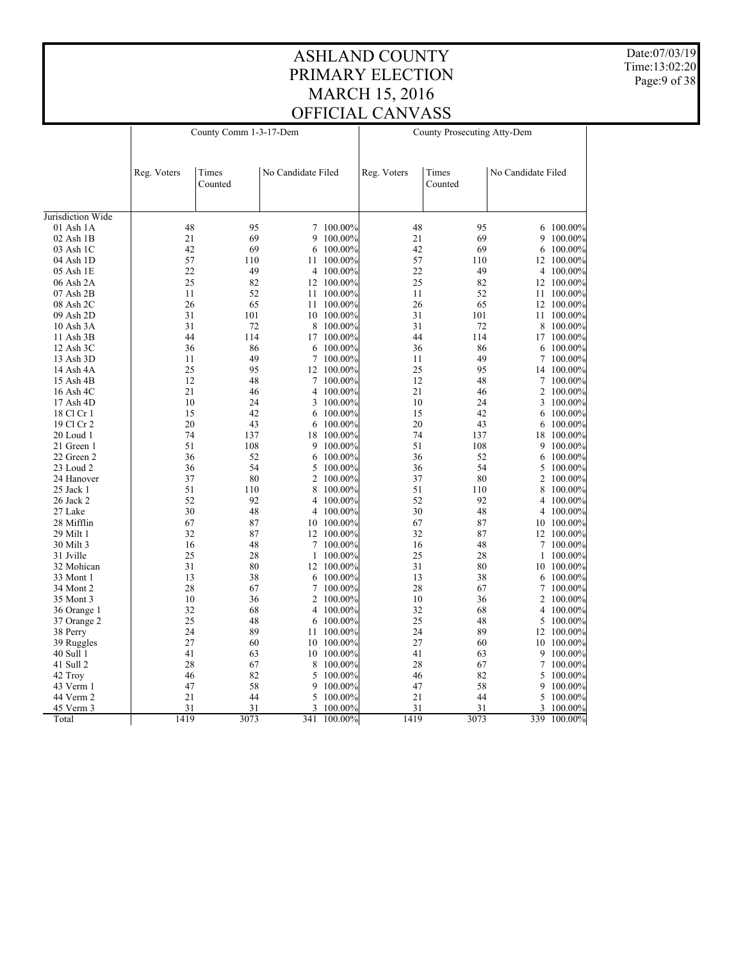Date:07/03/19 Time:13:02:20 Page:9 of 38

|                   |             | County Comm 1-3-17-Dem |                    |            |             | County Prosecuting Atty-Dem |                    |                  |  |
|-------------------|-------------|------------------------|--------------------|------------|-------------|-----------------------------|--------------------|------------------|--|
|                   | Reg. Voters | Times<br>Counted       | No Candidate Filed |            | Reg. Voters | Times<br>Counted            | No Candidate Filed |                  |  |
| Jurisdiction Wide |             |                        |                    |            |             |                             |                    |                  |  |
| 01 Ash 1A         | 48          | 95                     |                    | 7 100.00%  | 48          | 95                          |                    | 6 100.00%        |  |
| 02 Ash 1B         | 21          | 69                     | 9                  | 100.00%    | 21          | 69                          | 9                  | 100.00%          |  |
| 03 Ash 1C         | 42          | 69                     | 6                  | 100.00%    | 42          | 69                          | 6                  | 100.00%          |  |
| 04 Ash 1D         | 57          | 110                    |                    | 11 100.00% | 57          | 110                         |                    | 12 100.00%       |  |
| 05 Ash 1E         | 22          | 49                     | 4                  | 100.00%    | 22          | 49                          | 4                  | $100.00\%$       |  |
| 06 Ash 2A         | 25          | 82                     |                    | 12 100.00% | 25          | 82                          |                    | 12 100.00%       |  |
| 07 Ash 2B         | 11          | 52                     |                    | 11 100.00% | 11          | 52                          |                    | 11 100.00%       |  |
| 08 Ash 2C         | 26          | 65                     |                    | 11 100.00% | 26          | 65                          |                    | 12 100.00%       |  |
| 09 Ash 2D         | 31          | 101                    |                    | 10 100.00% | 31          | 101                         | 11                 | 100.00%          |  |
| 10 Ash 3A         | 31          | 72                     |                    | 8 100.00%  | 31          | 72                          | 8                  | 100.00%          |  |
| 11 Ash 3B         | 44          | 114                    | 17                 | 100.00%    | 44          | 114                         |                    | 17 100.00%       |  |
| $12$ Ash $3C$     | 36          | 86                     | 6                  | 100.00%    | 36          | 86                          | 6                  | 100.00%          |  |
| 13 Ash 3D         | 11          | 49                     | $\tau$             | 100.00%    | 11          | 49                          | 7                  | 100.00%          |  |
| 14 Ash 4A         | 25          | 95                     | 12                 | 100.00%    | 25          | 95                          |                    | 14 100.00%       |  |
| 15 Ash 4B         | 12          | 48                     |                    | 7 100.00%  | 12          | 48                          |                    | 7 100.00%        |  |
|                   | 21          | 46                     | 4                  |            | 21          | 46                          | 2                  |                  |  |
| 16 Ash 4C         |             |                        |                    | 100.00%    |             |                             |                    | 100.00%          |  |
| 17 Ash 4D         | 10          | 24                     | 3                  | 100.00%    | 10          | 24                          | 3                  | 100.00%          |  |
| 18 Cl Cr 1        | 15          | 42                     | 6                  | 100.00%    | 15          | 42                          | 6                  | 100.00%          |  |
| 19 Cl Cr 2        | 20          | 43                     | 6                  | $100.00\%$ | 20          | 43                          | 6                  | 100.00%          |  |
| 20 Loud 1         | 74          | 137                    |                    | 18 100.00% | 74          | 137                         |                    | 18 100.00%       |  |
| 21 Green 1        | 51          | 108                    | 9                  | 100.00%    | 51          | 108                         | 9                  | 100.00%          |  |
| 22 Green 2        | 36          | 52                     | 6                  | $100.00\%$ | 36          | 52                          | 6                  | 100.00%          |  |
| 23 Loud 2         | 36          | 54                     | 5                  | 100.00%    | 36          | 54                          | 5                  | 100.00%          |  |
| 24 Hanover        | 37          | 80                     | $\overline{2}$     | 100.00%    | 37          | 80                          |                    | 2 100.00%        |  |
| 25 Jack 1         | 51          | 110                    | 8                  | 100.00%    | 51          | 110                         | 8                  | 100.00%          |  |
| 26 Jack 2         | 52          | 92                     | 4                  | 100.00%    | 52          | 92                          | 4                  | 100.00%          |  |
| 27 Lake           | 30          | 48                     | 4                  | 100.00%    | 30          | 48                          |                    | 4 100.00%        |  |
| 28 Mifflin        | 67          | 87                     | 10                 | 100.00%    | 67          | 87                          |                    | $10\ \ 100.00\%$ |  |
| 29 Milt 1         | 32          | 87                     |                    | 12 100.00% | 32          | 87                          |                    | 12 100.00%       |  |
| 30 Milt 3         | 16          | 48                     | 7                  | 100.00%    | 16          | 48                          | 7                  | 100.00%          |  |
| 31 Jville         | 25          | 28                     | 1                  | 100.00%    | 25          | 28                          | $\mathbf{1}$       | 100.00%          |  |
| 32 Mohican        | 31          | 80                     |                    | 12 100.00% | 31          | 80                          |                    | 10 100.00%       |  |
| 33 Mont 1         | 13          | 38                     | 6                  | $100.00\%$ | 13          | 38                          | 6                  | $100.00\%$       |  |
| 34 Mont 2         | 28          | 67                     | 7                  | 100.00%    | 28          | 67                          | 7                  | 100.00%          |  |
| 35 Mont 3         | 10          | 36                     | 2                  | 100.00%    | 10          | 36                          |                    | 2 100.00%        |  |
| 36 Orange 1       | 32          | 68                     | 4                  | $100.00\%$ | 32          | 68                          | 4                  | 100.00%          |  |
| 37 Orange 2       | 25          | 48                     | 6                  | 100.00%    | 25          | 48                          | 5                  | 100.00%          |  |
| 38 Perry          | 24          | 89                     |                    | 11 100.00% | 24          | 89                          |                    | 12 100.00%       |  |
| 39 Ruggles        | 27          | 60                     | 10                 | 100.00%    | 27          | 60                          | 10                 | 100.00%          |  |
| 40 Sull 1         | 41          | 63                     | 10                 | 100.00%    | 41          | 63                          | 9                  | 100.00%          |  |
| 41 Sull 2         | 28          | 67                     | 8                  | 100.00%    | 28          | 67                          | 7                  | 100.00%          |  |
| 42 Troy           | 46          | 82                     | 5                  | 100.00%    | 46          | 82                          | 5                  | 100.00%          |  |
| 43 Verm 1         | 47          | 58                     | 9                  | 100.00%    | 47          | 58                          | 9                  | 100.00%          |  |
| 44 Verm 2         | 21          | 44                     | 5                  | 100.00%    | 21          | 44                          | 5                  | 100.00%          |  |
| 45 Verm 3         | 31          | 31                     | 3                  | 100.00%    | 31          | 31                          | 3                  | 100.00%          |  |
| Total             | 1419        | 3073                   | 341                | 100.00%    | 1419        | 3073                        |                    | 339 100.00%      |  |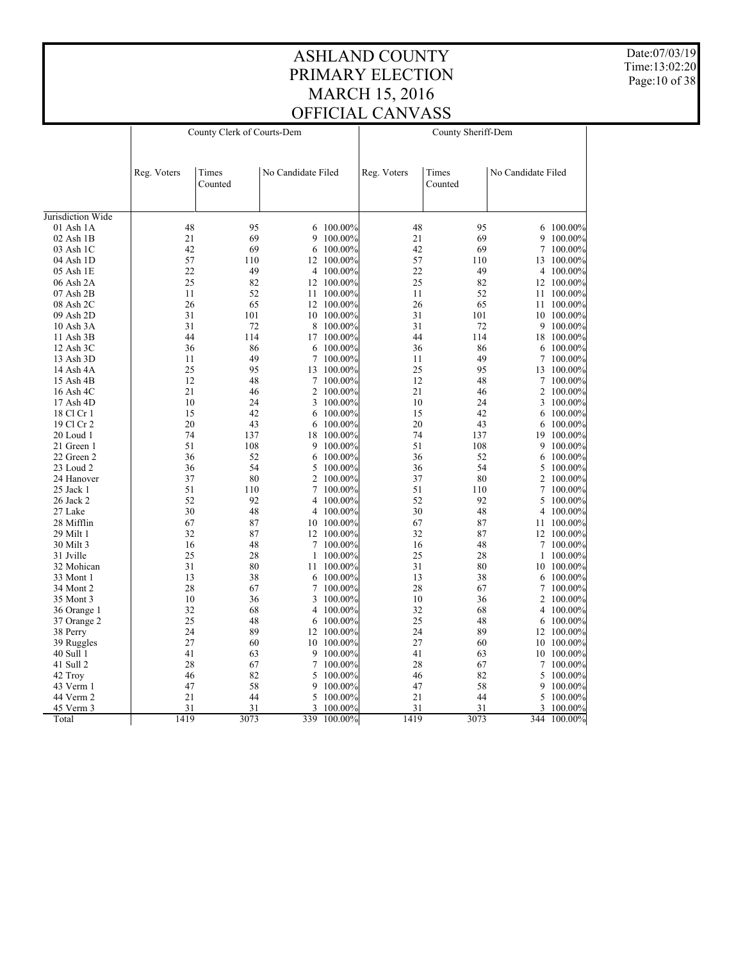Date:07/03/19 Time:13:02:20 Page:10 of 38

|                      | County Clerk of Courts-Dem |         |                    |                    | County Sheriff-Dem |         |                    |             |  |
|----------------------|----------------------------|---------|--------------------|--------------------|--------------------|---------|--------------------|-------------|--|
|                      |                            |         |                    |                    |                    |         |                    |             |  |
|                      |                            |         |                    |                    |                    |         |                    |             |  |
|                      | Reg. Voters                | Times   | No Candidate Filed |                    | Reg. Voters        | Times   | No Candidate Filed |             |  |
|                      |                            | Counted |                    |                    |                    | Counted |                    |             |  |
|                      |                            |         |                    |                    |                    |         |                    |             |  |
| Jurisdiction Wide    |                            |         |                    |                    |                    |         |                    |             |  |
| 01 Ash 1A            | 48                         | 95      |                    | 6 100.00%          | 48                 | 95      |                    | 6 100.00%   |  |
| $02$ Ash $1B$        | 21                         | 69      | 9                  | 100.00%            | 21                 | 69      | 9                  | 100.00%     |  |
| 03 Ash 1C            | 42                         | 69      | 6                  | 100.00%            | 42                 | 69      | $\tau$             | 100.00%     |  |
| 04 Ash 1D            | 57                         | 110     | 12                 | 100.00%            | 57                 | 110     | 13                 | 100.00%     |  |
| 05 Ash 1E            | 22                         | 49      |                    | 4 100.00%          | 22                 | 49      |                    | 4 100.00%   |  |
| 06 Ash 2A            | 25                         | 82      |                    | 12 100.00%         | 25                 | 82      |                    | 12 100.00%  |  |
| 07 Ash 2B            | 11                         | 52      | 11                 | 100.00%            | 11                 | 52      | 11                 | $100.00\%$  |  |
| 08 Ash 2C            | 26                         | 65      |                    | 12 100.00%         | 26                 | 65      |                    | 11 100.00%  |  |
| 09 Ash 2D            | 31                         | 101     | 10                 | 100.00%            | 31                 | 101     | 10                 | 100.00%     |  |
| 10 Ash 3A            | 31                         | 72      | 8                  | 100.00%            | 31                 | 72      | 9                  | 100.00%     |  |
| 11 Ash 3B            | 44                         | 114     |                    | 17 100.00%         | 44                 | 114     |                    | 18 100.00%  |  |
| $12$ Ash $3C$        | 36                         | 86      | 6                  | 100.00%            | 36                 | 86      | 6                  | $100.00\%$  |  |
| 13 Ash 3D            | 11                         | 49      | 7                  | 100.00%            | 11                 | 49      | 7                  | 100.00%     |  |
| 14 Ash 4A            | 25                         | 95      | 13                 | 100.00%            | 25                 | 95      |                    | 13 100.00%  |  |
| 15 Ash 4B            | 12                         | 48      | 7                  | 100.00%            | 12                 | 48      | 7                  | $100.00\%$  |  |
| 16 Ash 4C            | 21                         | 46      | 2                  | 100.00%            | 21                 | 46      | 2                  | 100.00%     |  |
| 17 Ash 4D            | 10                         | 24      | 3                  | 100.00%            | 10                 | 24      | 3                  | 100.00%     |  |
| 18 Cl Cr 1           | 15                         | 42      | 6                  | 100.00%            | 15                 | 42      | 6                  | $100.00\%$  |  |
| 19 Cl Cr 2           | 20                         | 43      | 6                  | 100.00%            | 20                 | 43      | 6                  | 100.00%     |  |
| 20 Loud 1            | 74                         | 137     | 18                 | 100.00%            | 74                 | 137     | 19                 | 100.00%     |  |
| 21 Green 1           | 51                         | 108     | 9                  | 100.00%            | 51                 | 108     | 9                  | 100.00%     |  |
| 22 Green 2           | 36                         | 52      | 6                  | $100.00\%$         | 36                 | 52      | 6                  | $100.00\%$  |  |
| 23 Loud 2            | 36                         | 54      | 5                  | 100.00%            | 36                 | 54      | 5                  | 100.00%     |  |
| 24 Hanover           | 37                         | 80      | $\overline{c}$     | 100.00%            | 37                 | 80      | 2                  | 100.00%     |  |
| 25 Jack 1            | 51                         | 110     | $\tau$             | 100.00%            | 51                 | 110     | 7                  |             |  |
|                      | 52                         | 92      |                    |                    | 52                 | 92      | 5                  | $100.00\%$  |  |
| 26 Jack 2<br>27 Lake | 30                         | 48      | 4<br>4             | 100.00%<br>100.00% | 30                 | 48      |                    | $100.00\%$  |  |
|                      | 67                         | 87      |                    |                    | 67                 | 87      |                    | 4 100.00%   |  |
| 28 Mifflin           | 32                         | 87      |                    | 10 100.00%         | 32                 | 87      |                    | 11 100.00%  |  |
| 29 Milt 1            |                            |         | 12                 | $100.00\%$         |                    |         |                    | 12 100.00%  |  |
| 30 Milt 3            | 16                         | 48      | $\tau$             | 100.00%            | 16                 | 48      | $7\overline{ }$    | 100.00%     |  |
| 31 Jville            | 25                         | 28      | 1                  | 100.00%            | 25                 | 28      |                    | 1 100.00%   |  |
| 32 Mohican           | 31                         | 80      | 11                 | 100.00%            | 31                 | 80      |                    | 10 100.00%  |  |
| 33 Mont 1            | 13                         | 38      | 6                  | 100.00%            | 13                 | 38      | 6                  | 100.00%     |  |
| 34 Mont 2            | 28                         | 67      | 7                  | 100.00%            | 28                 | 67      | 7                  | 100.00%     |  |
| 35 Mont 3            | 10                         | 36      | 3                  | 100.00%            | 10                 | 36      | 2                  | $100.00\%$  |  |
| 36 Orange 1          | 32                         | 68      |                    | 4 100.00%          | 32                 | 68      |                    | 4 100.00%   |  |
| 37 Orange 2          | 25                         | 48      | 6                  | 100.00%            | 25                 | 48      | 6                  | 100.00%     |  |
| 38 Perry             | 24                         | 89      |                    | 12 100.00%         | 24                 | 89      |                    | 12 100.00%  |  |
| 39 Ruggles           | 27                         | 60      |                    | 10 100.00%         | 27                 | 60      |                    | 10 100.00%  |  |
| 40 Sull 1            | 41                         | 63      | 9                  | 100.00%            | 41                 | 63      | 10                 | 100.00%     |  |
| 41 Sull 2            | 28                         | 67      | $\tau$             | 100.00%            | 28                 | 67      | 7                  | 100.00%     |  |
| 42 Troy              | 46                         | 82      | 5                  | 100.00%            | 46                 | 82      | 5                  | 100.00%     |  |
| 43 Verm 1            | 47                         | 58      | 9                  | 100.00%            | 47                 | 58      | 9                  | 100.00%     |  |
| 44 Verm 2            | 21                         | 44      | 5                  | 100.00%            | 21                 | 44      |                    | 5 100.00%   |  |
| 45 Verm 3            | 31                         | 31      |                    | 3 100.00%          | 31                 | 31      |                    | 3 100.00%   |  |
| Total                | 1419                       | 3073    |                    | 339 100.00%        | 1419               | 3073    |                    | 344 100.00% |  |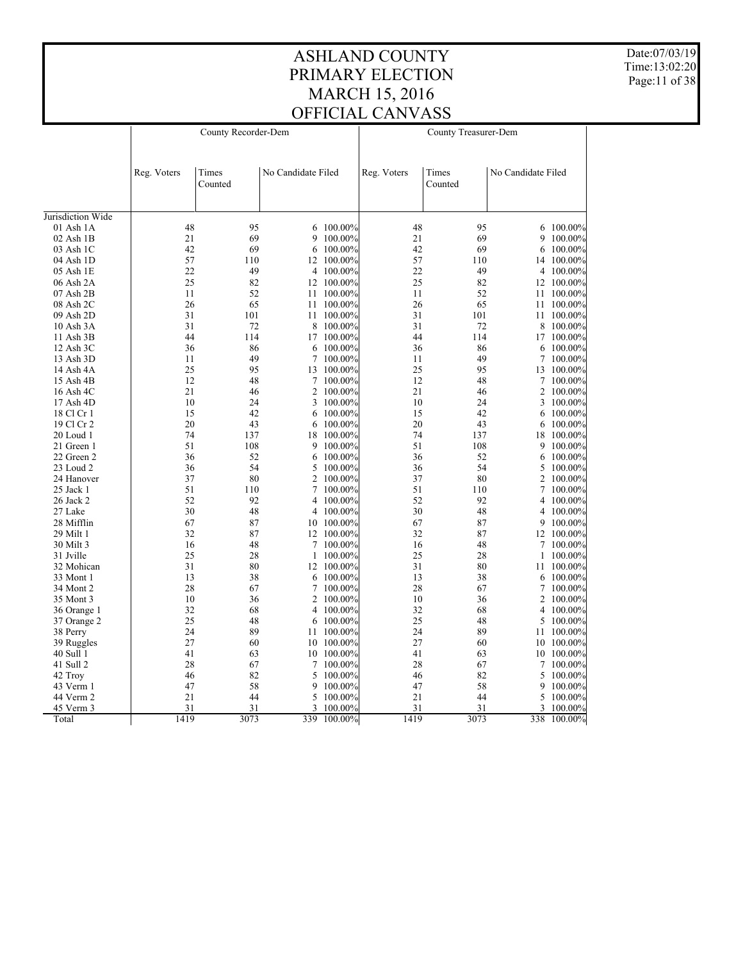Date:07/03/19 Time:13:02:20 Page:11 of 38

|                   |             | County Recorder-Dem |                    | County Treasurer-Dem |             |                  |                    |             |
|-------------------|-------------|---------------------|--------------------|----------------------|-------------|------------------|--------------------|-------------|
|                   | Reg. Voters | Times<br>Counted    | No Candidate Filed |                      | Reg. Voters | Times<br>Counted | No Candidate Filed |             |
| Jurisdiction Wide |             |                     |                    |                      |             |                  |                    |             |
| 01 Ash 1A         | 48          | 95                  |                    | 6 100.00%            | 48          | 95               |                    | 6 100.00%   |
| $02$ Ash $1B$     | 21          | 69                  | 9                  | 100.00%              | 21          | 69               | 9                  | 100.00%     |
| 03 Ash 1C         | 42          | 69                  | 6                  | 100.00%              | 42          | 69               | 6                  | 100.00%     |
| 04 Ash 1D         | 57          | 110                 |                    | 12 100.00%           | 57          | 110              | 14                 | 100.00%     |
| 05 Ash 1E         | 22          | 49                  |                    | 4 100.00%            | 22          | 49               |                    | 4 100.00%   |
| 06 Ash 2A         | 25          | 82                  |                    | 12 100.00%           | 25          | 82               |                    | 12 100.00%  |
| 07 Ash 2B         | 11          | 52                  |                    | 11 100.00%           | 11          | 52               |                    | 11 100.00%  |
| 08 Ash 2C         | 26          | 65                  |                    | 11 100.00%           | 26          | 65               |                    | 11 100.00%  |
| 09 Ash 2D         | 31          | 101                 | 11                 | $100.00\%$           | 31          | 101              | 11                 | 100.00%     |
| 10 Ash 3A         | 31          | 72                  | 8                  | 100.00%              | 31          | 72               | 8                  | $100.00\%$  |
| 11 Ash 3B         | 44          | 114                 |                    | 17 100.00%           | 44          | 114              |                    | 17 100.00%  |
| 12 Ash 3C         | 36          | 86                  | 6                  | 100.00%              | 36          | 86               | 6                  | 100.00%     |
| 13 Ash 3D         | 11          | 49                  | $\tau$             | 100.00%              | 11          | 49               | 7                  | 100.00%     |
| 14 Ash 4A         | 25          | 95                  |                    | 13 100.00%           | 25          | 95               |                    | 13 100.00%  |
| 15 Ash 4B         | 12          | 48                  | $\tau$             | 100.00%              | 12          | 48               | 7                  | 100.00%     |
| 16 Ash 4C         | 21          | 46                  |                    | 2 100.00%            | 21          | 46               |                    | 2 100.00%   |
| 17 Ash 4D         | 10          | 24                  | 3                  | 100.00%              | 10          | 24               | 3                  | 100.00%     |
| 18 Cl Cr 1        | 15          | 42                  |                    | 6 100.00%            | 15          | 42               | 6                  | $100.00\%$  |
| 19 Cl Cr 2        | 20          | 43                  | 6                  | 100.00%              | 20          | 43               | 6                  | 100.00%     |
| 20 Loud 1         | 74          | 137                 | 18                 | $100.00\%$           | 74          | 137              | 18                 | 100.00%     |
| 21 Green 1        | 51          | 108                 |                    | 9 100.00%            | 51          | 108              | 9                  | 100.00%     |
| 22 Green 2        | 36          | 52                  | 6                  | 100.00%              | 36          | 52               |                    | 6 100.00%   |
| 23 Loud 2         | 36          | 54                  | 5                  | 100.00%              | 36          | 54               | 5                  | 100.00%     |
| 24 Hanover        | 37          | 80                  | $\overline{2}$     | 100.00%              | 37          | 80               |                    | 2 100.00%   |
| 25 Jack 1         | 51          | 110                 | $\overline{7}$     | 100.00%              | 51          | 110              | 7                  | 100.00%     |
| 26 Jack 2         | 52          | 92                  | $\overline{4}$     | 100.00%              | 52          | 92               | 4                  | 100.00%     |
| 27 Lake           | 30          | 48                  |                    | 4 100.00%            | 30          | 48               |                    | 4 100.00%   |
| 28 Mifflin        | 67          | 87                  |                    | 10 100.00%           | 67          | 87               | 9                  | $100.00\%$  |
| 29 Milt 1         | 32          | 87                  |                    | 12 100.00%           | 32          | 87               |                    | 12 100.00%  |
| 30 Milt 3         | 16          | 48                  | $\tau$             | 100.00%              | 16          | 48               |                    | 7 100.00%   |
| 31 Jville         | 25          | 28                  | $\mathbf{1}$       | 100.00%              | 25          | 28               | 1                  | 100.00%     |
| 32 Mohican        | 31          | 80                  |                    | 12 100.00%           | 31          | 80               |                    | 11 100.00%  |
| 33 Mont 1         | 13          | 38                  |                    | 6 100.00%            | 13          | 38               |                    | 6 100.00%   |
| 34 Mont 2         | 28          | 67                  | $\tau$             | 100.00%              | 28          | 67               | 7                  | 100.00%     |
| 35 Mont 3         | 10          | 36                  |                    | 2 100.00%            | 10          | 36               |                    | 2 100.00%   |
| 36 Orange 1       | 32          | 68                  | 4                  | $100.00\%$           | 32          | 68               | 4                  | 100.00%     |
| 37 Orange 2       | 25          | 48                  | 6                  | 100.00%              | 25          | 48               | 5                  | 100.00%     |
| 38 Perry          | 24          | 89                  |                    | 11 100.00%           | 24          | 89               |                    | 11 100.00%  |
| 39 Ruggles        | 27          | 60                  | 10                 | 100.00%              | 27          | 60               |                    | 10 100.00%  |
| 40 Sull 1         | 41          | 63                  |                    | 10 100.00%           | 41          | 63               |                    | 10 100.00%  |
| 41 Sull 2         | 28          | 67                  | $\tau$             | 100.00%              | 28          | 67               | 7                  | 100.00%     |
| 42 Troy           | 46          | 82                  | 5                  | 100.00%              | 46          | 82               | 5                  | 100.00%     |
| 43 Verm 1         | 47          | 58                  | 9                  | 100.00%              | 47          | 58               | 9                  | $100.00\%$  |
| 44 Verm 2         | 21          | 44                  |                    | 5 100.00%            | 21          | 44               | 5                  | 100.00%     |
| 45 Verm 3         | 31          | 31                  | 3                  | 100.00%              | 31          | 31               | 3                  | 100.00%     |
| Total             | 1419        | 3073                |                    | 339 100.00%          | 1419        | 3073             |                    | 338 100.00% |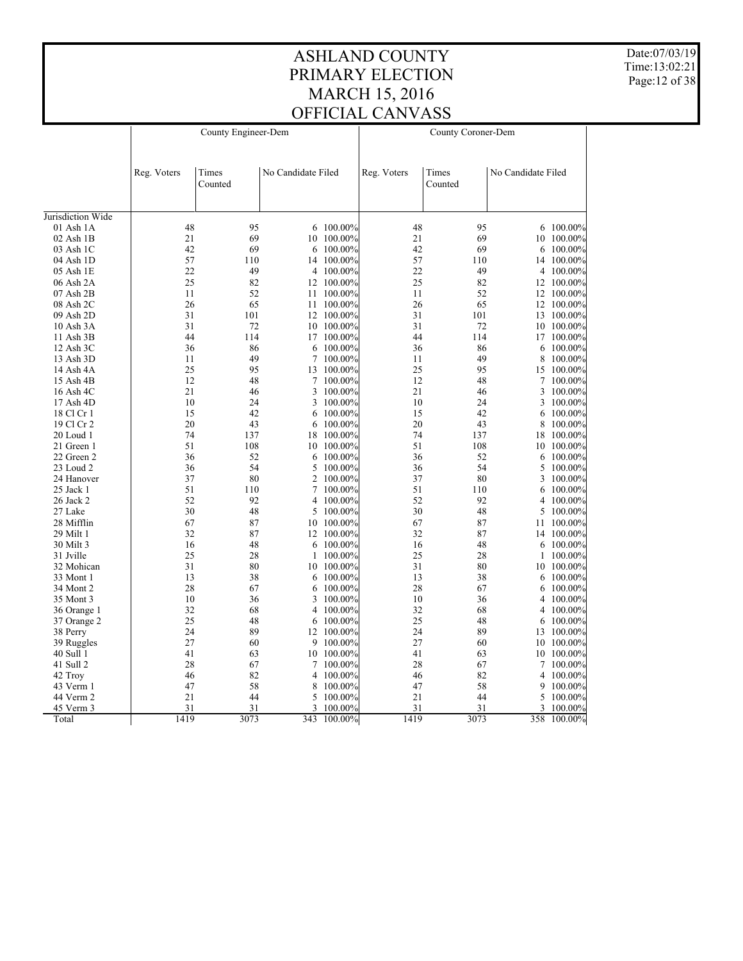Date:07/03/19 Time:13:02:21 Page:12 of 38

|                          |             | County Engineer-Dem |                    | County Coroner-Dem |             |                  |                    |                       |  |
|--------------------------|-------------|---------------------|--------------------|--------------------|-------------|------------------|--------------------|-----------------------|--|
|                          |             |                     |                    |                    |             |                  |                    |                       |  |
|                          |             |                     |                    |                    |             |                  |                    |                       |  |
|                          | Reg. Voters | Times<br>Counted    | No Candidate Filed |                    | Reg. Voters | Times<br>Counted | No Candidate Filed |                       |  |
|                          |             |                     |                    |                    |             |                  |                    |                       |  |
| Jurisdiction Wide        |             |                     |                    |                    |             |                  |                    |                       |  |
| 01 Ash 1A                | 48          | 95                  |                    | 6 100.00%          | 48          | 95               |                    | 6 100.00%             |  |
| $02$ Ash $1B$            | 21          | 69                  | 10                 | 100.00%            | 21          | 69               |                    | 10 100.00%            |  |
| 03 Ash 1C                | 42          | 69                  | 6                  | $100.00\%$         | 42          | 69               | 6                  | $100.00\%$            |  |
| 04 Ash 1D                | 57          | 110                 | 14                 | 100.00%            | 57          | 110              | 14                 | $100.00\%$            |  |
| 05 Ash 1E                | 22          | 49                  |                    | 4 100.00%          | 22          | 49               |                    | 4 100.00%             |  |
| 06 Ash 2A                | 25          | 82                  | 12                 | 100.00%            | 25          | 82               |                    | 12 100.00%            |  |
| $07$ Ash $2B$            | 11          | 52                  | 11                 | 100.00%            | 11          | 52               |                    | 12 100.00%            |  |
| 08 Ash 2C                | 26          | 65                  | 11                 | 100.00%            | 26          | 65               |                    | 12 100.00%            |  |
| 09 Ash 2D                | 31          | 101                 |                    | 12 100.00%         | 31          | 101              |                    | 13 100.00%            |  |
| 10 Ash 3A                | 31          | 72                  | 10                 | 100.00%            | 31          | 72               |                    | 10 100.00%            |  |
| 11 Ash 3B                | 44          | 114                 |                    | 17 100.00%         | 44          | 114              |                    | 17 100.00%            |  |
| 12 Ash 3C                | 36          | 86                  | 6                  | 100.00%            | 36          | 86               |                    | 6 100.00%             |  |
| 13 Ash 3D                | 11          | 49                  | 7                  | 100.00%            | 11          | 49               | 8                  | 100.00%               |  |
| 14 Ash 4A                | 25          | 95                  |                    | 13 100.00%         | 25          | 95               |                    | 15 100.00%            |  |
| 15 Ash 4B                | 12          | 48                  | 7                  | 100.00%            | 12          | 48               | 7                  | 100.00%               |  |
| 16 Ash 4C                | 21          | 46                  | 3                  | 100.00%            | 21          | 46               | 3                  | 100.00%               |  |
|                          | 10          | 24                  | 3                  | 100.00%            | 10          | 24               | 3                  |                       |  |
| 17 Ash 4D                | 15          | 42                  |                    |                    | 15          | 42               |                    | $100.00\%$            |  |
| 18 Cl Cr 1<br>19 Cl Cr 2 | 20          | 43                  | 6                  | 100.00%<br>100.00% | 20          | 43               | 6<br>8             | 100.00%               |  |
| 20 Loud 1                | 74          | 137                 | 6                  | 100.00%            | 74          | 137              |                    | 100.00%<br>18 100.00% |  |
|                          | 51          |                     | 18                 | 100.00%            | 51          | 108              |                    |                       |  |
| 21 Green 1               | 36          | 108<br>52           | 10                 |                    | 36          | 52               |                    | 10 100.00%            |  |
| 22 Green 2               |             | 54                  | 6                  | 100.00%            |             | 54               | 6                  | 100.00%               |  |
| 23 Loud 2                | 36<br>37    | 80                  | 5<br>2             | 100.00%            | 36<br>37    | 80               | 5                  | 100.00%               |  |
| 24 Hanover               |             |                     |                    | 100.00%            |             |                  | 3                  | 100.00%               |  |
| 25 Jack 1                | 51          | 110                 |                    | 7 100.00%          | 51          | 110              |                    | 6 100.00%             |  |
| 26 Jack 2                | 52          | 92                  | 4                  | 100.00%            | 52          | 92               | 4                  | 100.00%               |  |
| 27 Lake                  | 30          | 48                  | 5                  | $100.00\%$         | 30          | 48               | 5                  | 100.00%               |  |
| 28 Mifflin               | 67          | 87                  |                    | 10 100.00%         | 67          | 87               |                    | 11 100.00%            |  |
| 29 Milt 1                | 32          | 87                  | 12                 | 100.00%            | 32          | 87               | 14                 | 100.00%               |  |
| 30 Milt 3                | 16          | 48                  | 6                  | 100.00%            | 16          | 48               | 6                  | 100.00%               |  |
| 31 Jville                | 25          | 28                  | 1                  | 100.00%            | 25          | 28               | 1                  | 100.00%               |  |
| 32 Mohican               | 31          | 80                  | 10                 | 100.00%            | 31          | 80               |                    | 10 100.00%            |  |
| 33 Mont 1                | 13          | 38                  | 6                  | 100.00%            | 13          | 38               |                    | 6 100.00%             |  |
| 34 Mont 2                | 28          | 67                  | 6                  | 100.00%            | 28          | 67               |                    | 6 100.00%             |  |
| 35 Mont 3                | 10          | 36                  | 3                  | 100.00%            | 10          | 36               | 4                  | $100.00\%$            |  |
| 36 Orange 1              | 32          | 68                  | 4                  | 100.00%            | 32          | 68               |                    | 4 100.00%             |  |
| 37 Orange 2              | 25          | 48                  | 6                  | 100.00%            | 25          | 48               | 6                  | 100.00%               |  |
| 38 Perry                 | 24          | 89                  | 12                 | 100.00%            | 24          | 89               |                    | 13 100.00%            |  |
| 39 Ruggles               | 27          | 60                  |                    | 9 100.00%          | 27          | 60               |                    | 10 100.00%            |  |
| 40 Sull 1                | 41          | 63                  | 10                 | 100.00%            | 41          | 63               | 10                 | 100.00%               |  |
| 41 Sull 2                | 28          | 67                  |                    | 7 100.00%          | 28          | 67               |                    | 7 100.00%             |  |
| 42 Troy                  | 46          | 82                  | 4                  | 100.00%            | 46          | 82               |                    | 4 100.00%             |  |
| 43 Verm 1                | 47          | 58                  | 8                  | 100.00%            | 47          | 58               | 9                  | 100.00%               |  |
| 44 Verm 2                | 21          | 44                  | 5                  | 100.00%            | 21          | 44               |                    | 5 100.00%             |  |
| 45 Verm 3                | 31          | 31                  |                    | 3 100.00%          | 31          | 31               |                    | 3 100.00%             |  |
| Total                    | 1419        | 3073                |                    | 343 100.00%        | 1419        | 3073             |                    | 358 100.00%           |  |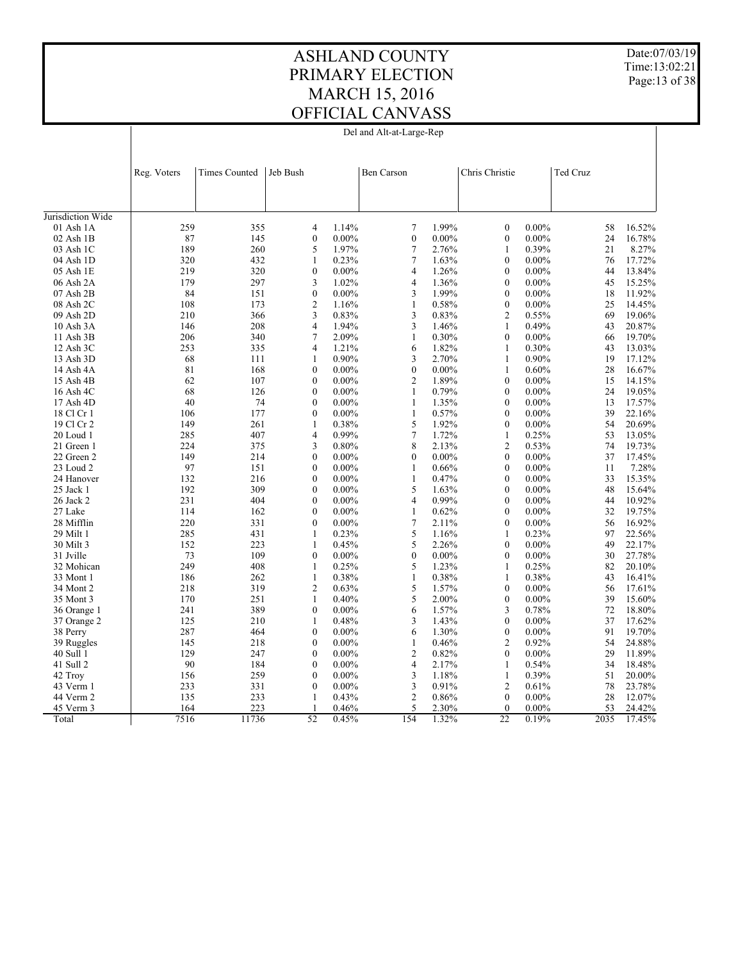$\overline{1}$ 

Del and Alt-at-Large-Rep

Date:07/03/19 Time:13:02:21 Page:13 of 38

 $\overline{\phantom{a}}$ 

|                   | Reg. Voters | <b>Times Counted</b> | Jeb Bush |                  |          | <b>Ben Carson</b> |          | Chris Christie   | Ted Cruz |      |        |
|-------------------|-------------|----------------------|----------|------------------|----------|-------------------|----------|------------------|----------|------|--------|
|                   |             |                      |          |                  |          |                   |          |                  |          |      |        |
| Jurisdiction Wide |             |                      |          |                  |          |                   |          |                  |          |      |        |
| 01 Ash 1A         | 259         | 355                  |          | 4                | 1.14%    | 7                 | 1.99%    | $\boldsymbol{0}$ | $0.00\%$ | 58   | 16.52% |
| $02$ Ash $1B$     | 87          | 145                  |          | $\mathbf{0}$     | $0.00\%$ | $\boldsymbol{0}$  | 0.00%    | $\mathbf{0}$     | $0.00\%$ | 24   | 16.78% |
| 03 Ash 1C         | 189         | 260                  |          | 5                | 1.97%    | $\tau$            | 2.76%    | $\mathbf{1}$     | 0.39%    | 21   | 8.27%  |
| 04 Ash 1D         | 320         | 432                  |          | $\mathbf{1}$     | 0.23%    | $\tau$            | 1.63%    | $\mathbf{0}$     | $0.00\%$ | 76   | 17.72% |
| 05 Ash 1E         | 219         | 320                  |          | $\boldsymbol{0}$ | $0.00\%$ | $\overline{4}$    | 1.26%    | $\mathbf{0}$     | $0.00\%$ | 44   | 13.84% |
| 06 Ash 2A         | 179         | 297                  |          | $\mathfrak{Z}$   | 1.02%    | $\overline{4}$    | 1.36%    | $\boldsymbol{0}$ | $0.00\%$ | 45   | 15.25% |
| 07 Ash 2B         | 84          | 151                  |          | $\mathbf{0}$     | $0.00\%$ | 3                 | 1.99%    | $\mathbf{0}$     | $0.00\%$ | 18   | 11.92% |
| 08 Ash 2C         | 108         | 173                  |          | $\sqrt{2}$       | 1.16%    | $\mathbf{1}$      | 0.58%    | $\boldsymbol{0}$ | $0.00\%$ | 25   | 14.45% |
| 09 Ash 2D         | 210         | 366                  |          | 3                | 0.83%    | 3                 | 0.83%    | $\overline{2}$   | 0.55%    | 69   | 19.06% |
| 10 Ash 3A         | 146         | 208                  |          | $\overline{4}$   | 1.94%    | 3                 | 1.46%    | $\mathbf{1}$     | 0.49%    | 43   | 20.87% |
| 11 Ash 3B         | 206         | 340                  |          | $\tau$           | 2.09%    | $\mathbf{1}$      | 0.30%    | $\mathbf{0}$     | $0.00\%$ | 66   | 19.70% |
| 12 Ash 3C         | 253         | 335                  |          | $\overline{4}$   | 1.21%    | 6                 | 1.82%    | $\mathbf{1}$     | 0.30%    | 43   | 13.03% |
| 13 Ash 3D         | 68          | 111                  |          | $\mathbf{1}$     | 0.90%    | 3                 | 2.70%    | $\mathbf{1}$     | 0.90%    | 19   | 17.12% |
| 14 Ash 4A         | 81          | 168                  |          | $\mathbf{0}$     | $0.00\%$ | $\mathbf{0}$      | $0.00\%$ | $\mathbf{1}$     | 0.60%    | 28   | 16.67% |
| 15 Ash 4B         | 62          | 107                  |          | $\boldsymbol{0}$ | $0.00\%$ | $\overline{2}$    | 1.89%    | $\boldsymbol{0}$ | $0.00\%$ | 15   | 14.15% |
| 16 Ash 4C         | 68          | 126                  |          | $\mathbf{0}$     | $0.00\%$ | $\mathbf{1}$      | 0.79%    | $\mathbf{0}$     | $0.00\%$ | 24   | 19.05% |
| 17 Ash 4D         | 40          | 74                   |          | $\mathbf{0}$     | $0.00\%$ | $\mathbf{1}$      | 1.35%    | $\boldsymbol{0}$ | $0.00\%$ | 13   | 17.57% |
| 18 Cl Cr 1        | 106         | 177                  |          | $\mathbf{0}$     | $0.00\%$ | $\mathbf{1}$      | 0.57%    | $\mathbf{0}$     | $0.00\%$ | 39   | 22.16% |
| 19 Cl Cr 2        | 149         | 261                  |          | $\mathbf{1}$     | 0.38%    | 5                 | 1.92%    | $\mathbf{0}$     | $0.00\%$ | 54   | 20.69% |
| $20$ Loud 1       | 285         | 407                  |          | $\overline{4}$   | 0.99%    | $\boldsymbol{7}$  | 1.72%    | $\mathbf{1}$     | 0.25%    | 53   | 13.05% |
| 21 Green 1        | 224         | 375                  |          | 3                | 0.80%    | 8                 | 2.13%    | $\overline{2}$   | 0.53%    | 74   | 19.73% |
| 22 Green 2        | 149         | 214                  |          | $\boldsymbol{0}$ | $0.00\%$ | $\boldsymbol{0}$  | $0.00\%$ | $\boldsymbol{0}$ | $0.00\%$ | 37   | 17.45% |
| 23 Loud 2         | 97          | 151                  |          | $\mathbf{0}$     | $0.00\%$ | $\mathbf{1}$      | 0.66%    | $\mathbf{0}$     | $0.00\%$ | 11   | 7.28%  |
| 24 Hanover        | 132         | 216                  |          | $\mathbf{0}$     | $0.00\%$ | $\mathbf{1}$      | 0.47%    | $\mathbf{0}$     | $0.00\%$ | 33   | 15.35% |
| $25$ Jack 1       | 192         | 309                  |          | $\mathbf{0}$     | $0.00\%$ | 5                 | 1.63%    | $\mathbf{0}$     | $0.00\%$ | 48   | 15.64% |
| 26 Jack 2         | 231         | 404                  |          | $\boldsymbol{0}$ | $0.00\%$ | $\overline{4}$    | 0.99%    | $\mathbf{0}$     | $0.00\%$ | 44   | 10.92% |
| 27 Lake           | 114         | 162                  |          | $\mathbf{0}$     | $0.00\%$ | $\mathbf{1}$      | 0.62%    | $\mathbf{0}$     | $0.00\%$ | 32   | 19.75% |
| 28 Mifflin        | 220         | 331                  |          | $\mathbf{0}$     | $0.00\%$ | $\tau$            | 2.11%    | $\boldsymbol{0}$ | $0.00\%$ | 56   | 16.92% |
| 29 Milt 1         | 285         | 431                  |          | $\mathbf{1}$     | 0.23%    | $\sqrt{5}$        | 1.16%    | $\mathbf{1}$     | 0.23%    | 97   | 22.56% |
| 30 Milt 3         | 152         | 223                  |          | $\mathbf{1}$     | 0.45%    | 5                 | 2.26%    | $\mathbf{0}$     | $0.00\%$ | 49   | 22.17% |
| 31 Jville         | 73          | 109                  |          | $\boldsymbol{0}$ | $0.00\%$ | $\boldsymbol{0}$  | $0.00\%$ | $\boldsymbol{0}$ | $0.00\%$ | 30   | 27.78% |
| 32 Mohican        | 249         | 408                  |          | $\mathbf{1}$     | 0.25%    | 5                 | 1.23%    | $\mathbf{1}$     | 0.25%    | 82   | 20.10% |
| 33 Mont 1         | 186         | 262                  |          | $\mathbf{1}$     | 0.38%    | $\mathbf{1}$      | 0.38%    | $\mathbf{1}$     | 0.38%    | 43   | 16.41% |
| 34 Mont 2         | 218         | 319                  |          | $\sqrt{2}$       | 0.63%    | $\sqrt{5}$        | 1.57%    | $\mathbf{0}$     | $0.00\%$ | 56   | 17.61% |
| 35 Mont 3         | 170         | 251                  |          | $\mathbf{1}$     | 0.40%    | 5                 | 2.00%    | $\mathbf{0}$     | $0.00\%$ | 39   | 15.60% |
| 36 Orange 1       | 241         | 389                  |          | $\boldsymbol{0}$ | $0.00\%$ | 6                 | 1.57%    | $\mathfrak{Z}$   | 0.78%    | 72   | 18.80% |
| 37 Orange 2       | 125         | 210                  |          | $\mathbf{1}$     | 0.48%    | 3                 | 1.43%    | $\mathbf{0}$     | $0.00\%$ | 37   | 17.62% |
| 38 Perry          | 287         | 464                  |          | $\boldsymbol{0}$ | $0.00\%$ | 6                 | 1.30%    | $\boldsymbol{0}$ | $0.00\%$ | 91   | 19.70% |
| 39 Ruggles        | 145         | 218                  |          | $\mathbf{0}$     | $0.00\%$ | $\mathbf{1}$      | 0.46%    | $\overline{2}$   | 0.92%    | 54   | 24.88% |
| 40 Sull 1         | 129         | 247                  |          | $\mathbf{0}$     | $0.00\%$ | $\overline{2}$    | 0.82%    | $\mathbf{0}$     | $0.00\%$ | 29   | 11.89% |
| 41 Sull 2         | 90          | 184                  |          | $\mathbf{0}$     | $0.00\%$ | $\overline{4}$    | 2.17%    | $\mathbf{1}$     | 0.54%    | 34   | 18.48% |
| 42 Troy           | 156         | 259                  |          | $\mathbf{0}$     | $0.00\%$ | 3                 | 1.18%    | $\mathbf{1}$     | 0.39%    | 51   | 20.00% |
| 43 Verm 1         | 233         | 331                  |          | $\boldsymbol{0}$ | $0.00\%$ | 3                 | 0.91%    | $\overline{2}$   | 0.61%    | 78   | 23.78% |
| 44 Verm 2         | 135         | 233                  |          | $\mathbf{1}$     | 0.43%    | $\overline{2}$    | 0.86%    | $\mathbf{0}$     | $0.00\%$ | 28   | 12.07% |
| 45 Verm 3         | 164         | 223                  |          | $\mathbf{1}$     | 0.46%    | 5                 | 2.30%    | $\mathbf{0}$     | $0.00\%$ | 53   | 24.42% |
| Total             | 7516        | 11736                |          | $\overline{52}$  | 0.45%    | 154               | 1.32%    | $\overline{22}$  | 0.19%    | 2035 | 17.45% |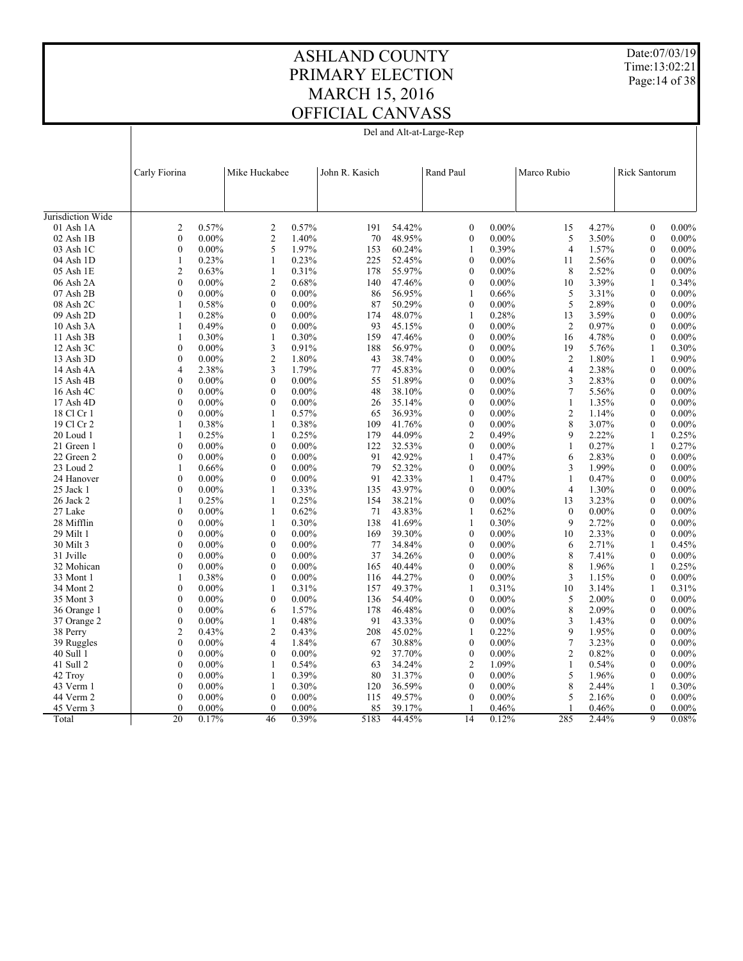Date:07/03/19 Time:13:02:21 Page:14 of 38

#### ASHLAND COUNTY PRIMARY ELECTION MARCH 15, 2016 OFFICIAL CANVASS Del and Alt-at-Large-Rep

|                   | Carly Fiorina    |          | Mike Huckabee                | John R. Kasich |        | Rand Paul        |          | Marco Rubio      |          | Rick Santorum |          |
|-------------------|------------------|----------|------------------------------|----------------|--------|------------------|----------|------------------|----------|---------------|----------|
|                   |                  |          |                              |                |        |                  |          |                  |          |               |          |
|                   |                  |          |                              |                |        |                  |          |                  |          |               |          |
| Jurisdiction Wide |                  |          |                              |                |        |                  |          |                  |          |               |          |
| 01 Ash 1A         | $\overline{c}$   | 0.57%    | 0.57%<br>$\overline{c}$      | 191            | 54.42% | $\boldsymbol{0}$ | $0.00\%$ | 15               | 4.27%    | $\mathbf{0}$  | $0.00\%$ |
| $02$ Ash $1B$     | $\boldsymbol{0}$ | $0.00\%$ | $\overline{2}$<br>1.40%      | 70             | 48.95% | $\boldsymbol{0}$ | $0.00\%$ | 5                | 3.50%    | $\mathbf{0}$  | $0.00\%$ |
| 03 Ash 1C         | $\mathbf{0}$     | $0.00\%$ | 5<br>1.97%                   | 153            | 60.24% | $\mathbf{1}$     | 0.39%    | $\overline{4}$   | 1.57%    | $\mathbf{0}$  | $0.00\%$ |
| 04 Ash 1D         | $\mathbf{1}$     | 0.23%    | $\mathbf{1}$<br>0.23%        | 225            | 52.45% | $\mathbf{0}$     | $0.00\%$ | 11               | 2.56%    | $\mathbf{0}$  | $0.00\%$ |
| 05 Ash 1E         | $\overline{2}$   | 0.63%    | $\mathbf{1}$<br>0.31%        | 178            | 55.97% | $\boldsymbol{0}$ | $0.00\%$ | 8                | 2.52%    | $\mathbf{0}$  | $0.00\%$ |
| 06 Ash 2A         | $\mathbf{0}$     | $0.00\%$ | 0.68%<br>$\overline{c}$      | 140            | 47.46% | $\theta$         | $0.00\%$ | 10               | 3.39%    | 1             | 0.34%    |
| 07 Ash 2B         | $\boldsymbol{0}$ | $0.00\%$ | $\mathbf{0}$<br>$0.00\%$     | 86             | 56.95% | 1                | 0.66%    | 5                | 3.31%    | $\mathbf{0}$  | $0.00\%$ |
| 08 Ash 2C         | 1                | 0.58%    | $0.00\%$<br>$\mathbf{0}$     | 87             | 50.29% | $\mathbf{0}$     | $0.00\%$ | 5                | 2.89%    | $\mathbf{0}$  | $0.00\%$ |
| 09 Ash 2D         | 1                | 0.28%    | $\mathbf{0}$<br>$0.00\%$     | 174            | 48.07% | 1                | 0.28%    | 13               | 3.59%    | $\theta$      | $0.00\%$ |
| 10 Ash 3A         | $\mathbf{1}$     | 0.49%    | $\boldsymbol{0}$<br>$0.00\%$ | 93             | 45.15% | $\boldsymbol{0}$ | $0.00\%$ | 2                | 0.97%    | $\mathbf{0}$  | $0.00\%$ |
| 11 Ash 3B         | 1                | 0.30%    | $\mathbf{1}$<br>0.30%        | 159            | 47.46% | $\mathbf{0}$     | $0.00\%$ | 16               | 4.78%    | $\mathbf{0}$  | $0.00\%$ |
| 12 Ash 3C         | $\mathbf{0}$     | $0.00\%$ | 3<br>0.91%                   | 188            | 56.97% | $\mathbf{0}$     | $0.00\%$ | 19               | 5.76%    | 1             | 0.30%    |
| 13 Ash 3D         | $\mathbf{0}$     | $0.00\%$ | $\mathfrak{2}$<br>1.80%      | 43             | 38.74% | $\mathbf{0}$     | $0.00\%$ | $\overline{c}$   | 1.80%    | 1             | 0.90%    |
| 14 Ash 4A         | $\overline{4}$   | 2.38%    | 3<br>1.79%                   | 77             | 45.83% | $\mathbf{0}$     | $0.00\%$ | $\overline{4}$   | 2.38%    | $\mathbf{0}$  | $0.00\%$ |
| 15 Ash 4B         | $\mathbf{0}$     | $0.00\%$ | $\boldsymbol{0}$<br>$0.00\%$ | 55             | 51.89% | $\mathbf{0}$     | $0.00\%$ | 3                | 2.83%    | $\mathbf{0}$  | $0.00\%$ |
| 16 Ash 4C         | $\boldsymbol{0}$ | $0.00\%$ | $\theta$<br>$0.00\%$         | 48             | 38.10% | $\theta$         | $0.00\%$ | $\tau$           | 5.56%    | $\Omega$      | $0.00\%$ |
| 17 Ash 4D         | $\boldsymbol{0}$ | $0.00\%$ | $\mathbf{0}$<br>$0.00\%$     | 26             | 35.14% | $\boldsymbol{0}$ | $0.00\%$ | $\mathbf{1}$     | 1.35%    | $\mathbf{0}$  | $0.00\%$ |
| 18 Cl Cr 1        | $\theta$         | $0.00\%$ | 0.57%<br>$\mathbf{1}$        | 65             | 36.93% | $\mathbf{0}$     | $0.00\%$ | $\overline{c}$   | 1.14%    | $\Omega$      | $0.00\%$ |
| 19 Cl Cr 2        | $\mathbf{1}$     | 0.38%    | $\mathbf{1}$<br>0.38%        | 109            | 41.76% | $\boldsymbol{0}$ | $0.00\%$ | 8                | 3.07%    | $\theta$      | $0.00\%$ |
| 20 Loud 1         | 1                | 0.25%    | 0.25%<br>1                   | 179            | 44.09% | $\overline{c}$   | 0.49%    | 9                | 2.22%    | 1             | 0.25%    |
| 21 Green 1        | $\boldsymbol{0}$ | $0.00\%$ | $\boldsymbol{0}$<br>$0.00\%$ | 122            | 32.53% | $\mathbf{0}$     | $0.00\%$ | $\mathbf{1}$     | 0.27%    | $\mathbf{1}$  | 0.27%    |
| 22 Green 2        | $\mathbf{0}$     | $0.00\%$ | $\mathbf{0}$<br>$0.00\%$     | 91             | 42.92% | $\mathbf{1}$     | 0.47%    | 6                | 2.83%    | $\Omega$      | $0.00\%$ |
| 23 Loud 2         | 1                | 0.66%    | $\mathbf{0}$<br>$0.00\%$     | 79             | 52.32% | $\boldsymbol{0}$ | $0.00\%$ | 3                | 1.99%    | $\Omega$      | $0.00\%$ |
| 24 Hanover        | $\mathbf{0}$     | $0.00\%$ | $\mathbf{0}$<br>$0.00\%$     | 91             | 42.33% | 1                | 0.47%    | $\mathbf{1}$     | 0.47%    | $\mathbf{0}$  | $0.00\%$ |
| $25$ Jack 1       | $\theta$         | $0.00\%$ | $\mathbf{1}$<br>0.33%        | 135            | 43.97% | $\theta$         | $0.00\%$ | $\overline{4}$   | 1.30%    | $\theta$      | $0.00\%$ |
| 26 Jack 2         | 1                | 0.25%    | $\mathbf{1}$<br>0.25%        | 154            | 38.21% | $\mathbf{0}$     | $0.00\%$ | 13               | 3.23%    | $\mathbf{0}$  | $0.00\%$ |
| 27 Lake           | $\boldsymbol{0}$ | $0.00\%$ | 0.62%<br>$\mathbf{1}$        | 71             | 43.83% | $\mathbf{1}$     | 0.62%    | $\boldsymbol{0}$ | $0.00\%$ | $\mathbf{0}$  | $0.00\%$ |
| 28 Mifflin        | $\mathbf{0}$     | $0.00\%$ | $\mathbf{1}$<br>0.30%        | 138            | 41.69% | $\mathbf{1}$     | 0.30%    | 9                | 2.72%    | $\theta$      | $0.00\%$ |
| 29 Milt 1         | $\boldsymbol{0}$ | $0.00\%$ | $0.00\%$<br>$\boldsymbol{0}$ | 169            | 39.30% | $\boldsymbol{0}$ | $0.00\%$ | 10               | 2.33%    | $\mathbf{0}$  | $0.00\%$ |
| 30 Milt 3         | $\mathbf{0}$     | $0.00\%$ | $\mathbf{0}$<br>$0.00\%$     | 77             | 34.84% | $\mathbf{0}$     | $0.00\%$ | 6                | 2.71%    | 1             | 0.45%    |
| 31 Jville         | $\mathbf{0}$     | $0.00\%$ | $\mathbf{0}$<br>$0.00\%$     | 37             | 34.26% | $\mathbf{0}$     | $0.00\%$ | 8                | 7.41%    | $\theta$      | $0.00\%$ |
| 32 Mohican        | $\mathbf{0}$     | $0.00\%$ | $\boldsymbol{0}$<br>$0.00\%$ | 165            | 40.44% | $\boldsymbol{0}$ | $0.00\%$ | 8                | 1.96%    | 1             | 0.25%    |
| 33 Mont 1         | 1                | 0.38%    | $\boldsymbol{0}$<br>$0.00\%$ | 116            | 44.27% | $\mathbf{0}$     | $0.00\%$ | 3                | 1.15%    | $\mathbf{0}$  | $0.00\%$ |
| 34 Mont 2         | $\mathbf{0}$     | $0.00\%$ | 0.31%<br>$\mathbf{1}$        | 157            | 49.37% | $\mathbf{1}$     | 0.31%    | 10               | 3.14%    | $\mathbf{1}$  | 0.31%    |
| 35 Mont 3         | $\mathbf{0}$     | $0.00\%$ | $\boldsymbol{0}$<br>$0.00\%$ | 136            | 54.40% | $\boldsymbol{0}$ | $0.00\%$ | 5                | 2.00%    | $\mathbf{0}$  | $0.00\%$ |
| 36 Orange 1       | $\mathbf{0}$     | $0.00\%$ | 1.57%<br>6                   | 178            | 46.48% | $\mathbf{0}$     | $0.00\%$ | 8                | 2.09%    | $\mathbf{0}$  | $0.00\%$ |
| 37 Orange 2       | $\mathbf{0}$     | $0.00\%$ | $\mathbf{1}$<br>0.48%        | 91             | 43.33% | $\theta$         | $0.00\%$ | 3                | 1.43%    | $\Omega$      | $0.00\%$ |
| 38 Perry          | $\mathfrak{2}$   | 0.43%    | $\overline{c}$<br>0.43%      | 208            | 45.02% | $\mathbf{1}$     | 0.22%    | 9                | 1.95%    | $\mathbf{0}$  | $0.00\%$ |
| 39 Ruggles        | $\boldsymbol{0}$ | $0.00\%$ | 1.84%<br>4                   | 67             | 30.88% | $\boldsymbol{0}$ | $0.00\%$ | $\tau$           | 3.23%    | $\mathbf{0}$  | $0.00\%$ |
| 40 Sull 1         | $\mathbf{0}$     | $0.00\%$ | $\mathbf{0}$<br>$0.00\%$     | 92             | 37.70% | $\mathbf{0}$     | $0.00\%$ | $\overline{c}$   | 0.82%    | $\Omega$      | $0.00\%$ |
| 41 Sull 2         | $\boldsymbol{0}$ | $0.00\%$ | 0.54%<br>1                   | 63             | 34.24% | $\mathbf{2}$     | 1.09%    | $\mathbf{1}$     | 0.54%    | $\mathbf{0}$  | $0.00\%$ |
| 42 Troy           | $\mathbf{0}$     | $0.00\%$ | 0.39%<br>1                   | 80             | 31.37% | $\mathbf{0}$     | $0.00\%$ | 5                | 1.96%    | $\mathbf{0}$  | $0.00\%$ |
| 43 Verm 1         | $\mathbf{0}$     | $0.00\%$ | $\mathbf{1}$<br>0.30%        | 120            | 36.59% | $\mathbf{0}$     | $0.00\%$ | 8                | 2.44%    | $\mathbf{1}$  | 0.30%    |
| 44 Verm 2         | $\mathbf{0}$     | $0.00\%$ | $\mathbf{0}$<br>$0.00\%$     | 115            | 49.57% | $\mathbf{0}$     | $0.00\%$ | 5                | 2.16%    | $\mathbf{0}$  | $0.00\%$ |
| 45 Verm 3         | $\theta$         | $0.00\%$ | $\theta$<br>$0.00\%$         | 85             | 39.17% | $\mathbf{1}$     | 0.46%    | $\mathbf{1}$     | 0.46%    | $\theta$      | $0.00\%$ |
| Total             | $\overline{20}$  | 0.17%    | 46<br>0.39%                  | 5183           | 44.45% | 14               | 0.12%    | 285              | 2.44%    | 9             | 0.08%    |
|                   |                  |          |                              |                |        |                  |          |                  |          |               |          |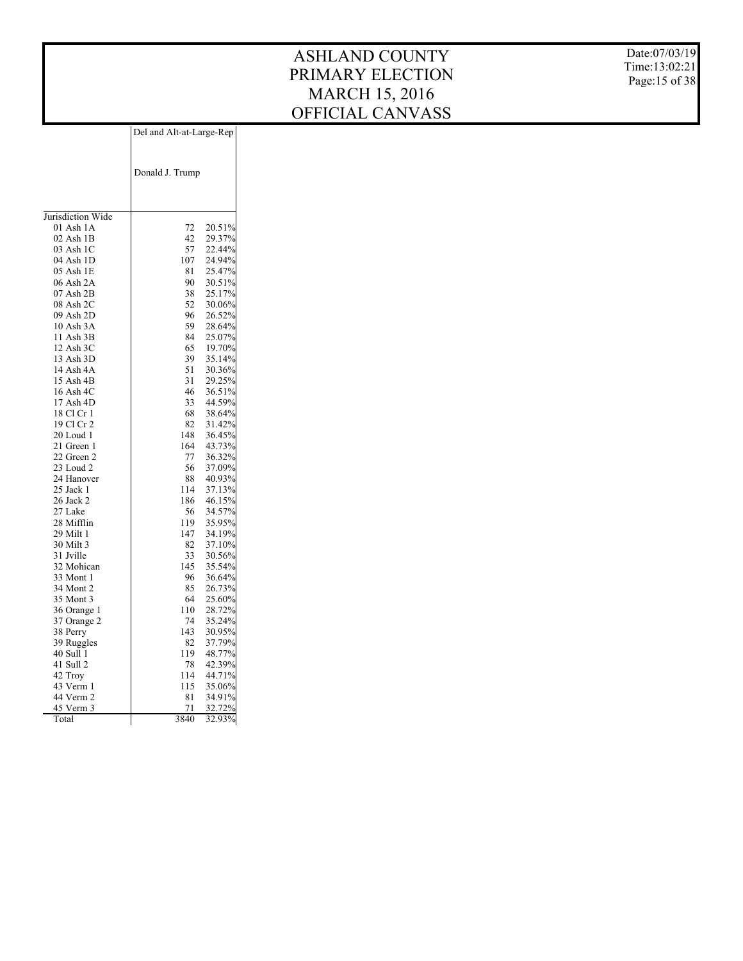Date:07/03/19 Time:13:02:21 Page:15 of 38

|                        | Del and Alt-at-Large-Rep |                  |
|------------------------|--------------------------|------------------|
|                        |                          |                  |
|                        |                          |                  |
|                        | Donald J. Trump          |                  |
|                        |                          |                  |
|                        |                          |                  |
|                        |                          |                  |
| Jurisdiction Wide      |                          |                  |
| 01 Ash 1A              | 72                       | 20.51%           |
| 02 Ash 1B              | 42                       | 29.37%           |
| 03 Ash 1C              | 57                       | 22.44%           |
| 04 Ash 1D              | 107                      | 24.94%           |
| 05 Ash 1E              | 81                       | 25.47%           |
| 06 Ash 2A              | 90                       | 30.51%           |
| 07 Ash 2B              | 38                       | 25.17%           |
| 08 Ash 2C              | 52                       | 30.06%           |
| 09 Ash 2D              | 96                       | 26.52%           |
| 10 Ash 3A              | 59                       | 28.64%           |
| 11 Ash 3B              | 84                       | 25.07%           |
| 12 Ash 3C              | 65                       | 19.70%           |
| 13 Ash 3D              | 39                       | 35.14%           |
| 14 Ash 4A              | 51                       | 30.36%           |
| 15 Ash 4B              | 31                       | 29.25%           |
| 16 Ash 4C              | 46                       | 36.51%           |
| 17 Ash 4D              | 33                       | 44.59%           |
| 18 Cl Cr 1             | 68                       | 38.64%           |
| 19 Cl Cr 2             | 82                       | 31.42%           |
| 20 Loud 1              | 148                      | 36.45%           |
| 21 Green 1             | 164                      | 43.73%           |
| 22 Green 2             | 77                       | 36.32%           |
| 23 Loud 2              | 56                       | 37.09%           |
| 24 Hanover             | 88                       | 40.93%           |
| 25 Jack 1<br>26 Jack 2 | 114                      | 37.13%           |
| 27 Lake                | 186<br>56                | 46.15%           |
| 28 Mifflin             | 119                      | 34.57%<br>35.95% |
| 29 Milt 1              | 147                      | 34.19%           |
| 30 Milt 3              | 82                       | 37.10%           |
| 31 Jville              | 33                       | 30.56%           |
| 32 Mohican             | 145                      | 35.54%           |
| 33 Mont 1              | 96                       | 36.64%           |
| 34 Mont 2              | 85                       | 26.73%           |
| 35 Mont 3              | 64                       | 25.60%           |
| 36 Orange 1            | 110                      | 28.72%           |
| 37 Orange 2            | 74                       | 35.24%           |
| 38 Perry               | 143                      | 30.95%           |
| 39 Ruggles             | 82                       | 37.79%           |
| 40 Sull 1              | 119                      | 48.77%           |
| 41 Sull 2              | 78                       | 42.39%           |
| 42 Troy                | 114                      | 44.71%           |
| 43 Verm 1              | 115                      | 35.06%           |
| 44 Verm 2              | 81                       | 34.91%           |
| 45 Verm 3              | 71                       | 32.72%           |
| Total                  | 3840                     | 32.93%           |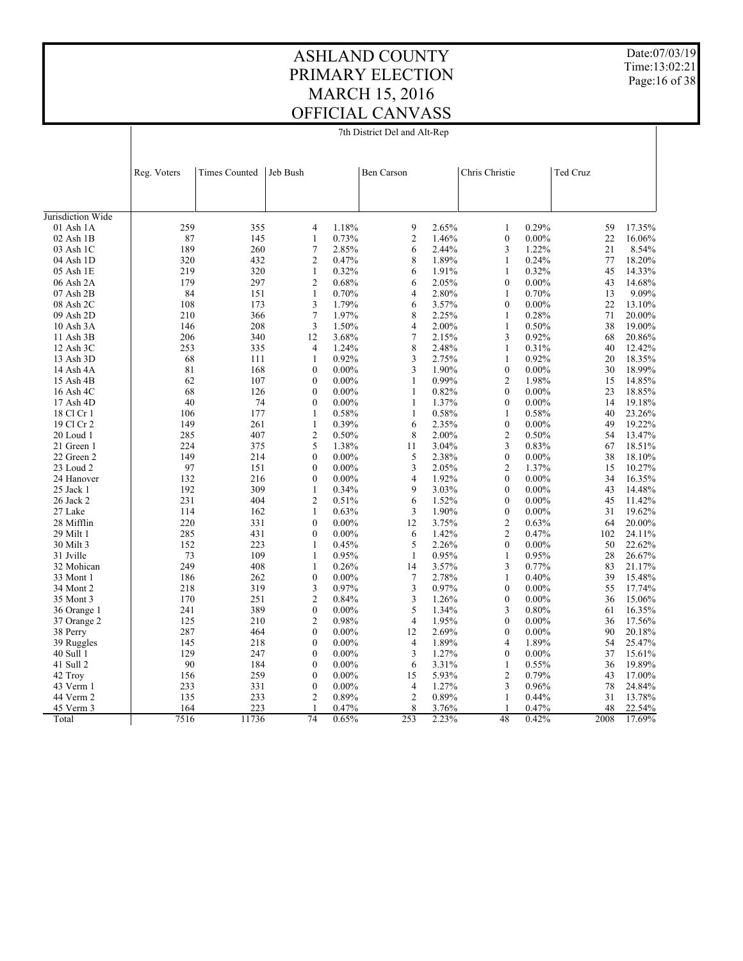7th District Del and Alt-Rep

Date:07/03/19 Time:13:02:21 Page:16 of 38

|                         | Reg. Voters | <b>Times Counted</b> | Jeb Bush          |          | Ben Carson              |       | Chris Christie   |          | Ted Cruz |        |
|-------------------------|-------------|----------------------|-------------------|----------|-------------------------|-------|------------------|----------|----------|--------|
|                         |             |                      |                   |          |                         |       |                  |          |          |        |
| Jurisdiction Wide       |             |                      |                   |          |                         |       |                  |          |          |        |
| $01$ Ash $1A$           | 259         | 355                  | 4                 | 1.18%    | 9                       | 2.65% | $\mathbf{1}$     | 0.29%    | 59       | 17.35% |
| $02$ Ash $1B$           | 87          | 145                  | 1                 | 0.73%    | $\overline{\mathbf{c}}$ | 1.46% | $\boldsymbol{0}$ | $0.00\%$ | 22       | 16.06% |
| 03 Ash 1C               | 189         | 260                  | $\tau$            | 2.85%    | 6                       | 2.44% | 3                | 1.22%    | 21       | 8.54%  |
| 04 Ash 1D               | 320         | 432                  | 2                 | 0.47%    | 8                       | 1.89% | $\mathbf{1}$     | 0.24%    | 77       | 18.20% |
| 05 Ash 1E               | 219         | 320                  | $\mathbf{1}$      | 0.32%    | 6                       | 1.91% | 1                | 0.32%    | 45       | 14.33% |
| 06 Ash 2A               | 179         | 297                  | $\overline{c}$    | 0.68%    | 6                       | 2.05% | $\mathbf{0}$     | $0.00\%$ | 43       | 14.68% |
| 07 Ash 2B               | 84          | 151                  | $\mathbf{1}$      | 0.70%    | 4                       | 2.80% | 1                | 0.70%    | 13       | 9.09%  |
| 08 Ash 2C               | 108         | 173                  | 3                 | 1.79%    | 6                       | 3.57% | $\mathbf{0}$     | $0.00\%$ | 22       | 13.10% |
| 09 Ash 2D               | 210         | 366                  | $\boldsymbol{7}$  | 1.97%    | 8                       | 2.25% | $\mathbf{1}$     | 0.28%    | 71       | 20.00% |
| 10 Ash 3A               | 146         | 208                  | 3                 | 1.50%    | $\overline{4}$          | 2.00% | 1                | 0.50%    | 38       | 19.00% |
| 11 Ash 3B               | 206         | 340                  | 12                | 3.68%    | 7                       | 2.15% | 3                | 0.92%    | 68       | 20.86% |
| 12 Ash 3C               | 253         | 335                  | $\overline{4}$    | 1.24%    | 8                       | 2.48% | $\mathbf{1}$     | 0.31%    | 40       | 12.42% |
| 13 Ash 3D               | 68          | 111                  | $\mathbf{1}$      | 0.92%    | 3                       | 2.75% | $\mathbf{1}$     | 0.92%    | 20       | 18.35% |
| 14 Ash 4A               | 81          | 168                  | $\boldsymbol{0}$  | $0.00\%$ | 3                       | 1.90% | $\boldsymbol{0}$ | $0.00\%$ | 30       | 18.99% |
| 15 Ash 4B               | 62          | 107                  | $\mathbf{0}$      | $0.00\%$ | $\mathbf{1}$            | 0.99% | $\overline{2}$   | 1.98%    | 15       | 14.85% |
| 16 Ash 4C               | 68          | 126                  | $\boldsymbol{0}$  | $0.00\%$ | $\mathbf{1}$            | 0.82% | $\mathbf{0}$     | $0.00\%$ | 23       | 18.85% |
| 17 Ash 4D               | 40          | 74                   | $\theta$          | $0.00\%$ | $\mathbf{1}$            | 1.37% | $\theta$         | $0.00\%$ | 14       | 19.18% |
| 18 Cl Cr 1              | 106         | 177                  | $\mathbf{1}$      | 0.58%    | $\mathbf{1}$            | 0.58% | 1                | 0.58%    | 40       | 23.26% |
| 19 Cl Cr 2              | 149         | 261                  | $\mathbf{1}$      | 0.39%    | 6                       | 2.35% | $\mathbf{0}$     | $0.00\%$ | 49       | 19.22% |
| $20$ Loud 1             | 285         | 407                  | 2                 | 0.50%    | 8                       | 2.00% | $\overline{2}$   | 0.50%    | 54       | 13.47% |
| 21 Green 1              | 224         | 375                  | 5                 | 1.38%    | 11                      | 3.04% | 3                | 0.83%    | 67       | 18.51% |
| 22 Green 2              | 149         | 214                  | $\mathbf{0}$      | $0.00\%$ | 5                       | 2.38% | $\boldsymbol{0}$ | $0.00\%$ | 38       | 18.10% |
| 23 Loud 2               | 97          | 151                  | $\mathbf{0}$      | $0.00\%$ | 3                       | 2.05% | $\overline{2}$   | 1.37%    | 15       | 10.27% |
|                         | 132         | 216                  | $\mathbf{0}$      | $0.00\%$ | $\overline{4}$          | 1.92% | $\mathbf{0}$     | $0.00\%$ | 34       | 16.35% |
| 24 Hanover<br>25 Jack 1 | 192         | 309                  | $\mathbf{1}$      | 0.34%    | 9                       | 3.03% | $\mathbf{0}$     | $0.00\%$ | 43       | 14.48% |
|                         | 231         | 404                  | $\overline{c}$    | 0.51%    | 6                       | 1.52% | $\mathbf{0}$     | $0.00\%$ | 45       | 11.42% |
| 26 Jack 2               |             |                      |                   |          |                         |       | $\mathbf{0}$     |          |          |        |
| 27 Lake                 | 114<br>220  | 162                  | 1<br>$\mathbf{0}$ | 0.63%    | 3                       | 1.90% |                  | $0.00\%$ | 31       | 19.62% |
| 28 Mifflin              |             | 331                  |                   | $0.00\%$ | 12                      | 3.75% | $\overline{2}$   | 0.63%    | 64       | 20.00% |
| 29 Milt 1               | 285         | 431                  | $\mathbf{0}$      | $0.00\%$ | 6                       | 1.42% | 2                | 0.47%    | 102      | 24.11% |
| 30 Milt 3               | 152         | 223                  | $\mathbf{1}$      | 0.45%    | 5                       | 2.26% | $\mathbf{0}$     | $0.00\%$ | 50       | 22.62% |
| 31 Jville               | 73          | 109                  | $\mathbf{1}$      | 0.95%    | $\mathbf{1}$            | 0.95% | $\mathbf{1}$     | 0.95%    | 28       | 26.67% |
| 32 Mohican              | 249         | 408                  | $\mathbf{1}$      | 0.26%    | 14                      | 3.57% | 3                | 0.77%    | 83       | 21.17% |
| 33 Mont 1               | 186         | 262                  | $\boldsymbol{0}$  | $0.00\%$ | $\boldsymbol{7}$        | 2.78% | $\mathbf{1}$     | 0.40%    | 39       | 15.48% |
| 34 Mont 2               | 218         | 319                  | 3                 | 0.97%    | 3                       | 0.97% | $\mathbf{0}$     | $0.00\%$ | 55       | 17.74% |
| 35 Mont 3               | 170         | 251                  | $\overline{c}$    | 0.84%    | 3                       | 1.26% | $\mathbf{0}$     | $0.00\%$ | 36       | 15.06% |
| 36 Orange 1             | 241         | 389                  | $\boldsymbol{0}$  | $0.00\%$ | 5                       | 1.34% | 3                | 0.80%    | 61       | 16.35% |
| 37 Orange 2             | 125         | 210                  | $\overline{c}$    | 0.98%    | $\overline{4}$          | 1.95% | $\theta$         | $0.00\%$ | 36       | 17.56% |
| 38 Perry                | 287         | 464                  | $\boldsymbol{0}$  | $0.00\%$ | 12                      | 2.69% | $\boldsymbol{0}$ | $0.00\%$ | 90       | 20.18% |
| 39 Ruggles              | 145         | 218                  | $\mathbf{0}$      | $0.00\%$ | $\overline{4}$          | 1.89% | 4                | 1.89%    | 54       | 25.47% |
| 40 Sull 1               | 129         | 247                  | $\boldsymbol{0}$  | $0.00\%$ | 3                       | 1.27% | $\boldsymbol{0}$ | $0.00\%$ | 37       | 15.61% |
| 41 Sull 2               | 90          | 184                  | $\mathbf{0}$      | $0.00\%$ | 6                       | 3.31% | $\mathbf{1}$     | 0.55%    | 36       | 19.89% |
| 42 Troy                 | 156         | 259                  | $\boldsymbol{0}$  | $0.00\%$ | 15                      | 5.93% | 2                | 0.79%    | 43       | 17.00% |
| 43 Verm 1               | 233         | 331                  | $\boldsymbol{0}$  | $0.00\%$ | $\overline{4}$          | 1.27% | 3                | 0.96%    | 78       | 24.84% |
| 44 Verm 2               | 135         | 233                  | $\overline{2}$    | 0.89%    | $\overline{2}$          | 0.89% | $\mathbf{1}$     | 0.44%    | 31       | 13.78% |
| 45 Verm 3               | 164         | 223                  | 1                 | 0.47%    | 8                       | 3.76% | $\mathbf{1}$     | 0.47%    | 48       | 22.54% |
| Total                   | 7516        | 11736                | 74                | 0.65%    | 253                     | 2.23% | 48               | 0.42%    | 2008     | 17.69% |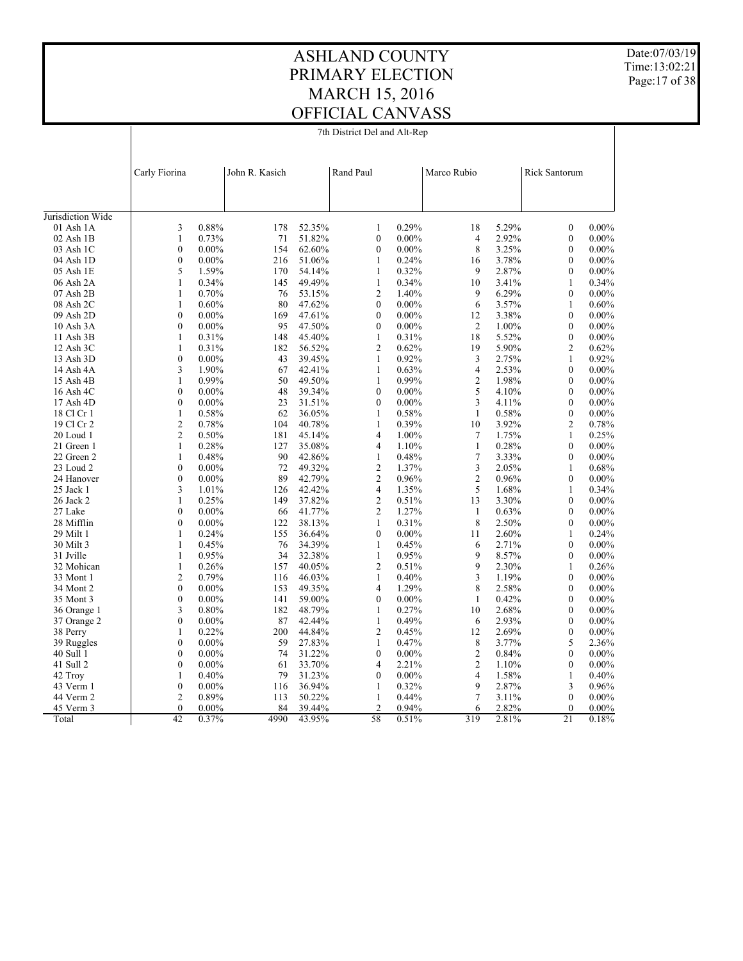7th District Del and Alt-Rep

 $\overline{1}$ 

Date:07/03/19 Time:13:02:21 Page:17 of 38

|                         | Carly Fiorina    |          | John R. Kasich |        | Rand Paul      |          | Marco Rubio    |       | <b>Rick Santorum</b> |                   |
|-------------------------|------------------|----------|----------------|--------|----------------|----------|----------------|-------|----------------------|-------------------|
|                         |                  |          |                |        |                |          |                |       |                      |                   |
| Jurisdiction Wide       |                  |          |                |        |                |          |                |       |                      |                   |
| $01$ Ash $1A$           | 3                | 0.88%    | 178            | 52.35% | $\mathbf{1}$   | 0.29%    | 18             | 5.29% | $\mathbf{0}$         | $0.00\%$          |
| 02 Ash 1B               | $\mathbf{1}$     | 0.73%    | 71             | 51.82% | $\mathbf{0}$   | $0.00\%$ | $\overline{4}$ | 2.92% | $\mathbf{0}$         | $0.00\%$          |
| 03 Ash 1C               | $\mathbf{0}$     | $0.00\%$ | 154            | 62.60% | $\theta$       | $0.00\%$ | 8              | 3.25% | $\theta$             | $0.00\%$          |
| 04 Ash 1D               | $\boldsymbol{0}$ | $0.00\%$ | 216            | 51.06% | $\mathbf{1}$   | 0.24%    | 16             | 3.78% | $\mathbf{0}$         | $0.00\%$          |
| 05 Ash 1E               | 5                | 1.59%    | 170            | 54.14% | $\mathbf{1}$   | 0.32%    | 9              | 2.87% | $\theta$             | $0.00\%$          |
| 06 Ash 2A               | $\mathbf{1}$     | 0.34%    | 145            | 49.49% | $\mathbf{1}$   | 0.34%    | 10             | 3.41% | $\mathbf{1}$         | 0.34%             |
| $07$ Ash $2B$           | $\mathbf{1}$     | 0.70%    | 76             | 53.15% | $\overline{2}$ | 1.40%    | $\mathbf Q$    | 6.29% | $\theta$             | $0.00\%$          |
| 08 Ash 2C               | $\mathbf{1}$     | 0.60%    | 80             | 47.62% | $\theta$       | $0.00\%$ | 6              | 3.57% | $\mathbf{1}$         | 0.60%             |
| 09 Ash 2D               | $\boldsymbol{0}$ | $0.00\%$ | 169            | 47.61% | $\theta$       | $0.00\%$ | 12             | 3.38% | $\theta$             | $0.00\%$          |
| 10 Ash 3A               | $\mathbf{0}$     | $0.00\%$ | 95             | 47.50% | $\mathbf{0}$   | $0.00\%$ | $\overline{2}$ | 1.00% | $\mathbf{0}$         | $0.00\%$          |
| 11 Ash 3B               | $\mathbf{1}$     | 0.31%    | 148            | 45.40% | $\mathbf{1}$   | 0.31%    | 18             | 5.52% | $\mathbf{0}$         | $0.00\%$          |
| 12 Ash 3C               | $\mathbf{1}$     | 0.31%    | 182            | 56.52% | $\overline{c}$ | 0.62%    | 19             | 5.90% | $\overline{2}$       | 0.62%             |
| 13 Ash 3D               | $\mathbf{0}$     | $0.00\%$ | 43             | 39.45% | $\mathbf{1}$   | 0.92%    | 3              | 2.75% | $\mathbf{1}$         | 0.92%             |
| 14 Ash 4A               | 3                | 1.90%    | 67             | 42.41% | $\mathbf{1}$   | 0.63%    | $\overline{4}$ | 2.53% | $\theta$             | $0.00\%$          |
| 15 Ash 4B               | $\mathbf{1}$     | 0.99%    | 50             | 49.50% | $\mathbf{1}$   | 0.99%    | $\overline{2}$ | 1.98% | $\mathbf{0}$         | $0.00\%$          |
| 16 Ash 4C               | $\mathbf{0}$     | $0.00\%$ | 48             | 39.34% | $\mathbf{0}$   | $0.00\%$ | 5              | 4.10% | $\theta$             | $0.00\%$          |
| 17 Ash 4D               | $\mathbf{0}$     | $0.00\%$ | 23             | 31.51% | $\mathbf{0}$   | $0.00\%$ | 3              | 4.11% | $\mathbf{0}$         | $0.00\%$          |
| 18 Cl Cr 1              | $\mathbf{1}$     | 0.58%    | 62             | 36.05% | $\mathbf{1}$   | 0.58%    | $\mathbf{1}$   | 0.58% | $\theta$             | $0.00\%$          |
| 19 Cl Cr 2              | $\mathfrak{2}$   | 0.78%    | 104            | 40.78% | $\mathbf{1}$   | 0.39%    | 10             | 3.92% | $\overline{2}$       | 0.78%             |
| 20 Loud 1               | $\overline{2}$   | 0.50%    | 181            | 45.14% | $\overline{4}$ | 1.00%    | $\overline{7}$ | 1.75% | $\mathbf{1}$         | 0.25%             |
| 21 Green 1              | $\mathbf{1}$     | 0.28%    | 127            | 35.08% | $\overline{4}$ | 1.10%    | $\mathbf{1}$   | 0.28% | $\mathbf{0}$         | $0.00\%$          |
| 22 Green 2              | $\mathbf{1}$     | 0.48%    | 90             | 42.86% | $\mathbf{1}$   | 0.48%    | $\overline{7}$ | 3.33% | $\theta$             | $0.00\%$          |
| 23 Loud 2               | $\mathbf{0}$     | $0.00\%$ | 72             | 49.32% | $\mathfrak{2}$ | 1.37%    | 3              | 2.05% | $\mathbf{1}$         | 0.68%             |
| 24 Hanover              | $\theta$         | $0.00\%$ | 89             | 42.79% | $\overline{c}$ | 0.96%    | $\overline{2}$ | 0.96% | $\theta$             | $0.00\%$          |
| 25 Jack 1               | 3                | 1.01%    | 126            | 42.42% | $\overline{4}$ | 1.35%    | 5              | 1.68% | $\mathbf{1}$         | 0.34%             |
| 26 Jack 2               | $\mathbf{1}$     | 0.25%    | 149            | 37.82% | $\overline{c}$ | 0.51%    | 13             | 3.30% | $\mathbf{0}$         | $0.00\%$          |
| 27 Lake                 | $\mathbf{0}$     | $0.00\%$ | 66             | 41.77% | $\overline{2}$ | 1.27%    | $\mathbf{1}$   | 0.63% | $\theta$             | $0.00\%$          |
| 28 Mifflin              | $\boldsymbol{0}$ | $0.00\%$ | 122            | 38.13% | $\mathbf{1}$   | 0.31%    | 8              | 2.50% | $\mathbf{0}$         | $0.00\%$          |
| 29 Milt 1               | $\mathbf{1}$     | 0.24%    | 155            | 36.64% | $\theta$       | $0.00\%$ | 11             | 2.60% | $\mathbf{1}$         | 0.24%             |
| 30 Milt 3               | $\mathbf{1}$     | 0.45%    | 76             | 34.39% | $\mathbf{1}$   | 0.45%    | 6              | 2.71% | $\mathbf{0}$         | $0.00\%$          |
| 31 Jville               | $\mathbf{1}$     | 0.95%    | 34             | 32.38% | $\mathbf{1}$   | 0.95%    | 9              | 8.57% | $\theta$             | $0.00\%$          |
| 32 Mohican              | $\mathbf{1}$     | 0.26%    | 157            | 40.05% | $\overline{2}$ | 0.51%    | 9              | 2.30% | $\mathbf{1}$         | 0.26%             |
| 33 Mont 1               | $\overline{c}$   | 0.79%    | 116            | 46.03% | $\mathbf{1}$   | 0.40%    | 3              | 1.19% | $\theta$             | $0.00\%$          |
| 34 Mont 2               | $\mathbf{0}$     | $0.00\%$ | 153            | 49.35% | $\overline{4}$ | 1.29%    | 8              | 2.58% | $\theta$             | $0.00\%$          |
| 35 Mont 3               | $\mathbf{0}$     | $0.00\%$ | 141            | 59.00% | $\mathbf{0}$   | $0.00\%$ | $\mathbf{1}$   | 0.42% | $\theta$             | $0.00\%$          |
| 36 Orange 1             | 3                | 0.80%    | 182            | 48.79% | $\mathbf{1}$   | 0.27%    | 10             | 2.68% | $\mathbf{0}$         | $0.00\%$          |
| 37 Orange 2             | $\theta$         | $0.00\%$ | 87             | 42.44% | $\mathbf{1}$   | 0.49%    | 6              | 2.93% | $\theta$             | $0.00\%$          |
| 38 Perry                | $\mathbf{1}$     | 0.22%    | 200            | 44.84% | $\overline{c}$ | 0.45%    | 12             | 2.69% | $\mathbf{0}$         | $0.00\%$          |
|                         | $\theta$         | $0.00\%$ | 59             | 27.83% | $\mathbf{1}$   | 0.47%    | 8              | 3.77% | 5                    | 2.36%             |
| 39 Ruggles<br>40 Sull 1 | $\mathbf{0}$     | $0.00\%$ | 74             | 31.22% | $\mathbf{0}$   | $0.00\%$ | $\overline{2}$ | 0.84% | $\mathbf{0}$         | $0.00\%$          |
|                         |                  |          |                |        | $\overline{4}$ |          | $\overline{2}$ |       | $\mathbf{0}$         |                   |
| 41 Sull 2               | $\boldsymbol{0}$ | $0.00\%$ | 61<br>79       | 33.70% | $\mathbf{0}$   | 2.21%    | $\overline{4}$ | 1.10% | $\mathbf{1}$         | $0.00\%$<br>0.40% |
| 42 Troy                 | $\mathbf{1}$     | 0.40%    |                | 31.23% |                | $0.00\%$ |                | 1.58% |                      |                   |
| 43 Verm 1               | $\boldsymbol{0}$ | $0.00\%$ | 116            | 36.94% | 1              | 0.32%    | 9              | 2.87% | 3                    | 0.96%             |
| 44 Verm 2               | $\overline{c}$   | 0.89%    | 113            | 50.22% | $\mathbf{1}$   | 0.44%    | $\overline{7}$ | 3.11% | $\theta$             | $0.00\%$          |
| 45 Verm 3               | $\theta$         | $0.00\%$ | 84             | 39.44% | $\overline{2}$ | 0.94%    | 6              | 2.82% | $\mathbf{0}$         | $0.00\%$          |
| Total                   | 42               | 0.37%    | 4990           | 43.95% | 58             | 0.51%    | 319            | 2.81% | $\overline{21}$      | 0.18%             |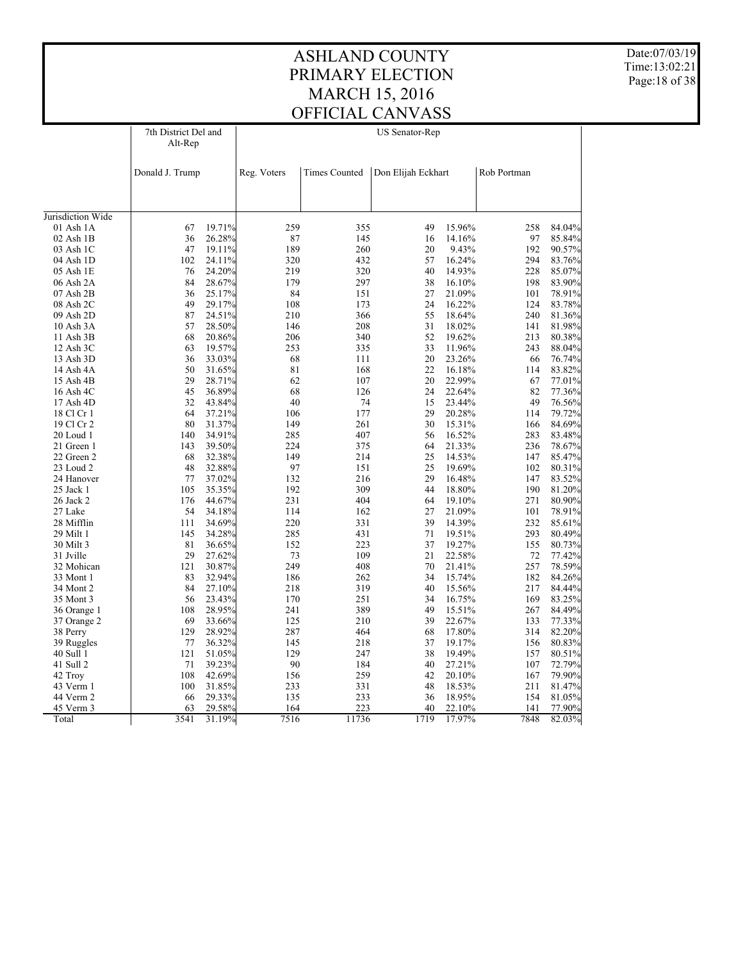Date:07/03/19 Time:13:02:21 Page:18 of 38

|                         | 7th District Del and<br>Alt-Rep |                  |             |                      | <b>US Senator-Rep</b> |                  |             |                  |
|-------------------------|---------------------------------|------------------|-------------|----------------------|-----------------------|------------------|-------------|------------------|
|                         | Donald J. Trump                 |                  | Reg. Voters | <b>Times Counted</b> | Don Elijah Eckhart    |                  | Rob Portman |                  |
|                         |                                 |                  |             |                      |                       |                  |             |                  |
| Jurisdiction Wide       |                                 |                  |             |                      |                       |                  |             |                  |
| 01 Ash 1A               | 67                              | 19.71%           | 259         | 355                  | 49                    | 15.96%           | 258         | 84.04%           |
| 02 Ash 1B               | 36                              | 26.28%           | 87          | 145                  | 16                    | 14.16%           | 97          | 85.84%           |
| 03 Ash 1C               | 47                              | 19.11%           | 189         | 260                  | 20                    | 9.43%            | 192         | 90.57%           |
| 04 Ash 1D               | 102                             | 24.11%           | 320         | 432                  | 57                    | 16.24%           | 294         | 83.76%           |
| 05 Ash 1E               | 76                              | 24.20%           | 219         | 320                  | 40                    | 14.93%           | 228         | 85.07%           |
| 06 Ash 2A               | 84                              | 28.67%           | 179         | 297                  | 38                    | 16.10%           | 198         | 83.90%           |
| 07 Ash 2B               | 36                              | 25.17%           | 84          | 151                  | 27                    | 21.09%           | 101         | 78.91%           |
| 08 Ash 2C               | 49                              | 29.17%           | 108         | 173                  | 24                    | 16.22%           | 124         | 83.78%           |
| 09 Ash 2D               | 87                              | 24.51%           | 210         | 366                  | 55                    | 18.64%           | 240         | 81.36%           |
| 10 Ash 3A               | 57                              | 28.50%           | 146         | 208                  | 31                    | 18.02%           | 141         | 81.98%           |
| 11 Ash 3B               | 68                              | 20.86%           | 206         | 340                  | 52                    | 19.62%           | 213         | 80.38%           |
| 12 Ash 3C               | 63                              | 19.57%           | 253         | 335                  | 33                    | 11.96%           | 243         | 88.04%           |
| 13 Ash 3D               | 36                              | 33.03%           | 68          | 111                  | 20                    | 23.26%           | 66          | 76.74%           |
| 14 Ash 4A               | 50                              | 31.65%           | 81          | 168                  | 22                    | 16.18%           | 114         | 83.82%           |
| 15 Ash 4B               | 29                              | 28.71%           | 62          | 107                  | 20                    | 22.99%           | 67          | 77.01%           |
| 16 Ash 4C               | 45                              | 36.89%           | 68          | 126                  | 24                    | 22.64%           | 82          | 77.36%           |
| 17 Ash 4D               | 32                              | 43.84%           | 40          | 74                   | 15                    | 23.44%           | 49          | 76.56%           |
| 18 Cl Cr 1              | 64                              | 37.21%           | 106         | 177                  | 29                    | 20.28%           | 114         | 79.72%           |
| 19 Cl Cr 2              | 80                              | 31.37%           | 149         | 261                  | 30                    | 15.31%           | 166         | 84.69%           |
| 20 Loud 1               | 140                             | 34.91%           | 285         | 407                  | 56                    | 16.52%           | 283         | 83.48%           |
| 21 Green 1              | 143                             | 39.50%           | 224         | 375                  | 64                    | 21.33%           | 236         | 78.67%           |
| 22 Green 2              | 68                              | 32.38%           | 149         | 214                  | 25                    | 14.53%           | 147         | 85.47%           |
| 23 Loud 2               | 48                              | 32.88%           | 97          | 151                  | 25                    | 19.69%           | 102         | 80.31%           |
| 24 Hanover              | 77                              | 37.02%           | 132         | 216                  | 29                    | 16.48%           | 147         | 83.52%           |
| 25 Jack 1               | 105                             | 35.35%           | 192         | 309                  | 44                    | 18.80%           | 190         | 81.20%           |
| 26 Jack 2               | 176                             | 44.67%           | 231         | 404                  | 64                    | 19.10%           | 271         | 80.90%           |
| 27 Lake                 | 54                              | 34.18%           | 114         | 162                  | 27                    | 21.09%           | 101         | 78.91%           |
| 28 Mifflin              | 111                             | 34.69%           | 220         | 331                  | 39                    | 14.39%           | 232         | 85.61%           |
| 29 Milt 1               | 145                             | 34.28%           | 285         | 431                  | 71                    | 19.51%           | 293         | 80.49%           |
| 30 Milt 3               | 81                              | 36.65%           | 152         | 223                  | 37                    | 19.27%           | 155         | 80.73%           |
| 31 Jville               | 29                              | 27.62%           | 73          | 109                  | 21                    | 22.58%           | 72          | 77.42%           |
| 32 Mohican              | 121                             | 30.87%           | 249         | 408                  | 70<br>34              | 21.41%           | 257         | 78.59%           |
| 33 Mont 1               | 83                              | 32.94%           | 186         | 262                  |                       | 15.74%           | 182         | 84.26%           |
| 34 Mont 2               | 84<br>56                        | 27.10%<br>23.43% | 218<br>170  | 319<br>251           | 40<br>34              | 15.56%<br>16.75% | 217<br>169  | 84.44%           |
| 35 Mont 3               |                                 |                  |             |                      | 49                    |                  |             | 83.25%           |
| 36 Orange 1             | 108<br>69                       | 28.95%           | 241         | 389<br>210           | 39                    | 15.51%           | 267         | 84.49%           |
| 37 Orange 2             | 129                             | 33.66%<br>28.92% | 125<br>287  | 464                  | 68                    | 22.67%<br>17.80% | 133<br>314  | 77.33%<br>82.20% |
| 38 Perry                | 77                              | 36.32%           | 145         | 218                  | 37                    | 19.17%           | 156         | 80.83%           |
| 39 Ruggles<br>40 Sull 1 | 121                             | 51.05%           | 129         | 247                  | 38                    | 19.49%           | 157         |                  |
|                         | 71                              |                  | 90          |                      | 40                    | 27.21%           | 107         | 80.51%           |
| 41 Sull 2<br>42 Troy    | 108                             | 39.23%<br>42.69% | 156         | 184<br>259           | 42                    | 20.10%           | 167         | 72.79%<br>79.90% |
| 43 Verm 1               | 100                             | 31.85%           | 233         | 331                  | 48                    | 18.53%           | 211         | 81.47%           |
| 44 Verm 2               | 66                              | 29.33%           | 135         | 233                  | 36                    | 18.95%           | 154         | 81.05%           |
| 45 Verm 3               | 63                              | 29.58%           | 164         | 223                  | 40                    | 22.10%           | 141         | 77.90%           |
| Total                   | 3541                            | 31.19%           | 7516        | 11736                | 1719                  | 17.97%           | 7848        | 82.03%           |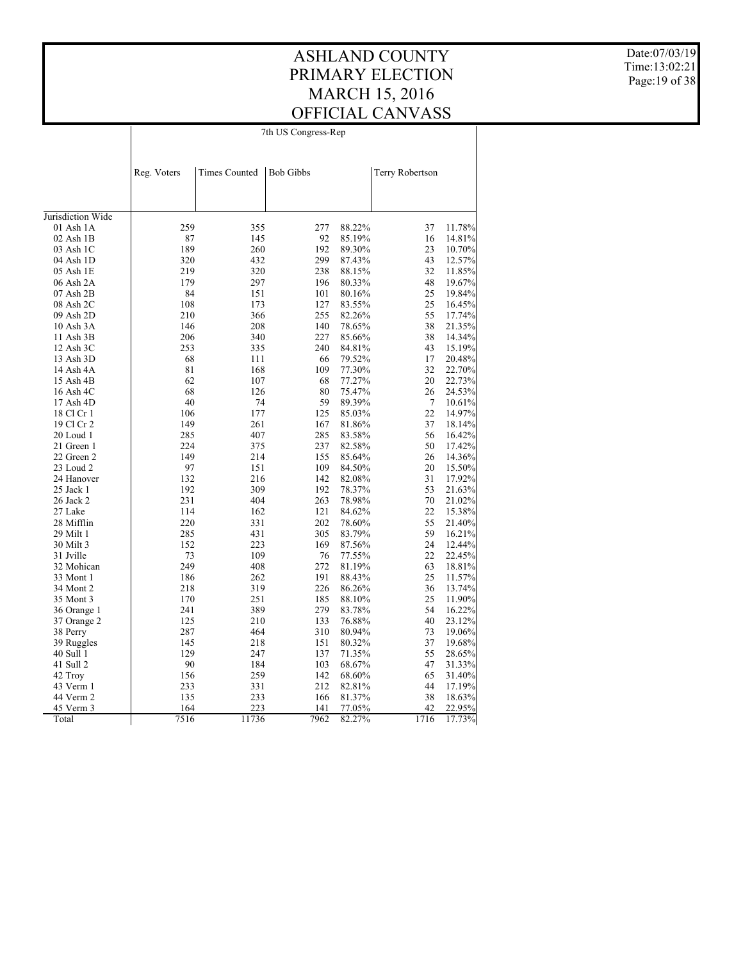#### ASHLAND COUNTY PRIMARY ELECTION MARCH 15, 2016 OFFICIAL CANVASS 7th US Congress-Rep

Date:07/03/19 Time:13:02:21 Page:19 of 38

|                            | Reg. Voters | <b>Times Counted</b> | <b>Bob Gibbs</b> |                  | <b>Terry Robertson</b> |                  |
|----------------------------|-------------|----------------------|------------------|------------------|------------------------|------------------|
|                            |             |                      |                  |                  |                        |                  |
|                            |             |                      |                  |                  |                        |                  |
|                            |             |                      |                  |                  |                        |                  |
| Jurisdiction Wide          |             |                      |                  |                  |                        |                  |
| 01 Ash 1A<br>$02$ Ash $1B$ | 259         | 355<br>145           | 277              | 88.22%           | 37                     | 11.78%           |
|                            | 87<br>189   |                      | 92<br>192        | 85.19%           | 16<br>23               | 14.81%           |
| 03 Ash 1C                  |             | 260                  |                  | 89.30%           |                        | 10.70%           |
| 04 Ash 1D<br>05 Ash 1E     | 320<br>219  | 432<br>320           | 299<br>238       | 87.43%<br>88.15% | 43<br>32               | 12.57%<br>11.85% |
|                            | 179         | 297                  | 196              |                  | 48                     |                  |
| 06 Ash 2A<br>07 Ash 2B     | 84          | 151                  | 101              | 80.33%<br>80.16% | 25                     | 19.67%<br>19.84% |
|                            | 108         | 173                  | 127              | 83.55%           | 25                     | 16.45%           |
| 08 Ash 2C<br>09 Ash 2D     | 210         | 366                  | 255              | 82.26%           | 55                     | 17.74%           |
|                            | 146         | 208                  | 140              | 78.65%           | 38                     | 21.35%           |
| 10 Ash 3A<br>11 Ash 3B     | 206         | 340                  | 227              | 85.66%           | 38                     |                  |
|                            | 253         |                      | 240              |                  | 43                     | 14.34%<br>15.19% |
| 12 Ash 3C                  |             | 335                  |                  | 84.81%           | 17                     |                  |
| 13 Ash 3D                  | 68<br>81    | 111<br>168           | 66               | 79.52%           |                        | 20.48%           |
| 14 Ash 4A                  | 62          |                      | 109              | 77.30%           | 32                     | 22.70%           |
| 15 Ash 4B                  | 68          | 107                  | 68               | 77.27%           | 20                     | 22.73%           |
| 16 Ash 4C                  |             | 126                  | 80               | 75.47%           | 26                     | 24.53%           |
| 17 Ash 4D                  | 40          | 74                   | 59               | 89.39%           | 7                      | 10.61%           |
| 18 Cl Cr 1                 | 106         | 177                  | 125              | 85.03%           | 22                     | 14.97%           |
| 19 Cl Cr 2                 | 149         | 261                  | 167              | 81.86%           | 37                     | 18.14%           |
| 20 Loud 1                  | 285         | 407                  | 285              | 83.58%           | 56                     | 16.42%           |
| 21 Green 1                 | 224<br>149  | 375<br>214           | 237<br>155       | 82.58%           | 50                     | 17.42%           |
| 22 Green 2                 |             |                      |                  | 85.64%           | 26                     | 14.36%           |
| 23 Loud 2                  | 97          | 151                  | 109              | 84.50%           | 20                     | 15.50%           |
| 24 Hanover                 | 132         | 216                  | 142              | 82.08%           | 31<br>53               | 17.92%           |
| 25 Jack 1                  | 192<br>231  | 309<br>404           | 192<br>263       | 78.37%<br>78.98% | 70                     | 21.63%           |
| 26 Jack 2                  |             |                      |                  |                  |                        | 21.02%           |
| 27 Lake                    | 114         | 162                  | 121              | 84.62%           | 22                     | 15.38%           |
| 28 Mifflin                 | 220         | 331                  | 202              | 78.60%           | 55                     | 21.40%           |
| 29 Milt 1                  | 285         | 431                  | 305              | 83.79%           | 59<br>24               | 16.21%           |
| 30 Milt 3<br>31 Jville     | 152<br>73   | 223<br>109           | 169<br>76        | 87.56%<br>77.55% | 22                     | 12.44%<br>22.45% |
|                            |             |                      |                  |                  |                        |                  |
| 32 Mohican                 | 249<br>186  | 408<br>262           | 272<br>191       | 81.19%<br>88.43% | 63<br>25               | 18.81%           |
| 33 Mont 1                  |             |                      |                  |                  |                        | 11.57%           |
| 34 Mont 2                  | 218         | 319                  | 226              | 86.26%           | 36                     | 13.74%           |
| 35 Mont 3                  | 170         | 251                  | 185              | 88.10%           | 25                     | 11.90%           |
| 36 Orange 1                | 241         | 389                  | 279              | 83.78%           | 54                     | 16.22%           |
| 37 Orange 2                | 125         | 210                  | 133              | 76.88%           | 40                     | 23.12%           |
| 38 Perry                   | 287         | 464                  | 310              | 80.94%           | 73                     | 19.06%           |
| 39 Ruggles                 | 145         | 218                  | 151              | 80.32%           | 37                     | 19.68%           |
| 40 Sull 1                  | 129         | 247                  | 137              | 71.35%           | 55                     | 28.65%           |
| 41 Sull 2                  | 90          | 184                  | 103              | 68.67%           | 47                     | 31.33%           |
| 42 Troy                    | 156         | 259                  | 142              | 68.60%           | 65                     | 31.40%           |
| 43 Verm 1                  | 233         | 331                  | 212              | 82.81%           | 44                     | 17.19%           |
| 44 Verm 2                  | 135         | 233                  | 166              | 81.37%           | 38                     | 18.63%           |
| 45 Verm 3                  | 164         | 223                  | 141              | 77.05%           | 42                     | 22.95%           |
| Total                      | 7516        | 11736                | 7962             | 82.27%           | 1716                   | 17.73%           |

 $\overline{1}$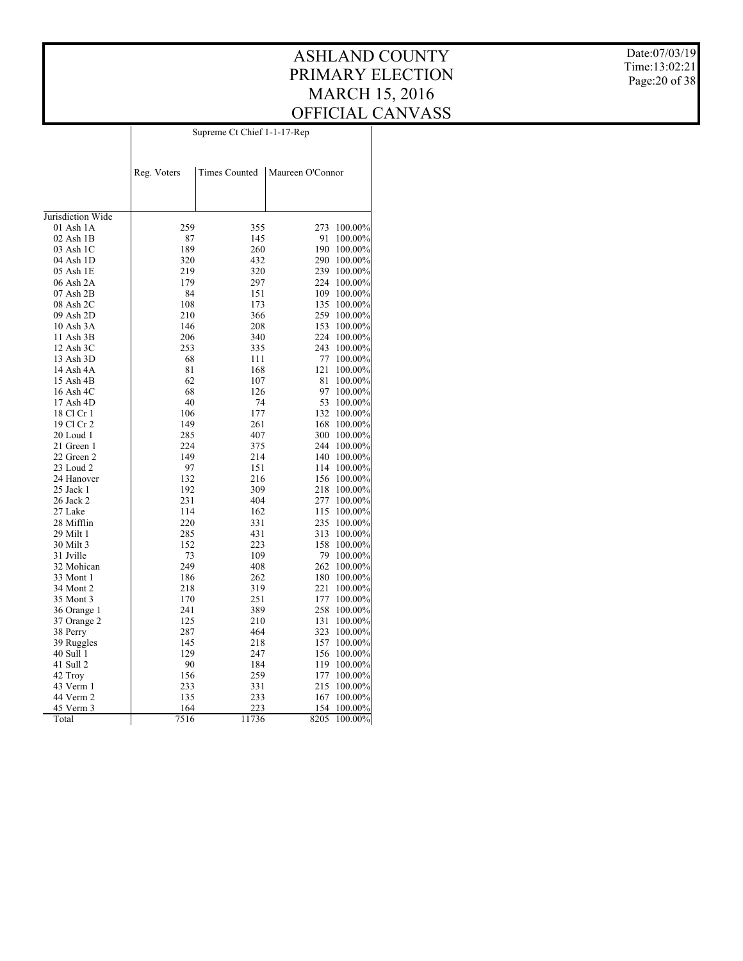#### ASHLAND COUNTY PRIMARY ELECTION MARCH 15, 2016 OFFICIAL CANVASS Supreme Ct Chief 1-1-17-Rep

Date:07/03/19 Time:13:02:21 Page:20 of 38

|                   | Reg. Voters | <b>Times Counted</b> | Maureen O'Connor |         |
|-------------------|-------------|----------------------|------------------|---------|
|                   |             |                      |                  |         |
| Jurisdiction Wide |             |                      |                  |         |
| $01$ Ash $1A$     | 259         | 355                  | 273              | 100.00% |
| $02$ Ash $1B$     | 87          | 145                  | 91               | 100.00% |
| 03 Ash 1C         | 189         | 260                  | 190              | 100.00% |
| 04 Ash 1D         | 320         | 432                  | 290              | 100.00% |
| 05 Ash 1E         | 219         | 320                  | 239              | 100.00% |
| 06 Ash 2A         | 179         | 297                  | 224              | 100.00% |
| $07$ Ash $2B$     | 84          | 151                  | 109              | 100.00% |
| 08 Ash 2C         | 108         | 173                  | 135              | 100.00% |
| 09 Ash 2D         | 210         | 366                  | 259              | 100.00% |
| 10 Ash 3A         | 146         | 208                  | 153              | 100.00% |
| 11 Ash 3B         | 206         | 340                  | 224              | 100.00% |
| 12 Ash 3C         | 253         | 335                  | 243              | 100.00% |
| 13 Ash 3D         | 68          | 111                  | 77               | 100.00% |
| 14 Ash 4A         | 81          | 168                  | 121              | 100.00% |
| 15 Ash 4B         | 62          | 107                  | 81               | 100.00% |
| 16 Ash 4C         | 68          | 126                  | 97               | 100.00% |
| 17 Ash 4D         | 40          | 74                   | 53               | 100.00% |
| 18 Cl Cr 1        | 106         | 177                  | 132              | 100.00% |
| 19 Cl Cr 2        | 149         | 261                  | 168              | 100.00% |
| 20 Loud 1         | 285         | 407                  | 300              | 100.00% |
| 21 Green 1        | 224         | 375                  | 244              | 100.00% |
| 22 Green 2        | 149         | 214                  | 140              | 100.00% |
| 23 Loud 2         | 97          | 151                  | 114              | 100.00% |
| 24 Hanover        | 132         | 216                  | 156              | 100.00% |
| 25 Jack 1         | 192         | 309                  | 218              | 100.00% |
| 26 Jack 2         | 231         | 404                  | 277              | 100.00% |
| 27 Lake           | 114         | 162                  | 115              | 100.00% |
| 28 Mifflin        | 220         | 331                  | 235              | 100.00% |
| 29 Milt 1         | 285         | 431                  | 313              | 100.00% |
| 30 Milt 3         | 152         | 223                  | 158              | 100.00% |
| 31 Jville         | 73          | 109                  | 79               | 100.00% |
| 32 Mohican        | 249         | 408                  | 262              | 100.00% |
| 33 Mont 1         | 186         | 262                  | 180              | 100.00% |
| 34 Mont 2         | 218         | 319                  | 221              | 100.00% |
| 35 Mont 3         | 170         | 251                  | 177              | 100.00% |
| 36 Orange 1       | 241         | 389                  | 258              | 100.00% |
| 37 Orange 2       | 125         | 210                  | 131              | 100.00% |
| 38 Perry          | 287         | 464                  | 323              | 100.00% |
| 39 Ruggles        | 145         | 218                  | 157              | 100.00% |
| 40 Sull 1         | 129         | 247                  | 156              | 100.00% |
| 41 Sull 2         | 90          | 184                  | 119              | 100.00% |
| 42 Troy           | 156         | 259                  | 177              | 100.00% |
| 43 Verm 1         | 233         | 331                  | 215              | 100.00% |
| 44 Verm 2         | 135         | 233                  | 167              | 100.00% |
| 45 Verm 3         | 164         | 223                  | 154              | 100.00% |
| Total             | 7516        | 11736                | 8205             | 100.00% |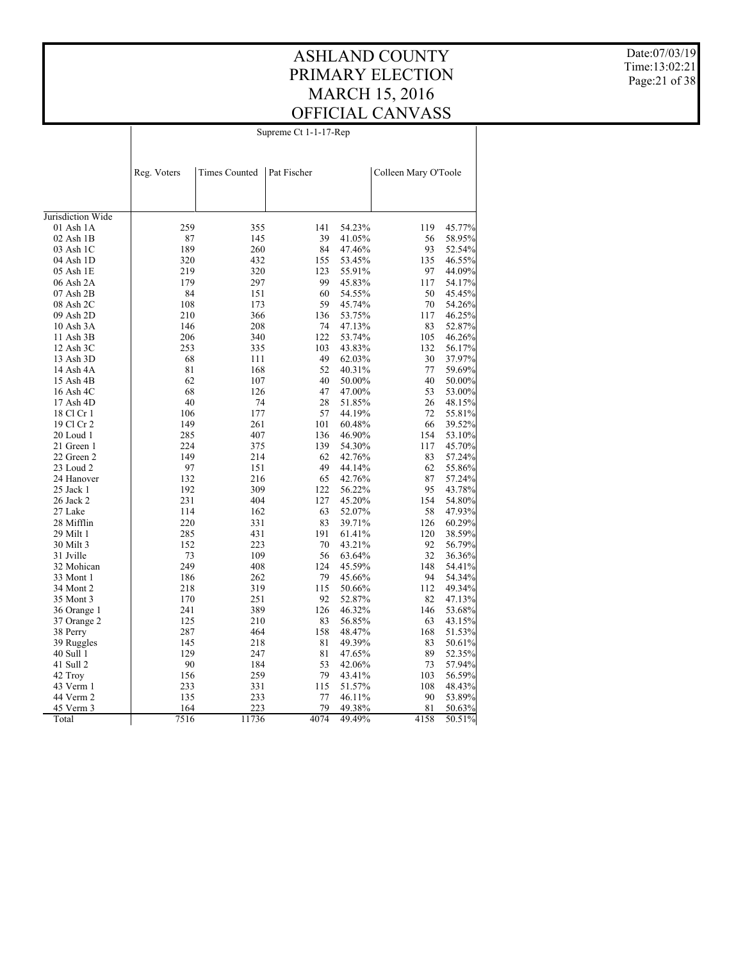#### ASHLAND COUNTY PRIMARY ELECTION MARCH 15, 2016 OFFICIAL CANVASS Supreme Ct 1-1-17-Rep

 $\overline{\phantom{a}}$ 

Date:07/03/19 Time:13:02:21 Page:21 of 38

|                   | Reg. Voters | <b>Times Counted</b> | Pat Fischer       |        | Colleen Mary O'Toole |        |
|-------------------|-------------|----------------------|-------------------|--------|----------------------|--------|
|                   |             |                      |                   |        |                      |        |
| Jurisdiction Wide |             |                      |                   |        |                      |        |
| $01$ Ash $1A$     | 259         | 355                  | 141               | 54.23% | 119                  | 45.77% |
| 02 Ash 1B         | 87          | 145                  | 39                | 41.05% | 56                   | 58.95% |
| 03 Ash 1C         | 189         | 260                  | 84                | 47.46% | 93                   | 52.54% |
| 04 Ash 1D         | 320         | 432                  | 155               | 53.45% | 135                  | 46.55% |
| 05 Ash 1E         | 219         | 320                  | 123               | 55.91% | 97                   | 44.09% |
| 06 Ash 2A         | 179         | 297                  | 99                | 45.83% | 117                  | 54.17% |
| 07 Ash 2B         | 84          | 151                  | 60                | 54.55% | 50                   | 45.45% |
| 08 Ash 2C         | 108         | 173                  | 59                | 45.74% | 70                   | 54.26% |
| 09 Ash 2D         | 210         | 366                  | 136               | 53.75% | 117                  | 46.25% |
| 10 Ash 3A         | 146         | 208                  | 74                | 47.13% | 83                   | 52.87% |
| 11 Ash 3B         | 206         | 340                  | 122               | 53.74% | 105                  | 46.26% |
| 12 Ash 3C         | 253         | 335                  | 103               | 43.83% | 132                  | 56.17% |
| 13 Ash 3D         | 68          | 111                  | 49                | 62.03% | 30                   | 37.97% |
| 14 Ash 4A         | 81          | 168                  | 52                | 40.31% | 77                   | 59.69% |
| 15 Ash 4B         | 62          | 107                  | 40                | 50.00% | 40                   | 50.00% |
| 16 Ash 4C         | 68          | 126                  | 47                | 47.00% | 53                   | 53.00% |
| 17 Ash 4D         | 40          | 74                   | 28                | 51.85% | 26                   | 48.15% |
| 18 Cl Cr 1        | 106         | 177                  | 57                | 44.19% | 72                   | 55.81% |
| 19 Cl Cr 2        | 149         | 261                  | 101               | 60.48% | 66                   | 39.52% |
| 20 Loud 1         | 285         | 407                  | 136               | 46.90% | 154                  | 53.10% |
| 21 Green 1        | 224         | 375                  | 139               | 54.30% | 117                  | 45.70% |
| 22 Green 2        | 149         | 214                  | 62                | 42.76% | 83                   | 57.24% |
| 23 Loud 2         | 97          | 151                  | 49                | 44.14% | 62                   | 55.86% |
| 24 Hanover        | 132         | 216                  | 65                | 42.76% | 87                   | 57.24% |
| 25 Jack 1         | 192         | 309                  | 122               | 56.22% | 95                   | 43.78% |
| 26 Jack 2         | 231         | 404                  | 127               | 45.20% | 154                  | 54.80% |
| 27 Lake           | 114         | 162                  | 63                | 52.07% | 58                   | 47.93% |
| 28 Mifflin        | 220         | 331                  | 83                | 39.71% | 126                  | 60.29% |
| 29 Milt 1         | 285         | 431                  | 191               | 61.41% | 120                  | 38.59% |
| 30 Milt 3         | 152         | 223                  | 70                | 43.21% | 92                   | 56.79% |
| 31 Jville         | 73          | 109                  | 56                | 63.64% | 32                   | 36.36% |
| 32 Mohican        | 249         | 408                  | 124               | 45.59% | 148                  | 54.41% |
| 33 Mont 1         | 186         | 262                  | 79                | 45.66% | 94                   | 54.34% |
| 34 Mont 2         | 218         | 319                  | 115               | 50.66% | 112                  | 49.34% |
| 35 Mont 3         | 170         | 251                  | 92                | 52.87% | 82                   | 47.13% |
| 36 Orange 1       | 241         | 389                  | 126               | 46.32% | 146                  | 53.68% |
| 37 Orange 2       | 125         | 210                  | 83                | 56.85% | 63                   | 43.15% |
| 38 Perry          | 287         | 464                  | 158               | 48.47% | 168                  | 51.53% |
| 39 Ruggles        | 145         | 218                  | 81                | 49.39% | 83                   | 50.61% |
| 40 Sull 1         | 129         | 247                  | 81                | 47.65% | 89                   | 52.35% |
| 41 Sull 2         | 90          | 184                  | 53                | 42.06% | 73                   | 57.94% |
| 42 Troy           | 156         | 259                  | 79                | 43.41% | 103                  | 56.59% |
| 43 Verm 1         | 233         | 331                  | 115               | 51.57% | 108                  | 48.43% |
| 44 Verm 2         | 135         | 233                  | 77                | 46.11% | 90                   | 53.89% |
| 45 Verm 3         | 164         | 223                  | 79                | 49.38% | 81                   | 50.63% |
| Total             | 7516        | 11736                | $407\overline{4}$ | 49.49% | 4158                 | 50.51% |

 $\overline{1}$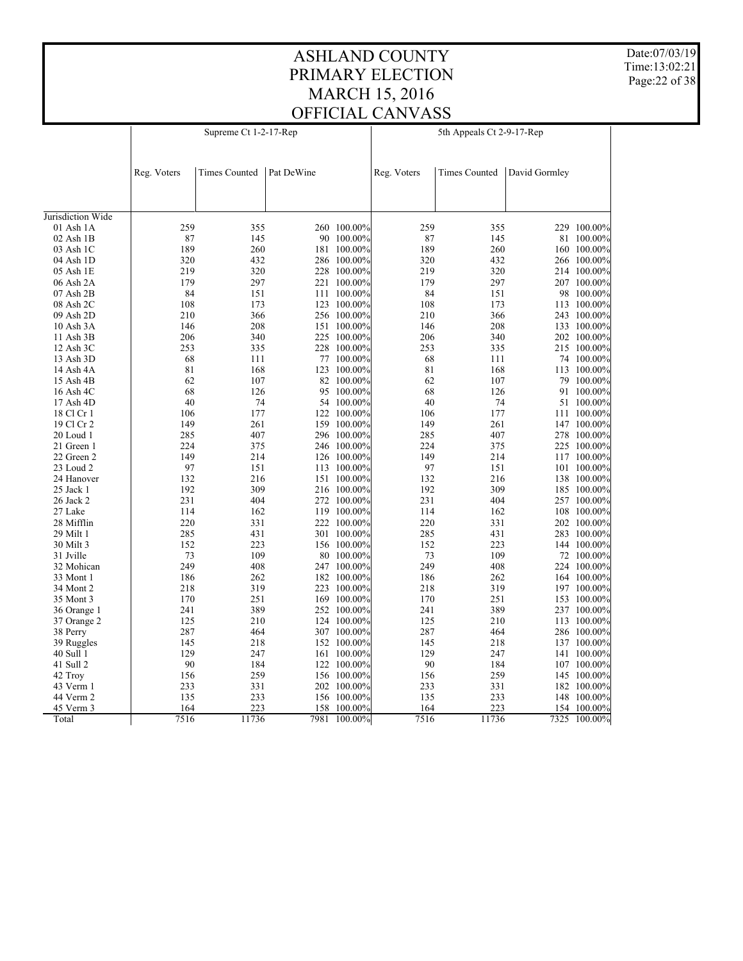Date:07/03/19 Time:13:02:21 Page:22 of 38

|                   |             | Supreme Ct 1-2-17-Rep |            |             | 5th Appeals Ct 2-9-17-Rep |                      |               |              |  |  |
|-------------------|-------------|-----------------------|------------|-------------|---------------------------|----------------------|---------------|--------------|--|--|
|                   |             |                       |            |             |                           |                      |               |              |  |  |
|                   |             |                       |            |             |                           |                      |               |              |  |  |
|                   | Reg. Voters | <b>Times Counted</b>  | Pat DeWine |             | Reg. Voters               | <b>Times Counted</b> | David Gormley |              |  |  |
|                   |             |                       |            |             |                           |                      |               |              |  |  |
|                   |             |                       |            |             |                           |                      |               |              |  |  |
| Jurisdiction Wide |             |                       |            |             |                           |                      |               |              |  |  |
| 01 Ash 1A         | 259         | 355                   |            | 260 100.00% | 259                       | 355                  |               | 229 100.00%  |  |  |
| $02$ Ash $1B$     | 87          | 145                   |            | 90 100.00%  | 87                        | 145                  |               | 81 100.00%   |  |  |
| 03 Ash 1C         | 189         | 260                   |            | 181 100.00% | 189                       | 260                  |               | 160 100.00%  |  |  |
| 04 Ash 1D         | 320         | 432                   |            | 286 100.00% | 320                       | 432                  |               | 266 100.00%  |  |  |
| 05 Ash 1E         | 219         | 320                   |            | 228 100.00% | 219                       | 320                  |               | 214 100.00%  |  |  |
| 06 Ash 2A         | 179         | 297                   |            | 221 100.00% | 179                       | 297                  |               | 207 100.00%  |  |  |
| $07$ Ash $2B$     | 84          | 151                   |            | 111 100.00% | 84                        | 151                  |               | 98 100.00%   |  |  |
| 08 Ash 2C         | 108         | 173                   |            | 123 100.00% | 108                       | 173                  |               | 113 100.00%  |  |  |
| 09 Ash 2D         | 210         | 366                   |            | 256 100.00% | 210                       | 366                  |               | 243 100.00%  |  |  |
| 10 Ash 3A         | 146         | 208                   |            | 151 100.00% | 146                       | 208                  |               | 133 100.00%  |  |  |
| 11 Ash 3B         | 206         | 340                   |            | 225 100.00% | 206                       | 340                  |               | 202 100.00%  |  |  |
| 12 Ash 3C         | 253         | 335                   |            | 228 100.00% | 253                       | 335                  |               | 215 100.00%  |  |  |
| 13 Ash 3D         | 68          | 111                   |            | 77 100.00%  | 68                        | 111                  |               | 74 100.00%   |  |  |
| 14 Ash 4A         | 81          | 168                   |            | 123 100.00% | 81                        | 168                  |               | 113 100.00%  |  |  |
| 15 Ash 4B         | 62          | 107                   |            | 82 100.00%  | 62                        | 107                  |               | 79 100.00%   |  |  |
| 16 Ash 4C         | 68          | 126                   |            | 95 100.00%  | 68                        | 126                  |               | 91 100.00%   |  |  |
| 17 Ash 4D         | 40          | 74                    |            | 54 100.00%  | 40                        | 74                   |               | 51 100.00%   |  |  |
| 18 Cl Cr 1        | 106         | 177                   |            | 122 100.00% | 106                       | 177                  | 111           | 100.00%      |  |  |
| 19 Cl Cr 2        | 149         | 261                   |            | 159 100.00% | 149                       | 261                  |               | 147 100.00%  |  |  |
| 20 Loud 1         | 285         | 407                   |            | 296 100.00% | 285                       | 407                  |               | 278 100.00%  |  |  |
| 21 Green 1        | 224         | 375                   |            | 246 100.00% | 224                       | 375                  |               | 225 100.00%  |  |  |
| 22 Green 2        | 149         | 214                   |            | 126 100.00% | 149                       | 214                  |               | 117 100.00%  |  |  |
| 23 Loud 2         | 97          | 151                   |            | 113 100.00% | 97                        | 151                  |               | 101 100.00%  |  |  |
| 24 Hanover        | 132         | 216                   |            | 151 100.00% | 132                       | 216                  |               | 138 100.00%  |  |  |
| 25 Jack 1         | 192         | 309                   |            | 216 100.00% | 192                       | 309                  |               | 185 100.00%  |  |  |
| 26 Jack 2         | 231         | 404                   |            | 272 100.00% | 231                       | 404                  |               | 257 100.00%  |  |  |
| 27 Lake           | 114         | 162                   |            | 119 100.00% | 114                       | 162                  |               | 108 100.00%  |  |  |
| 28 Mifflin        | 220         | 331                   |            | 222 100.00% | 220                       | 331                  |               | 202 100.00%  |  |  |
| 29 Milt 1         | 285         | 431                   |            | 301 100.00% | 285                       | 431                  |               | 283 100.00%  |  |  |
| 30 Milt 3         | 152         | 223                   |            | 156 100.00% | 152                       | 223                  |               | 144 100.00%  |  |  |
| 31 Jville         | 73          | 109                   |            | 80 100.00%  | 73                        | 109                  |               | 72 100.00%   |  |  |
| 32 Mohican        | 249         | 408                   |            | 247 100.00% | 249                       | 408                  |               | 224 100.00%  |  |  |
| 33 Mont 1         | 186         | 262                   |            | 182 100.00% | 186                       | 262                  |               | 164 100.00%  |  |  |
| 34 Mont 2         | 218         | 319                   |            | 223 100.00% | 218                       | 319                  |               | 197 100.00%  |  |  |
| 35 Mont 3         | 170         | 251                   |            | 169 100.00% | 170                       | 251                  |               | 153 100.00%  |  |  |
|                   |             | 389                   |            |             |                           | 389                  |               |              |  |  |
| 36 Orange 1       | 241         |                       |            | 252 100.00% | 241                       |                      |               | 237 100.00%  |  |  |
| 37 Orange 2       | 125         | 210                   |            | 124 100.00% | 125                       | 210                  |               | 113 100.00%  |  |  |
| 38 Perry          | 287         | 464                   |            | 307 100.00% | 287                       | 464                  |               | 286 100.00%  |  |  |
| 39 Ruggles        | 145         | 218                   |            | 152 100.00% | 145                       | 218                  |               | 137 100.00%  |  |  |
| 40 Sull 1         | 129         | 247                   |            | 161 100.00% | 129                       | 247                  |               | 141 100.00%  |  |  |
| 41 Sull 2         | 90          | 184                   |            | 122 100.00% | 90                        | 184                  |               | 107 100.00%  |  |  |
| 42 Troy           | 156         | 259                   |            | 156 100.00% | 156                       | 259                  |               | 145 100.00%  |  |  |
| 43 Verm 1         | 233         | 331                   |            | 202 100.00% | 233                       | 331                  |               | 182 100.00%  |  |  |
| 44 Verm 2         | 135         | 233                   |            | 156 100.00% | 135                       | 233                  |               | 148 100.00%  |  |  |
| 45 Verm 3         | 164         | 223                   | 158        | 100.00%     | 164                       | 223                  | 154           | 100.00%      |  |  |
| Total             | 7516        | 11736                 | 7981       | $100.00\%$  | 7516                      | 11736                |               | 7325 100.00% |  |  |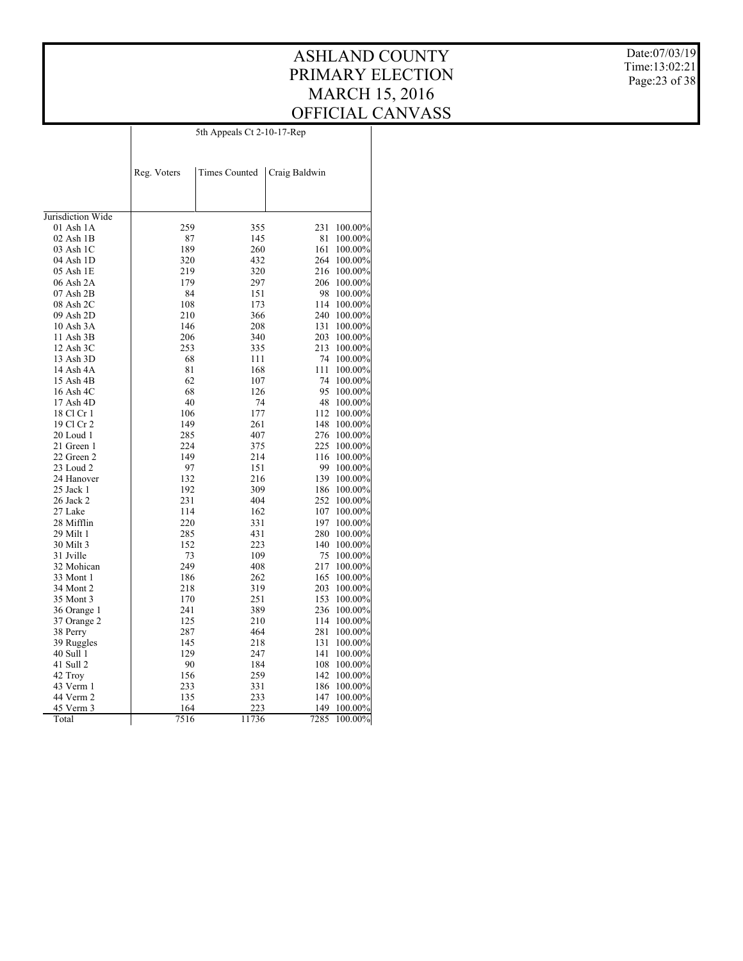#### ASHLAND COUNTY PRIMARY ELECTION MARCH 15, 2016 OFFICIAL CANVASS 5th Appeals Ct 2-10-17-Rep

Date:07/03/19 Time:13:02:21 Page:23 of 38

|                   | Reg. Voters | <b>Times Counted</b> | Craig Baldwin |         |
|-------------------|-------------|----------------------|---------------|---------|
|                   |             |                      |               |         |
|                   |             |                      |               |         |
| Jurisdiction Wide |             |                      |               |         |
| 01 Ash 1A         | 259         | 355                  | 231           | 100.00% |
| 02 Ash 1B         | 87          | 145                  | 81            | 100.00% |
| 03 Ash 1C         | 189         | 260                  | 161           | 100.00% |
| 04 Ash 1D         | 320         | 432                  | 264           | 100.00% |
| 05 Ash 1E         | 219         | 320                  | 216           | 100.00% |
| 06 Ash 2A         | 179         | 297                  | 206           | 100.00% |
| 07 Ash 2B         | 84          | 151                  | 98            | 100.00% |
| 08 Ash 2C         | 108         | 173                  | 114           | 100.00% |
| 09 Ash 2D         | 210         | 366                  | 240           | 100.00% |
| 10 Ash 3A         | 146         | 208                  | 131           | 100.00% |
| 11 Ash 3B         | 206         | 340                  | 203           | 100.00% |
| 12 Ash 3C         | 253         | 335                  | 213           | 100.00% |
| 13 Ash 3D         | 68          | 111                  | 74            | 100.00% |
| 14 Ash 4A         | 81          | 168                  | 111           | 100.00% |
| 15 Ash 4B         | 62          | 107                  | 74            | 100.00% |
| 16 Ash 4C         | 68          | 126                  | 95            | 100.00% |
| 17 Ash 4D         | 40          | 74                   | 48            | 100.00% |
| 18 Cl Cr 1        | 106         | 177                  | 112           | 100.00% |
| 19 Cl Cr 2        | 149         | 261                  | 148           | 100.00% |
| 20 Loud 1         | 285         | 407                  | 276           | 100.00% |
| 21 Green 1        | 224         | 375                  | 225           | 100.00% |
| 22 Green 2        | 149         | 214                  | 116           | 100.00% |
| 23 Loud 2         | 97          | 151                  | 99            | 100.00% |
| 24 Hanover        | 132         | 216                  | 139           | 100.00% |
| 25 Jack 1         | 192         | 309                  | 186           | 100.00% |
| 26 Jack 2         | 231         | 404                  | 252           | 100.00% |
| 27 Lake           | 114         | 162                  | 107           | 100.00% |
| 28 Mifflin        | 220         | 331                  | 197           | 100.00% |
| 29 Milt 1         | 285         | 431                  | 280           | 100.00% |
| 30 Milt 3         | 152         | 223                  | 140           | 100.00% |
| 31 Jville         | 73          | 109                  | 75            | 100.00% |
| 32 Mohican        | 249         | 408                  | 217           | 100.00% |
| 33 Mont 1         | 186         | 262                  | 165           | 100.00% |
| 34 Mont 2         | 218         | 319                  | 203           | 100.00% |
| 35 Mont 3         | 170         | 251                  | 153           | 100.00% |
| 36 Orange 1       | 241         | 389                  | 236           | 100.00% |
| 37 Orange 2       | 125         | 210                  | 114           | 100.00% |
| 38 Perry          | 287         | 464                  | 281           | 100.00% |
| 39 Ruggles        | 145         | 218                  | 131           | 100.00% |
| 40 Sull 1         | 129         | 247                  | 141           | 100.00% |
| 41 Sull 2         | 90          | 184                  | 108           | 100.00% |
| 42 Troy           | 156         | 259                  | 142           | 100.00% |
| 43 Verm 1         | 233         | 331                  | 186           | 100.00% |
| 44 Verm 2         | 135         | 233                  | 147           | 100.00% |
| 45 Verm 3         | 164         | 223                  | 149           | 100.00% |
| Total             | 7516        | 11736                | 7285          | 100.00% |
|                   |             |                      |               |         |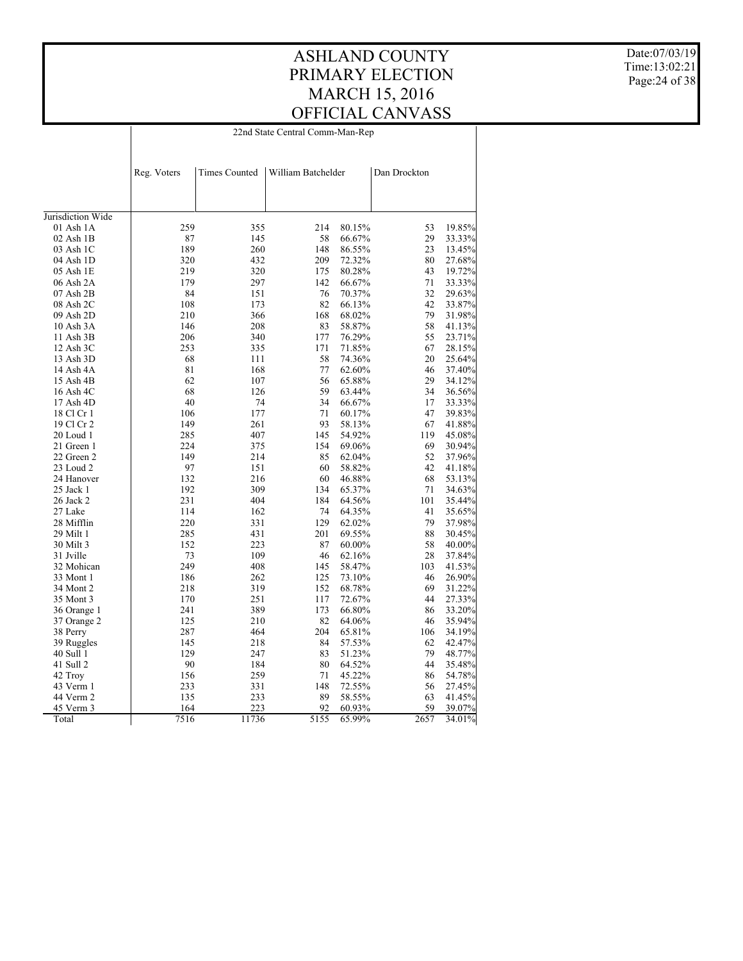22nd State Central Comm-Man-Rep

Date:07/03/19 Time:13:02:21 Page:24 of 38

|                   | Reg. Voters | <b>Times Counted</b> | William Batchelder |        | Dan Drockton |        |
|-------------------|-------------|----------------------|--------------------|--------|--------------|--------|
|                   |             |                      |                    |        |              |        |
|                   |             |                      |                    |        |              |        |
| Jurisdiction Wide |             |                      |                    |        |              |        |
| 01 Ash 1A         | 259         | 355                  | 214                | 80.15% | 53           | 19.85% |
| $02$ Ash $1B$     | 87          | 145                  | 58                 | 66.67% | 29           | 33.33% |
| 03 Ash 1C         | 189         | 260                  | 148                | 86.55% | 23           | 13.45% |
| 04 Ash 1D         | 320         | 432                  | 209                | 72.32% | 80           | 27.68% |
| 05 Ash 1E         | 219         | 320                  | 175                | 80.28% | 43           | 19.72% |
| 06 Ash 2A         | 179         | 297                  | 142                | 66.67% | 71           | 33.33% |
| 07 Ash 2B         | 84          | 151                  | 76                 | 70.37% | 32           | 29.63% |
| 08 Ash 2C         | 108         | 173                  | 82                 | 66.13% | 42           | 33.87% |
| 09 Ash 2D         | 210         | 366                  | 168                | 68.02% | 79           | 31.98% |
| 10 Ash 3A         | 146         | 208                  | 83                 | 58.87% | 58           | 41.13% |
| 11 Ash 3B         | 206         | 340                  | 177                | 76.29% | 55           | 23.71% |
| 12 Ash 3C         | 253         | 335                  | 171                | 71.85% | 67           | 28.15% |
|                   |             |                      | 58                 | 74.36% | 20           |        |
| 13 Ash 3D         | 68          | 111                  |                    |        |              | 25.64% |
| 14 Ash 4A         | 81          | 168                  | 77                 | 62.60% | 46           | 37.40% |
| 15 Ash 4B         | 62          | 107                  | 56                 | 65.88% | 29           | 34.12% |
| 16 Ash 4C         | 68          | 126                  | 59                 | 63.44% | 34           | 36.56% |
| 17 Ash 4D         | 40          | 74                   | 34                 | 66.67% | 17           | 33.33% |
| 18 Cl Cr 1        | 106         | 177                  | 71                 | 60.17% | 47           | 39.83% |
| 19 Cl Cr 2        | 149         | 261                  | 93                 | 58.13% | 67           | 41.88% |
| 20 Loud 1         | 285         | 407                  | 145                | 54.92% | 119          | 45.08% |
| 21 Green 1        | 224         | 375                  | 154                | 69.06% | 69           | 30.94% |
| 22 Green 2        | 149         | 214                  | 85                 | 62.04% | 52           | 37.96% |
| 23 Loud 2         | 97          | 151                  | 60                 | 58.82% | 42           | 41.18% |
| 24 Hanover        | 132         | 216                  | 60                 | 46.88% | 68           | 53.13% |
| $25$ Jack 1       | 192         | 309                  | 134                | 65.37% | 71           | 34.63% |
| 26 Jack 2         | 231         | 404                  | 184                | 64.56% | 101          | 35.44% |
| 27 Lake           | 114         | 162                  | 74                 | 64.35% | 41           | 35.65% |
| 28 Mifflin        | 220         | 331                  | 129                | 62.02% | 79           | 37.98% |
| 29 Milt 1         | 285         | 431                  | 201                | 69.55% | 88           | 30.45% |
| 30 Milt 3         | 152         | 223                  | 87                 | 60.00% | 58           | 40.00% |
| 31 Jville         | 73          | 109                  | 46                 | 62.16% | 28           | 37.84% |
| 32 Mohican        | 249         | 408                  | 145                | 58.47% | 103          | 41.53% |
| 33 Mont 1         | 186         | 262                  | 125                | 73.10% | 46           | 26.90% |
| 34 Mont 2         | 218         | 319                  | 152                | 68.78% | 69           | 31.22% |
| 35 Mont 3         | 170         | 251                  | 117                | 72.67% | 44           | 27.33% |
| 36 Orange 1       | 241         | 389                  | 173                | 66.80% | 86           | 33.20% |
| 37 Orange 2       | 125         | 210                  | 82                 | 64.06% | 46           | 35.94% |
| 38 Perry          | 287         | 464                  | 204                | 65.81% | 106          | 34.19% |
| 39 Ruggles        | 145         | 218                  | 84                 | 57.53% | 62           | 42.47% |
| 40 Sull 1         | 129         | 247                  | 83                 | 51.23% | 79           | 48.77% |
| 41 Sull 2         | 90          | 184                  | 80                 | 64.52% | 44           | 35.48% |
| 42 Troy           | 156         | 259                  | 71                 | 45.22% | 86           | 54.78% |
| 43 Verm 1         | 233         | 331                  | 148                | 72.55% | 56           | 27.45% |
| 44 Verm 2         | 135         | 233                  | 89                 | 58.55% | 63           | 41.45% |
| 45 Verm 3         | 164         | 223                  | 92                 | 60.93% | 59           | 39.07% |
| Total             | 7516        | 11736                | 5155               | 65.99% | 2657         | 34.01% |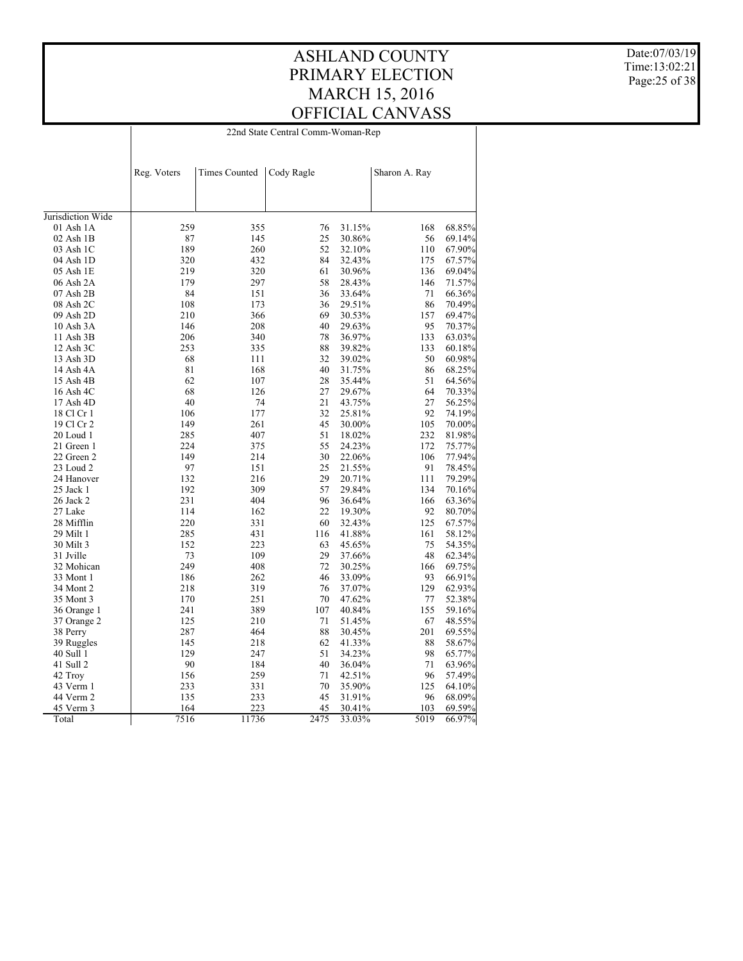22nd State Central Comm-Woman-Rep

Date:07/03/19 Time:13:02:21 Page:25 of 38

|                   | Reg. Voters | <b>Times Counted</b> | Cody Ragle |        | Sharon A. Ray |        |
|-------------------|-------------|----------------------|------------|--------|---------------|--------|
|                   |             |                      |            |        |               |        |
|                   |             |                      |            |        |               |        |
|                   |             |                      |            |        |               |        |
| Jurisdiction Wide |             |                      |            |        |               |        |
| 01 Ash 1A         | 259         | 355                  | 76         | 31.15% | 168           | 68.85% |
| 02 Ash 1B         | 87          | 145                  | 25         | 30.86% | 56            | 69.14% |
| 03 Ash 1C         | 189         | 260                  | 52         | 32.10% | 110           | 67.90% |
| 04 Ash 1D         | 320         | 432                  | 84         | 32.43% | 175           | 67.57% |
| 05 Ash 1E         | 219         | 320                  | 61         | 30.96% | 136           | 69.04% |
| 06 Ash 2A         | 179         | 297                  | 58         | 28.43% | 146           | 71.57% |
| 07 Ash 2B         | 84          | 151                  | 36         | 33.64% | 71            | 66.36% |
| 08 Ash 2C         | 108         | 173                  | 36         | 29.51% | 86            | 70.49% |
| 09 Ash 2D         | 210         | 366                  | 69         | 30.53% | 157           | 69.47% |
| 10 Ash 3A         | 146         | 208                  | 40         | 29.63% | 95            | 70.37% |
| 11 Ash 3B         | 206         | 340                  | 78         | 36.97% | 133           | 63.03% |
| 12 Ash 3C         | 253         | 335                  | 88         | 39.82% | 133           | 60.18% |
| 13 Ash 3D         | 68          | 111                  | 32         | 39.02% | 50            | 60.98% |
| 14 Ash 4A         | 81          | 168                  | 40         | 31.75% | 86            | 68.25% |
| 15 Ash 4B         | 62          | 107                  | 28         | 35.44% | 51            | 64.56% |
| 16 Ash 4C         | 68          | 126                  | 27         | 29.67% | 64            | 70.33% |
| 17 Ash 4D         | 40          | 74                   | 21         | 43.75% | 27            | 56.25% |
| 18 Cl Cr 1        | 106         | 177                  | 32         | 25.81% | 92            | 74.19% |
| 19 Cl Cr 2        | 149         | 261                  | 45         | 30.00% | 105           | 70.00% |
| 20 Loud 1         | 285         | 407                  | 51         | 18.02% | 232           | 81.98% |
| 21 Green 1        | 224         | 375                  | 55         | 24.23% | 172           | 75.77% |
| 22 Green 2        | 149         | 214                  | 30         | 22.06% | 106           | 77.94% |
| 23 Loud 2         | 97          | 151                  | 25         | 21.55% | 91            | 78.45% |
| 24 Hanover        | 132         | 216                  | 29         | 20.71% | 111           | 79.29% |
| 25 Jack 1         | 192         | 309                  | 57         | 29.84% | 134           | 70.16% |
| 26 Jack 2         | 231         | 404                  | 96         | 36.64% | 166           | 63.36% |
| 27 Lake           | 114         | 162                  | 22         | 19.30% | 92            | 80.70% |
| 28 Mifflin        | 220         | 331                  | 60         | 32.43% | 125           | 67.57% |
| 29 Milt 1         | 285         | 431                  | 116        | 41.88% | 161           | 58.12% |
| 30 Milt 3         | 152         | 223                  | 63         | 45.65% | 75            | 54.35% |
| 31 Jville         | 73          | 109                  | 29         | 37.66% | 48            | 62.34% |
| 32 Mohican        | 249         | 408                  | 72         | 30.25% | 166           | 69.75% |
| 33 Mont 1         | 186         | 262                  | 46         | 33.09% | 93            | 66.91% |
| 34 Mont 2         | 218         | 319                  | 76         | 37.07% | 129           | 62.93% |
| 35 Mont 3         | 170         | 251                  | 70         | 47.62% | 77            | 52.38% |
| 36 Orange 1       | 241         | 389                  | 107        | 40.84% | 155           | 59.16% |
| 37 Orange 2       | 125         | 210                  | 71         | 51.45% | 67            | 48.55% |
| 38 Perry          | 287         | 464                  | 88         | 30.45% | 201           | 69.55% |
| 39 Ruggles        | 145         | 218                  | 62         | 41.33% | 88            | 58.67% |
| 40 Sull 1         | 129         | 247                  | 51         | 34.23% | 98            | 65.77% |
| 41 Sull 2         | 90          | 184                  | 40         | 36.04% | 71            | 63.96% |
| 42 Troy           | 156         | 259                  | 71         | 42.51% | 96            | 57.49% |
| 43 Verm 1         | 233         | 331                  | 70         | 35.90% | 125           | 64.10% |
| 44 Verm 2         | 135         | 233                  | 45         | 31.91% | 96            | 68.09% |
| 45 Verm 3         | 164         | 223                  | 45         | 30.41% | 103           | 69.59% |
| Total             | 7516        | 11736                | 2475       | 33.03% | 5019          | 66.97% |
|                   |             |                      |            |        |               |        |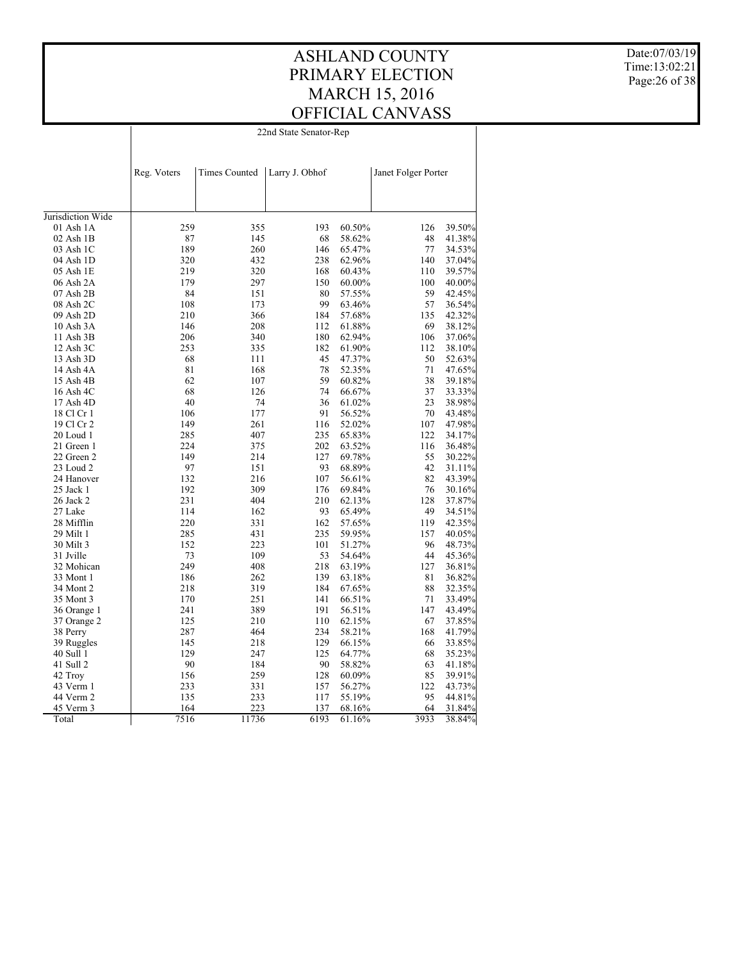#### ASHLAND COUNTY PRIMARY ELECTION MARCH 15, 2016 OFFICIAL CANVASS 22nd State Senator-Rep

Date:07/03/19 Time:13:02:21 Page:26 of 38

|                   | Reg. Voters | <b>Times Counted</b> | Larry J. Obhof |        | Janet Folger Porter |                  |
|-------------------|-------------|----------------------|----------------|--------|---------------------|------------------|
|                   |             |                      |                |        |                     |                  |
| Jurisdiction Wide |             |                      |                |        |                     |                  |
| 01 Ash 1A         | 259         | 355                  | 193            | 60.50% | 126                 | 39.50%           |
| $02$ Ash $1B$     | 87          | 145                  | 68             | 58.62% | 48                  | 41.38%           |
| 03 Ash 1C         | 189         | 260                  | 146            | 65.47% | 77                  | 34.53%           |
| 04 Ash 1D         | 320         | 432                  | 238            | 62.96% | 140                 | 37.04%           |
| 05 Ash 1E         | 219         | 320                  | 168            | 60.43% | 110                 | 39.57%           |
| 06 Ash 2A         | 179         | 297                  | 150            | 60.00% | 100                 |                  |
| 07 Ash 2B         | 84          | 151                  | 80             | 57.55% | 59                  | 40.00%<br>42.45% |
| 08 Ash 2C         | 108         | 173                  | 99             | 63.46% | 57                  | 36.54%           |
| 09 Ash 2D         | 210         | 366                  | 184            | 57.68% | 135                 | 42.32%           |
|                   |             | 208                  | 112            |        | 69                  |                  |
| 10 Ash 3A         | 146         |                      |                | 61.88% |                     | 38.12%           |
| 11 Ash 3B         | 206         | 340                  | 180            | 62.94% | 106                 | 37.06%           |
| 12 Ash 3C         | 253         | 335                  | 182            | 61.90% | 112                 | 38.10%           |
| 13 Ash 3D         | 68          | 111                  | 45             | 47.37% | 50                  | 52.63%           |
| 14 Ash 4A         | 81          | 168                  | 78             | 52.35% | 71                  | 47.65%           |
| 15 Ash 4B         | 62          | 107                  | 59             | 60.82% | 38                  | 39.18%           |
| 16 Ash 4C         | 68          | 126                  | 74             | 66.67% | 37                  | 33.33%           |
| 17 Ash 4D         | 40          | 74                   | 36             | 61.02% | 23                  | 38.98%           |
| 18 Cl Cr 1        | 106         | 177                  | 91             | 56.52% | 70                  | 43.48%           |
| 19 Cl Cr 2        | 149         | 261                  | 116            | 52.02% | 107                 | 47.98%           |
| 20 Loud 1         | 285         | 407                  | 235            | 65.83% | 122                 | 34.17%           |
| 21 Green 1        | 224         | 375                  | 202            | 63.52% | 116                 | 36.48%           |
| 22 Green 2        | 149         | 214                  | 127            | 69.78% | 55                  | 30.22%           |
| 23 Loud 2         | 97          | 151                  | 93             | 68.89% | 42                  | 31.11%           |
| 24 Hanover        | 132         | 216                  | 107            | 56.61% | 82                  | 43.39%           |
| 25 Jack 1         | 192         | 309                  | 176            | 69.84% | 76                  | 30.16%           |
| 26 Jack 2         | 231         | 404                  | 210            | 62.13% | 128                 | 37.87%           |
| 27 Lake           | 114         | 162                  | 93             | 65.49% | 49                  | 34.51%           |
| 28 Mifflin        | 220         | 331                  | 162            | 57.65% | 119                 | 42.35%           |
| 29 Milt 1         | 285         | 431                  | 235            | 59.95% | 157                 | 40.05%           |
| 30 Milt 3         | 152         | 223                  | 101            | 51.27% | 96                  | 48.73%           |
| 31 Jville         | 73          | 109                  | 53             | 54.64% | 44                  | 45.36%           |
| 32 Mohican        | 249         | 408                  | 218            | 63.19% | 127                 | 36.81%           |
| 33 Mont 1         | 186         | 262                  | 139            | 63.18% | 81                  | 36.82%           |
| 34 Mont 2         | 218         | 319                  | 184            | 67.65% | 88                  | 32.35%           |
| 35 Mont 3         | 170         | 251                  | 141            | 66.51% | 71                  | 33.49%           |
| 36 Orange 1       | 241         | 389                  | 191            | 56.51% | 147                 | 43.49%           |
| 37 Orange 2       | 125         | 210                  | 110            | 62.15% | 67                  | 37.85%           |
| 38 Perry          | 287         | 464                  | 234            | 58.21% | 168                 | 41.79%           |
| 39 Ruggles        | 145         | 218                  | 129            | 66.15% | 66                  | 33.85%           |
| 40 Sull 1         | 129         | 247                  | 125            | 64.77% | 68                  | 35.23%           |
| 41 Sull 2         | 90          | 184                  | 90             | 58.82% | 63                  | 41.18%           |
| 42 Trov           | 156         | 259                  | 128            | 60.09% | 85                  | 39.91%           |
| 43 Verm 1         | 233         | 331                  | 157            | 56.27% | 122                 | 43.73%           |
| 44 Verm 2         | 135         | 233                  | 117            | 55.19% | 95                  | 44.81%           |
| 45 Verm 3         | 164         | 223                  | 137            | 68.16% | 64                  | 31.84%           |
| Total             | 7516        | 11736                | 6193           | 61.16% | 3933                | 38.84%           |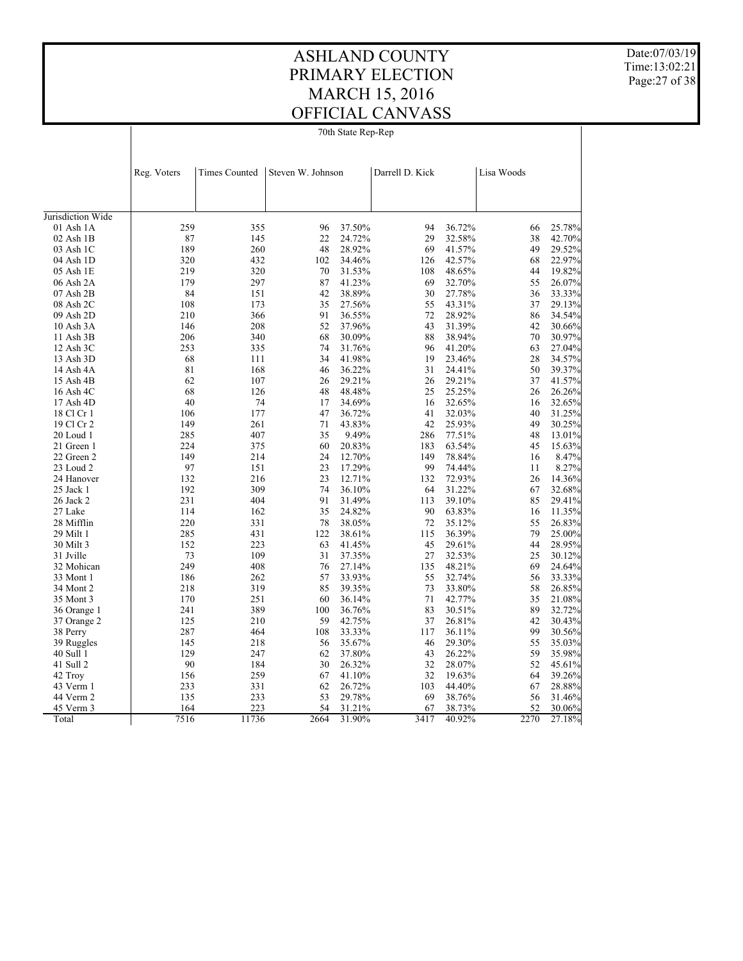70th State Rep-Rep

Date:07/03/19 Time:13:02:21 Page:27 of 38

|                   | Reg. Voters | <b>Times Counted</b> | Steven W. Johnson |        | Darrell D. Kick |        | Lisa Woods |                  |
|-------------------|-------------|----------------------|-------------------|--------|-----------------|--------|------------|------------------|
|                   |             |                      |                   |        |                 |        |            |                  |
|                   |             |                      |                   |        |                 |        |            |                  |
| Jurisdiction Wide |             |                      |                   |        |                 |        |            |                  |
| $01$ Ash $1A$     | 259         | 355                  | 96                | 37.50% | 94              | 36.72% | 66         | 25.78%           |
| $02$ Ash $1B$     | 87          | 145                  | 22                | 24.72% | 29              | 32.58% | 38         | 42.70%           |
| 03 Ash 1C         | 189         | 260                  | 48                | 28.92% | 69              | 41.57% | 49         | 29.52%           |
| 04 Ash 1D         | 320         | 432                  | 102               | 34.46% | 126             | 42.57% | 68         | 22.97%           |
| 05 Ash 1E         | 219         | 320                  | 70                | 31.53% | 108             | 48.65% | 44         | 19.82%           |
| 06 Ash 2A         | 179         | 297                  | 87                | 41.23% | 69              | 32.70% | 55         | 26.07%           |
| 07 Ash 2B         | 84          | 151                  | 42                | 38.89% | 30              | 27.78% | 36         | 33.33%           |
| 08 Ash 2C         | 108         | 173                  | 35                | 27.56% | 55              | 43.31% | 37         | 29.13%           |
| 09 Ash 2D         | 210         | 366                  | 91                | 36.55% | 72              | 28.92% | 86         | 34.54%           |
| 10 Ash 3A         | 146         | 208                  | 52                | 37.96% | 43              | 31.39% | 42         | 30.66%           |
| 11 Ash 3B         | 206         | 340                  | 68                | 30.09% | 88              | 38.94% | 70         | 30.97%           |
| 12 Ash 3C         | 253         | 335                  | 74                | 31.76% | 96              | 41.20% | 63         | 27.04%           |
| 13 Ash 3D         | 68          | 111                  | 34                | 41.98% | 19              | 23.46% | 28         | 34.57%           |
| 14 Ash 4A         | 81          | 168                  | 46                | 36.22% | 31              | 24.41% | 50         | 39.37%           |
| 15 Ash 4B         | 62          | 107                  | 26                | 29.21% | 26              | 29.21% | 37         | 41.57%           |
| 16 Ash 4C         | 68          | 126                  | 48                | 48.48% | 25              | 25.25% | 26         | 26.26%           |
| 17 Ash 4D         | 40          | 74                   | 17                | 34.69% | 16              | 32.65% | 16         | 32.65%           |
| 18 Cl Cr 1        | 106         | 177                  | 47                | 36.72% | 41              | 32.03% | 40         | 31.25%           |
| 19 Cl Cr 2        | 149         | 261                  | 71                | 43.83% | 42              | 25.93% | 49         | 30.25%           |
| 20 Loud 1         | 285         | 407                  | 35                | 9.49%  | 286             | 77.51% | 48         | 13.01%           |
| 21 Green 1        | 224         | 375                  | 60                | 20.83% | 183             | 63.54% | 45         | 15.63%           |
| 22 Green 2        | 149         | 214                  | 24                | 12.70% | 149             | 78.84% | 16         | 8.47%            |
| 23 Loud 2         | 97          | 151                  | 23                | 17.29% | 99              | 74.44% | 11         | 8.27%            |
| 24 Hanover        | 132         | 216                  | 23                | 12.71% | 132             | 72.93% | 26         | 14.36%           |
| 25 Jack 1         | 192         | 309                  | 74                | 36.10% | 64              | 31.22% | 67         | 32.68%           |
| 26 Jack 2         | 231         | 404                  | 91                | 31.49% | 113             | 39.10% | 85         | 29.41%           |
| 27 Lake           | 114         | 162                  | 35                | 24.82% | 90              | 63.83% | 16         | 11.35%           |
| 28 Mifflin        | 220         | 331                  | 78                | 38.05% | 72              | 35.12% | 55         | 26.83%           |
| 29 Milt 1         | 285         | 431                  | 122               | 38.61% | 115             | 36.39% | 79         | 25.00%           |
| 30 Milt 3         | 152         | 223                  | 63                | 41.45% | 45              | 29.61% | 44         |                  |
| 31 Jville         | 73          | 109                  | 31                | 37.35% | 27              | 32.53% | 25         | 28.95%<br>30.12% |
|                   | 249         | 408                  | 76                |        |                 | 48.21% | 69         |                  |
| 32 Mohican        |             |                      |                   | 27.14% | 135             |        |            | 24.64%           |
| 33 Mont 1         | 186         | 262                  | 57                | 33.93% | 55              | 32.74% | 56         | 33.33%           |
| 34 Mont 2         | 218         | 319                  | 85                | 39.35% | 73              | 33.80% | 58         | 26.85%           |
| 35 Mont 3         | 170         | 251                  | 60                | 36.14% | 71              | 42.77% | 35         | 21.08%           |
| 36 Orange 1       | 241         | 389                  | 100               | 36.76% | 83              | 30.51% | 89         | 32.72%           |
| 37 Orange 2       | 125         | 210                  | 59                | 42.75% | 37              | 26.81% | 42         | 30.43%           |
| 38 Perry          | 287         | 464                  | 108               | 33.33% | 117             | 36.11% | 99         | 30.56%           |
| 39 Ruggles        | 145         | 218                  | 56                | 35.67% | 46              | 29.30% | 55         | 35.03%           |
| 40 Sull 1         | 129         | 247                  | 62                | 37.80% | 43              | 26.22% | 59         | 35.98%           |
| 41 Sull 2         | 90          | 184                  | 30                | 26.32% | 32              | 28.07% | 52         | 45.61%           |
| 42 Troy           | 156         | 259                  | 67                | 41.10% | 32              | 19.63% | 64         | 39.26%           |
| 43 Verm 1         | 233         | 331                  | 62                | 26.72% | 103             | 44.40% | 67         | 28.88%           |
| 44 Verm 2         | 135         | 233                  | 53                | 29.78% | 69              | 38.76% | 56         | 31.46%           |
| 45 Verm 3         | 164         | 223                  | 54                | 31.21% | 67              | 38.73% | 52         | 30.06%           |
| Total             | 7516        | 11736                | 2664              | 31.90% | 3417            | 40.92% | 2270       | 27.18%           |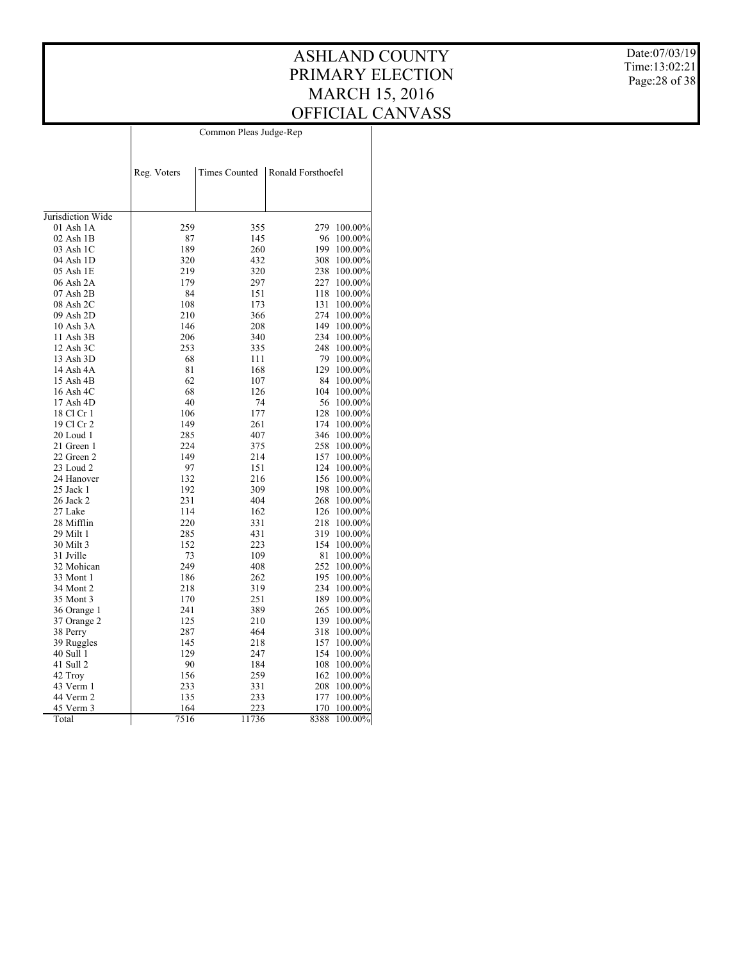Date:07/03/19 Time:13:02:21 Page:28 of 38

|                   |             | Common Pleas Judge-Rep |                    |         |
|-------------------|-------------|------------------------|--------------------|---------|
|                   | Reg. Voters | Times Counted          | Ronald Forsthoefel |         |
|                   |             |                        |                    |         |
| Jurisdiction Wide |             |                        |                    |         |
| 01 Ash 1A         | 259         | 355                    | 279                | 100.00% |
| $02$ Ash $1B$     | 87          | 145                    | 96                 | 100.00% |
| 03 Ash 1C         | 189         | 260                    | 199                | 100.00% |
| 04 Ash 1D         | 320         | 432                    | 308                | 100.00% |
| 05 Ash 1E         | 219         | 320                    | 238                | 100.00% |
| 06 Ash 2A         | 179         | 297                    | 227                | 100.00% |
| 07 Ash 2B         | 84          | 151                    | 118                | 100.00% |
| 08 Ash 2C         | 108         | 173                    | 131                | 100.00% |
| 09 Ash 2D         | 210         | 366                    | 274                | 100.00% |
| 10 Ash 3A         | 146         | 208                    | 149                | 100.00% |
| 11 Ash 3B         | 206         | 340                    | 234                | 100.00% |
| 12 Ash 3C         | 253         | 335                    | 248                | 100.00% |
| 13 Ash 3D         | 68          | 111                    | 79                 | 100.00% |
| 14 Ash 4A         | 81          | 168                    | 129                | 100.00% |
| 15 Ash 4B         | 62          | 107                    | 84                 | 100.00% |
| 16 Ash 4C         | 68          | 126                    | 104                | 100.00% |
| 17 Ash 4D         | 40          | 74                     | 56                 | 100.00% |
| 18 Cl Cr 1        | 106         | 177                    | 128                | 100.00% |
| 19 Cl Cr 2        | 149         | 261                    | 174                | 100.00% |
| 20 Loud 1         | 285         | 407                    | 346                | 100.00% |
| 21 Green 1        | 224         | 375                    | 258                | 100.00% |
| 22 Green 2        | 149         | 214                    | 157                | 100.00% |
| 23 Loud 2         | 97          | 151                    | 124                | 100.00% |
| 24 Hanover        | 132         | 216                    | 156                | 100.00% |
| 25 Jack 1         | 192         | 309                    | 198                | 100.00% |
| 26 Jack 2         | 231         | 404                    | 268                | 100.00% |
| 27 Lake           | 114         | 162                    | 126                | 100.00% |
| 28 Mifflin        | 220         | 331                    | 218                | 100.00% |
| 29 Milt 1         | 285         | 431                    | 319                | 100.00% |
| 30 Milt 3         | 152         | 223                    | 154                | 100.00% |
| 31 Jville         | 73          | 109                    | 81                 | 100.00% |
| 32 Mohican        | 249         | 408                    | 252                | 100.00% |
| 33 Mont 1         | 186         | 262                    | 195                | 100.00% |
| 34 Mont 2         | 218         | 319                    | 234                | 100.00% |
| 35 Mont 3         | 170         | 251                    | 189                | 100.00% |
| 36 Orange 1       | 241         | 389                    | 265                | 100.00% |
| 37 Orange 2       | 125         | 210                    | 139                | 100.00% |
| 38 Perry          | 287         | 464                    | 318                | 100.00% |
| 39 Ruggles        | 145         | 218                    | 157                | 100.00% |
| 40 Sull 1         | 129         | 247                    | 154                | 100.00% |
| 41 Sull 2         | 90          | 184                    | 108                | 100.00% |
| 42 Troy           | 156         | 259                    | 162                | 100.00% |
| 43 Verm 1         | 233         | 331                    | 208                | 100.00% |
| 44 Verm 2         | 135         | 233                    | 177                | 100.00% |
| 45 Verm 3         | 164         | 223                    | 170                | 100.00% |
| Total             | 7516        | 11736                  | 8388               | 100.00% |
|                   |             |                        |                    |         |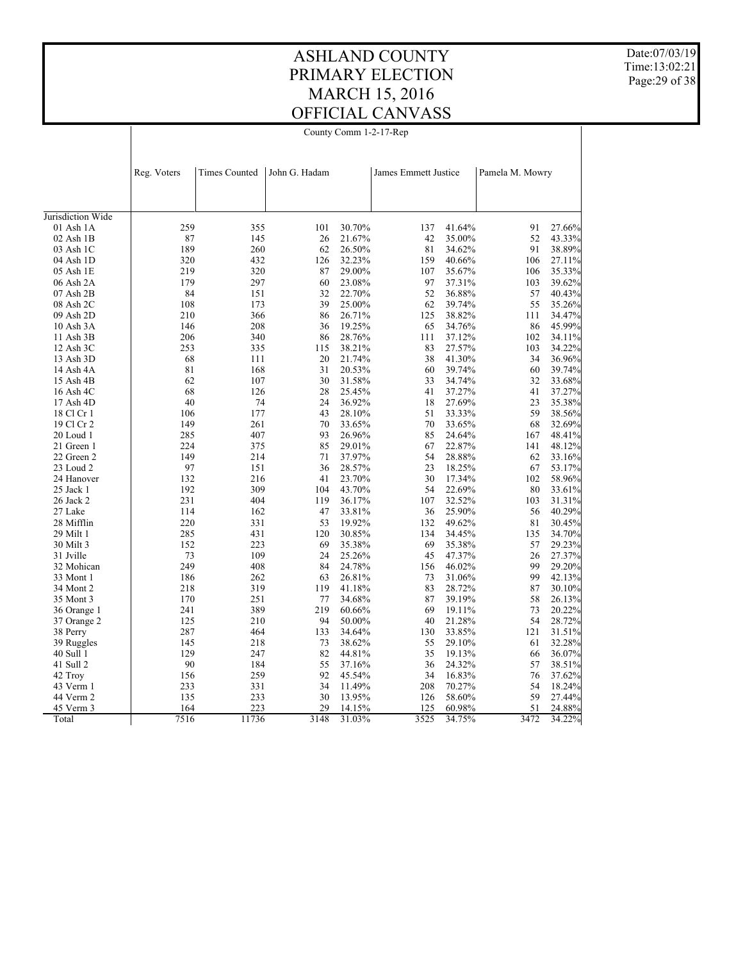Date:07/03/19 Time:13:02:21 Page:29 of 38

| County Comm 1-2-17-Rep |
|------------------------|
|------------------------|

|                   | Reg. Voters | <b>Times Counted</b> | John G. Hadam |        | James Emmett Justice |        | Pamela M. Mowry |        |
|-------------------|-------------|----------------------|---------------|--------|----------------------|--------|-----------------|--------|
|                   |             |                      |               |        |                      |        |                 |        |
| Jurisdiction Wide |             |                      |               |        |                      |        |                 |        |
| 01 Ash 1A         | 259         | 355                  | 101           | 30.70% | 137                  | 41.64% | 91              | 27.66% |
| 02 Ash 1B         | 87          | 145                  | 26            | 21.67% | 42                   | 35.00% | 52              | 43.33% |
| 03 Ash 1C         | 189         | 260                  | 62            | 26.50% | 81                   | 34.62% | 91              | 38.89% |
| 04 Ash 1D         | 320         | 432                  | 126           | 32.23% | 159                  | 40.66% | 106             | 27.11% |
| 05 Ash 1E         | 219         | 320                  | 87            | 29.00% | 107                  | 35.67% | 106             | 35.33% |
| 06 Ash 2A         | 179         | 297                  | 60            | 23.08% | 97                   | 37.31% | 103             | 39.62% |
| $07$ Ash $2B$     | 84          | 151                  | 32            | 22.70% | 52                   | 36.88% | 57              | 40.43% |
| 08 Ash 2C         | 108         | 173                  | 39            | 25.00% | 62                   | 39.74% | 55              | 35.26% |
| 09 Ash 2D         | 210         | 366                  | 86            | 26.71% | 125                  | 38.82% | 111             | 34.47% |
| 10 Ash 3A         | 146         | 208                  | 36            | 19.25% | 65                   | 34.76% | 86              | 45.99% |
| 11 Ash 3B         | 206         | 340                  | 86            | 28.76% | 111                  | 37.12% | 102             | 34.11% |
| 12 Ash 3C         | 253         | 335                  | 115           | 38.21% | 83                   | 27.57% | 103             | 34.22% |
| 13 Ash 3D         | 68          | 111                  | 20            | 21.74% | 38                   | 41.30% | 34              | 36.96% |
| 14 Ash 4A         | 81          | 168                  | 31            | 20.53% | 60                   | 39.74% | 60              | 39.74% |
| 15 Ash 4B         | 62          | 107                  | 30            | 31.58% | 33                   | 34.74% | 32              | 33.68% |
| 16 Ash 4C         | 68          | 126                  | 28            | 25.45% | 41                   | 37.27% | 41              | 37.27% |
| 17 Ash 4D         | 40          | 74                   | 24            | 36.92% | 18                   | 27.69% | 23              | 35.38% |
| 18 Cl Cr 1        | 106         | 177                  | 43            | 28.10% | 51                   | 33.33% | 59              | 38.56% |
| 19 Cl Cr 2        | 149         | 261                  | 70            | 33.65% | 70                   | 33.65% | 68              | 32.69% |
| 20 Loud 1         | 285         | 407                  | 93            | 26.96% | 85                   | 24.64% | 167             | 48.41% |
| 21 Green 1        | 224         | 375                  | 85            | 29.01% | 67                   | 22.87% | 141             | 48.12% |
| 22 Green 2        | 149         | 214                  | 71            | 37.97% | 54                   | 28.88% | 62              | 33.16% |
| 23 Loud 2         | 97          | 151                  | 36            | 28.57% | 23                   | 18.25% | 67              | 53.17% |
| 24 Hanover        | 132         | 216                  | 41            | 23.70% | 30                   | 17.34% | 102             | 58.96% |
| 25 Jack 1         | 192         | 309                  | 104           | 43.70% | 54                   | 22.69% | $80\,$          | 33.61% |
| 26 Jack 2         | 231         | 404                  | 119           | 36.17% | 107                  | 32.52% | 103             | 31.31% |
| 27 Lake           | 114         | 162                  | 47            | 33.81% | 36                   | 25.90% | 56              | 40.29% |
| 28 Mifflin        | 220         | 331                  | 53            | 19.92% | 132                  | 49.62% | 81              | 30.45% |
| 29 Milt 1         | 285         | 431                  | 120           | 30.85% | 134                  | 34.45% | 135             | 34.70% |
| 30 Milt 3         | 152         | 223                  | 69            | 35.38% | 69                   | 35.38% | 57              | 29.23% |
| 31 Jville         | 73          | 109                  | 24            | 25.26% | 45                   | 47.37% | 26              | 27.37% |
| 32 Mohican        | 249         | 408                  | 84            | 24.78% | 156                  | 46.02% | 99              | 29.20% |
| 33 Mont 1         | 186         | 262                  | 63            | 26.81% | 73                   | 31.06% | 99              | 42.13% |
| 34 Mont 2         | 218         | 319                  | 119           | 41.18% | 83                   | 28.72% | 87              | 30.10% |
| 35 Mont 3         | 170         | 251                  | 77            | 34.68% | 87                   | 39.19% | 58              | 26.13% |
| 36 Orange 1       | 241         | 389                  | 219           | 60.66% | 69                   | 19.11% | 73              | 20.22% |
| 37 Orange 2       | 125         | 210                  | 94            | 50.00% | 40                   | 21.28% | 54              | 28.72% |
| 38 Perry          | 287         | 464                  | 133           | 34.64% | 130                  | 33.85% | 121             | 31.51% |
| 39 Ruggles        | 145         | 218                  | 73            | 38.62% | 55                   | 29.10% | 61              | 32.28% |
| 40 Sull 1         | 129         | 247                  | 82            | 44.81% | 35                   | 19.13% | 66              | 36.07% |
| 41 Sull 2         | 90          | 184                  | 55            | 37.16% | 36                   | 24.32% | 57              | 38.51% |
| 42 Troy           | 156         | 259                  | 92            | 45.54% | 34                   | 16.83% | 76              | 37.62% |
| 43 Verm 1         | 233         | 331                  | 34            | 11.49% | 208                  | 70.27% | 54              | 18.24% |
| 44 Verm 2         | 135         | 233                  | 30            | 13.95% | 126                  | 58.60% | 59              | 27.44% |
| 45 Verm 3         | 164         | 223                  | 29            | 14.15% | 125                  | 60.98% | 51              | 24.88% |
| Total             | 7516        | 11736                | 3148          | 31.03% | 3525                 | 34.75% | 3472            | 34.22% |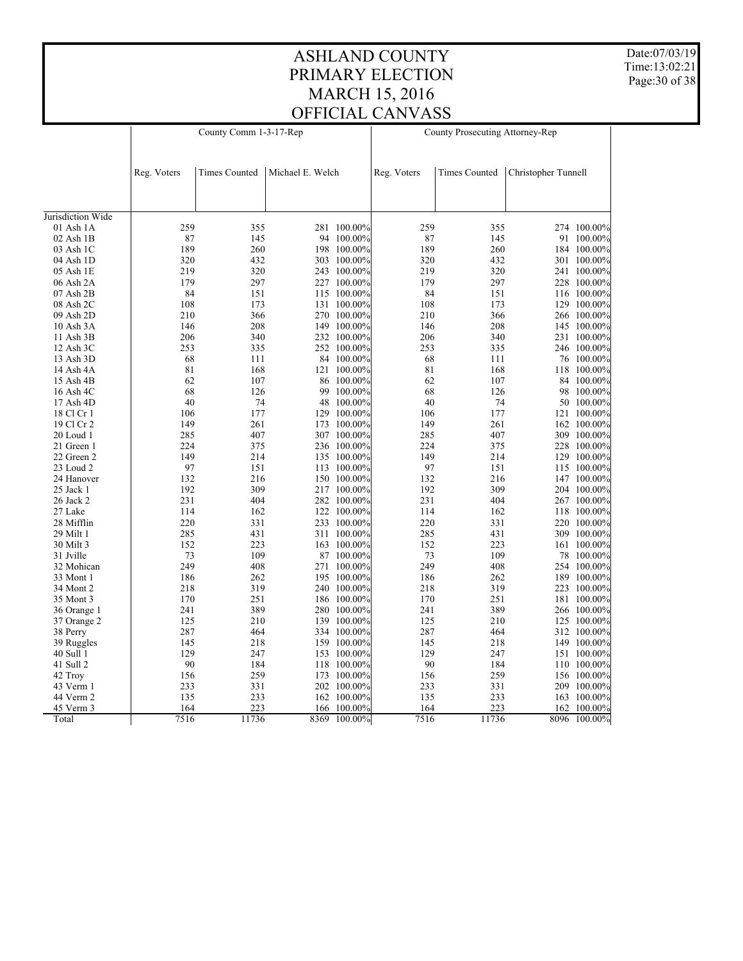Date:07/03/19 Time:13:02:21 Page:30 of 38

|                   |             | County Comm 1-3-17-Rep |                  |              |             | County Prosecuting Attorney-Rep |                     |              |
|-------------------|-------------|------------------------|------------------|--------------|-------------|---------------------------------|---------------------|--------------|
|                   |             |                        |                  |              |             |                                 |                     |              |
|                   | Reg. Voters | <b>Times Counted</b>   | Michael E. Welch |              | Reg. Voters | <b>Times Counted</b>            | Christopher Tunnell |              |
|                   |             |                        |                  |              |             |                                 |                     |              |
| Jurisdiction Wide |             |                        |                  |              |             |                                 |                     |              |
| 01 Ash 1A         | 259         | 355                    |                  | 281 100.00%  | 259         | 355                             |                     | 274 100.00%  |
| $02$ Ash $1B$     | 87          | 145                    |                  | 94 100.00%   | 87          | 145                             |                     | 91 100.00%   |
| 03 Ash 1C         | 189         | 260                    |                  | 198 100.00%  | 189         | 260                             |                     | 184 100.00%  |
| 04 Ash 1D         | 320         | 432                    |                  | 303 100.00%  | 320         | 432                             |                     | 301 100.00%  |
| 05 Ash 1E         | 219         | 320                    |                  | 243 100.00%  | 219         | 320                             |                     | 241 100.00%  |
| 06 Ash 2A         | 179         | 297                    |                  | 227 100.00%  | 179         | 297                             |                     | 228 100.00%  |
| 07 Ash 2B         | 84          | 151                    |                  | 115 100.00%  | 84          | 151                             |                     | 116 100.00%  |
| 08 Ash 2C         | 108         | 173                    |                  | 131 100.00%  | 108         | 173                             |                     | 129 100.00%  |
| 09 Ash 2D         | 210         | 366                    |                  | 270 100.00%  | 210         | 366                             |                     | 266 100.00%  |
| 10 Ash 3A         | 146         | 208                    |                  | 149 100.00%  | 146         | 208                             |                     | 145 100.00%  |
| 11 Ash 3B         | 206         | 340                    |                  | 232 100.00%  | 206         | 340                             |                     | 231 100.00%  |
| 12 Ash 3C         | 253         | 335                    |                  | 252 100.00%  | 253         | 335                             |                     | 246 100.00%  |
| 13 Ash 3D         | 68          | 111                    |                  | 84 100.00%   | 68          | 111                             |                     | 76 100.00%   |
| 14 Ash 4A         | 81          | 168                    |                  | 121 100.00%  | 81          | 168                             |                     | 118 100.00%  |
| 15 Ash 4B         | 62          | 107                    |                  | 86 100.00%   | 62          | 107                             |                     | 84 100.00%   |
| 16 Ash 4C         | 68          | 126                    | 99               | 100.00%      | 68          | 126                             |                     | 98 100.00%   |
| 17 Ash 4D         | 40          | 74                     | 48               | 100.00%      | 40          | 74                              |                     | 50 100.00%   |
| 18 Cl Cr 1        | 106         | 177                    |                  | 129 100.00%  | 106         | 177                             |                     | 121 100.00%  |
| 19 Cl Cr 2        | 149         | 261                    |                  | 173 100.00%  | 149         | 261                             |                     | 162 100.00%  |
| 20 Loud 1         | 285         | 407                    |                  | 307 100.00%  | 285         | 407                             |                     | 309 100.00%  |
| 21 Green 1        | 224         | 375                    |                  | 236 100.00%  | 224         | 375                             |                     | 228 100.00%  |
| 22 Green 2        | 149         | 214                    |                  | 135 100.00%  | 149         | 214                             |                     | 129 100.00%  |
| 23 Loud 2         | 97          | 151                    |                  | 113 100.00%  | 97          | 151                             |                     | 115 100.00%  |
| 24 Hanover        | 132         | 216                    |                  | 150 100.00%  | 132         | 216                             |                     | 147 100.00%  |
| 25 Jack 1         | 192         | 309                    |                  | 217 100.00%  | 192         | 309                             |                     | 204 100.00%  |
| 26 Jack 2         | 231         | 404                    |                  | 282 100.00%  | 231         | 404                             |                     | 267 100.00%  |
| 27 Lake           | 114         | 162                    |                  | 122 100.00%  | 114         | 162                             |                     | 118 100.00%  |
| 28 Mifflin        | 220         | 331                    |                  | 233 100.00%  | 220         | 331                             |                     | 220 100.00%  |
| 29 Milt 1         | 285         | 431                    |                  | 311 100.00%  | 285         | 431                             |                     | 309 100.00%  |
| 30 Milt 3         | 152         | 223                    |                  | 163 100.00%  | 152         | 223                             |                     | 161 100.00%  |
| 31 Jville         | 73          | 109                    |                  | 87 100.00%   | 73          | 109                             |                     | 78 100.00%   |
| 32 Mohican        | 249         | 408                    |                  | 271 100.00%  | 249         | 408                             |                     | 254 100.00%  |
| 33 Mont 1         | 186         | 262                    |                  | 195 100.00%  | 186         | 262                             |                     | 189 100.00%  |
| 34 Mont 2         | 218         | 319                    |                  | 240 100.00%  | 218         | 319                             |                     | 223 100.00%  |
| 35 Mont 3         | 170         | 251                    |                  | 186 100.00%  | 170         | 251                             |                     | 181 100.00%  |
| 36 Orange 1       | 241         | 389                    |                  | 280 100.00%  | 241         | 389                             |                     | 266 100.00%  |
| 37 Orange 2       | 125         | 210                    |                  | 139 100.00%  | 125         | 210                             |                     | 125 100.00%  |
| 38 Perry          | 287         | 464                    |                  | 334 100.00%  | 287         | 464                             |                     | 312 100.00%  |
| 39 Ruggles        | 145         | 218                    |                  | 159 100.00%  | 145         | 218                             |                     | 149 100.00%  |
| 40 Sull 1         | 129         | 247                    |                  | 153 100.00%  | 129         | 247                             |                     | 151 100.00%  |
| 41 Sull 2         | 90          | 184                    |                  | 118 100.00%  | 90          | 184                             |                     | 110 100.00%  |
| 42 Troy           | 156         | 259                    |                  | 173 100.00%  | 156         | 259                             |                     | 156 100.00%  |
| 43 Verm 1         | 233         | 331                    |                  | 202 100.00%  | 233         | 331                             |                     | 209 100.00%  |
| 44 Verm 2         | 135         | 233                    |                  | 162 100.00%  | 135         | 233                             |                     | 163 100.00%  |
| 45 Verm 3         | 164         | 223                    |                  | 166 100.00%  | 164         | 223                             | 162                 | 100.00%      |
| Total             | 7516        | 11736                  |                  | 8369 100.00% | 7516        | 11736                           |                     | 8096 100.00% |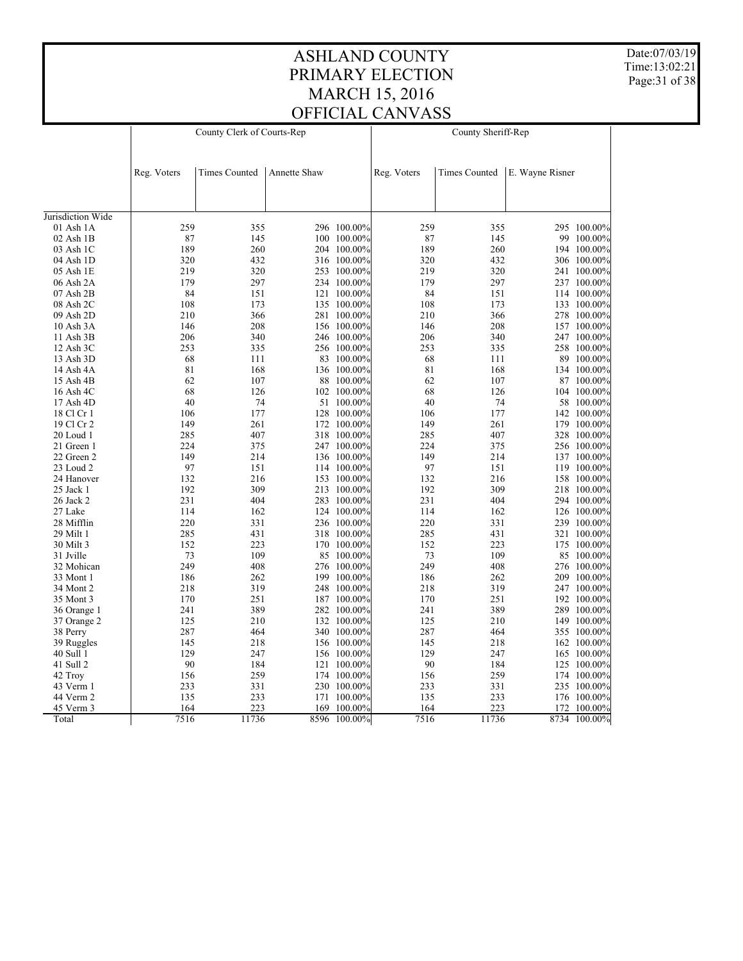Date:07/03/19 Time:13:02:21 Page:31 of 38

|                   |             | County Clerk of Courts-Rep |              |             |             | County Sheriff-Rep   |                 |              |
|-------------------|-------------|----------------------------|--------------|-------------|-------------|----------------------|-----------------|--------------|
|                   |             |                            |              |             |             |                      |                 |              |
|                   |             |                            |              |             |             |                      |                 |              |
|                   | Reg. Voters | <b>Times Counted</b>       | Annette Shaw |             | Reg. Voters | <b>Times Counted</b> | E. Wayne Risner |              |
|                   |             |                            |              |             |             |                      |                 |              |
|                   |             |                            |              |             |             |                      |                 |              |
| Jurisdiction Wide |             |                            |              |             |             |                      |                 |              |
| $01$ Ash $1A$     | 259         | 355                        |              | 296 100.00% | 259         | 355                  |                 | 295 100.00%  |
| 02 Ash 1B         | 87          | 145                        |              | 100 100.00% | 87          | 145                  |                 | 99 100.00%   |
| 03 Ash 1C         | 189         | 260                        |              | 204 100.00% | 189         | 260                  |                 | 194 100.00%  |
| 04 Ash 1D         | 320         | 432                        |              | 316 100.00% | 320         | 432                  |                 | 306 100.00%  |
| 05 Ash 1E         | 219         | 320                        |              | 253 100.00% | 219         | 320                  |                 | 241 100.00%  |
| 06 Ash 2A         | 179         | 297                        |              | 234 100.00% | 179         | 297                  |                 | 237 100.00%  |
| 07 Ash 2B         | 84          | 151                        |              | 121 100.00% | 84          | 151                  |                 | 114 100.00%  |
| 08 Ash 2C         | 108         | 173                        |              | 135 100.00% | 108         | 173                  |                 | 133 100.00%  |
| 09 Ash 2D         | 210         | 366                        |              | 281 100.00% | 210         | 366                  |                 | 278 100.00%  |
| 10 Ash 3A         | 146         | 208                        |              | 156 100.00% | 146         | 208                  |                 | 157 100.00%  |
| 11 Ash 3B         | 206         | 340                        |              | 246 100.00% | 206         | 340                  |                 | 247 100.00%  |
| 12 Ash 3C         | 253         | 335                        |              | 256 100.00% | 253         | 335                  |                 | 258 100.00%  |
| 13 Ash 3D         | 68          | 111                        |              | 83 100.00%  | 68          | 111                  |                 | 89 100.00%   |
| 14 Ash 4A         | 81          | 168                        |              | 136 100.00% | 81          | 168                  |                 | 134 100.00%  |
| 15 Ash 4B         | 62          | 107                        |              | 88 100.00%  | 62          | 107                  |                 | 87 100.00%   |
| 16 Ash 4C         | 68          | 126                        |              | 102 100.00% | 68          | 126                  |                 | 104 100.00%  |
| 17 Ash 4D         | 40          | 74                         |              | 51 100.00%  | 40          | 74                   |                 | 58 100.00%   |
| 18 Cl Cr 1        | 106         | 177                        |              | 128 100.00% | 106         | 177                  |                 | 142 100.00%  |
| 19 Cl Cr 2        | 149         | 261                        |              | 172 100.00% | 149         | 261                  |                 | 179 100.00%  |
| 20 Loud 1         | 285         | 407                        |              | 318 100.00% | 285         | 407                  |                 | 328 100.00%  |
| 21 Green 1        | 224         | 375                        |              | 247 100.00% | 224         | 375                  |                 | 256 100.00%  |
| 22 Green 2        | 149         | 214                        |              | 136 100.00% | 149         | 214                  |                 | 137 100.00%  |
| 23 Loud 2         | 97          | 151                        |              | 114 100.00% | 97          | 151                  |                 | 119 100.00%  |
| 24 Hanover        | 132         | 216                        |              | 153 100.00% | 132         | 216                  |                 | 158 100.00%  |
| 25 Jack 1         | 192         | 309                        |              | 213 100.00% | 192         | 309                  |                 | 218 100.00%  |
| 26 Jack 2         | 231         | 404                        |              | 283 100.00% | 231         | 404                  |                 | 294 100.00%  |
| 27 Lake           | 114         | 162                        |              | 124 100.00% | 114         | 162                  |                 | 126 100.00%  |
| 28 Mifflin        | 220         | 331                        |              | 236 100.00% | 220         | 331                  |                 | 239 100.00%  |
| 29 Milt 1         | 285         | 431                        |              | 318 100.00% | 285         | 431                  |                 | 321 100.00%  |
| 30 Milt 3         | 152         | 223                        |              | 170 100.00% | 152         | 223                  |                 | 175 100.00%  |
| 31 Jville         | 73          | 109                        |              | 85 100.00%  | 73          | 109                  | 85              | $100.00\%$   |
| 32 Mohican        | 249         | 408                        |              | 276 100.00% | 249         | 408                  |                 | 276 100.00%  |
| 33 Mont 1         | 186         | 262                        |              | 199 100.00% | 186         | 262                  |                 | 209 100.00%  |
| 34 Mont 2         | 218         | 319                        |              | 248 100.00% | 218         | 319                  |                 | 247 100.00%  |
| 35 Mont 3         | 170         | 251                        |              | 187 100.00% | 170         | 251                  |                 | 192 100.00%  |
| 36 Orange 1       | 241         | 389                        |              | 282 100.00% | 241         | 389                  |                 | 289 100.00%  |
| 37 Orange 2       | 125         | 210                        |              | 132 100.00% | 125         | 210                  |                 | 149 100.00%  |
| 38 Perry          | 287         | 464                        |              | 340 100.00% | 287         | 464                  |                 | 355 100.00%  |
| 39 Ruggles        | 145         | 218                        |              | 156 100.00% | 145         | 218                  |                 | 162 100.00%  |
| 40 Sull 1         | 129         | 247                        |              | 156 100.00% | 129         | 247                  |                 | 165 100.00%  |
| 41 Sull 2         | 90          | 184                        |              | 121 100.00% | 90          | 184                  |                 | 125 100.00%  |
| 42 Troy           | 156         | 259                        |              | 174 100.00% | 156         | 259                  |                 | 174 100.00%  |
| 43 Verm 1         | 233         | 331                        |              | 230 100.00% | 233         | 331                  |                 | 235 100.00%  |
| 44 Verm 2         | 135         | 233                        |              | 171 100.00% | 135         | 233                  |                 | 176 100.00%  |
| 45 Verm 3         | 164         | 223                        | 169          | 100.00%     | 164         | 223                  | 172             | 100.00%      |
| Total             | 7516        | 11736                      | 8596         | $100.00\%$  | 7516        | 11736                |                 | 8734 100.00% |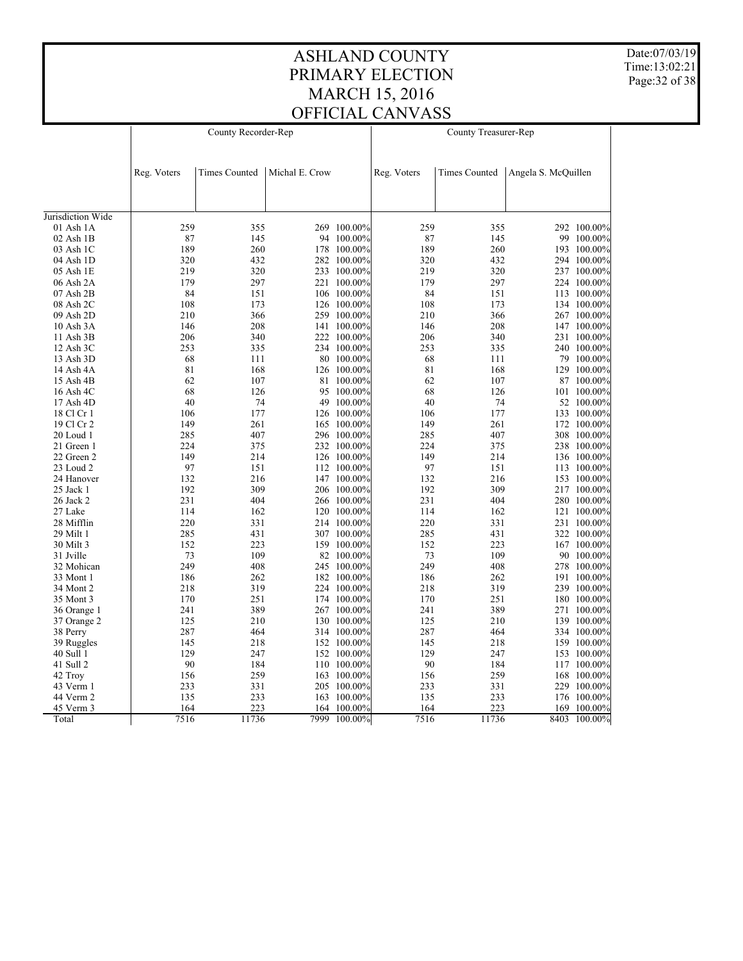Date:07/03/19 Time:13:02:21 Page:32 of 38

| Reg. Voters<br><b>Times Counted</b><br>Michal E. Crow<br><b>Times Counted</b><br>Angela S. McQuillen<br>Reg. Voters<br>Jurisdiction Wide<br>259<br>269 100.00%<br>259<br>01 Ash 1A<br>355<br>355<br>292 100.00%<br>$02$ Ash $1B$<br>87<br>145<br>94 100.00%<br>87<br>145<br>99 100.00%<br>189<br>260<br>178 100.00%<br>189<br>260<br>03 Ash 1C<br>193 100.00%<br>320<br>432<br>320<br>432<br>04 Ash 1D<br>282 100.00%<br>294 100.00%<br>219<br>320<br>233 100.00%<br>219<br>320<br>05 Ash 1E<br>237 100.00%<br>179<br>297<br>221 100.00%<br>179<br>297<br>06 Ash 2A<br>224 100.00%<br>84<br>84<br>151<br>07 Ash 2B<br>151<br>106 100.00%<br>113 100.00%<br>108<br>108<br>173<br>08 Ash 2C<br>173<br>126 100.00%<br>134 100.00%<br>09 Ash 2D<br>210<br>366<br>259 100.00%<br>210<br>366<br>267 100.00%<br>208<br>208<br>146<br>141 100.00%<br>146<br>10 Ash 3A<br>147 100.00%<br>206<br>340<br>206<br>340<br>11 Ash 3B<br>222 100.00%<br>231 100.00%<br>335<br>253<br>335<br>234 100.00%<br>253<br>12 Ash 3C<br>240 100.00%<br>68<br>111<br>80 100.00%<br>68<br>111<br>13 Ash 3D<br>79 100.00%<br>81<br>81<br>168<br>168<br>126 100.00%<br>129 100.00%<br>14 Ash 4A<br>62<br>107<br>62<br>107<br>15 Ash 4B<br>81 100.00%<br>87 100.00%<br>68<br>126<br>95 100.00%<br>68<br>126<br>16 Ash 4C<br>101 100.00%<br>40<br>40<br>74<br>49 100.00%<br>74<br>17 Ash 4D<br>52 100.00%<br>177<br>106<br>177<br>18 Cl Cr 1<br>106<br>126 100.00%<br>133 100.00%<br>149<br>261<br>165 100.00%<br>149<br>261<br>19 Cl Cr 2<br>172 100.00%<br>285<br>407<br>296 100.00%<br>285<br>407<br>308 100.00%<br>20 Loud 1<br>224<br>375<br>375<br>232 100.00%<br>224<br>21 Green 1<br>238 100.00%<br>149<br>214<br>214<br>22 Green 2<br>126 100.00%<br>149<br>136 100.00%<br>97<br>97<br>151<br>112 100.00%<br>151<br>23 Loud 2<br>113 100.00%<br>132<br>216<br>147 100.00%<br>132<br>216<br>24 Hanover<br>153 100.00%<br>192<br>309<br>192<br>309<br>25 Jack 1<br>206 100.00%<br>217 100.00%<br>404<br>231<br>404<br>231<br>26 Jack 2<br>266 100.00%<br>280 100.00%<br>27 Lake<br>114<br>162<br>120 100.00%<br>114<br>162<br>121 100.00% |
|-------------------------------------------------------------------------------------------------------------------------------------------------------------------------------------------------------------------------------------------------------------------------------------------------------------------------------------------------------------------------------------------------------------------------------------------------------------------------------------------------------------------------------------------------------------------------------------------------------------------------------------------------------------------------------------------------------------------------------------------------------------------------------------------------------------------------------------------------------------------------------------------------------------------------------------------------------------------------------------------------------------------------------------------------------------------------------------------------------------------------------------------------------------------------------------------------------------------------------------------------------------------------------------------------------------------------------------------------------------------------------------------------------------------------------------------------------------------------------------------------------------------------------------------------------------------------------------------------------------------------------------------------------------------------------------------------------------------------------------------------------------------------------------------------------------------------------------------------------------------------------------------------------------------------------------------------------------------------------------------------------------------------------------------------------------------------------------------------------------------|
|                                                                                                                                                                                                                                                                                                                                                                                                                                                                                                                                                                                                                                                                                                                                                                                                                                                                                                                                                                                                                                                                                                                                                                                                                                                                                                                                                                                                                                                                                                                                                                                                                                                                                                                                                                                                                                                                                                                                                                                                                                                                                                                   |
|                                                                                                                                                                                                                                                                                                                                                                                                                                                                                                                                                                                                                                                                                                                                                                                                                                                                                                                                                                                                                                                                                                                                                                                                                                                                                                                                                                                                                                                                                                                                                                                                                                                                                                                                                                                                                                                                                                                                                                                                                                                                                                                   |
|                                                                                                                                                                                                                                                                                                                                                                                                                                                                                                                                                                                                                                                                                                                                                                                                                                                                                                                                                                                                                                                                                                                                                                                                                                                                                                                                                                                                                                                                                                                                                                                                                                                                                                                                                                                                                                                                                                                                                                                                                                                                                                                   |
|                                                                                                                                                                                                                                                                                                                                                                                                                                                                                                                                                                                                                                                                                                                                                                                                                                                                                                                                                                                                                                                                                                                                                                                                                                                                                                                                                                                                                                                                                                                                                                                                                                                                                                                                                                                                                                                                                                                                                                                                                                                                                                                   |
|                                                                                                                                                                                                                                                                                                                                                                                                                                                                                                                                                                                                                                                                                                                                                                                                                                                                                                                                                                                                                                                                                                                                                                                                                                                                                                                                                                                                                                                                                                                                                                                                                                                                                                                                                                                                                                                                                                                                                                                                                                                                                                                   |
|                                                                                                                                                                                                                                                                                                                                                                                                                                                                                                                                                                                                                                                                                                                                                                                                                                                                                                                                                                                                                                                                                                                                                                                                                                                                                                                                                                                                                                                                                                                                                                                                                                                                                                                                                                                                                                                                                                                                                                                                                                                                                                                   |
|                                                                                                                                                                                                                                                                                                                                                                                                                                                                                                                                                                                                                                                                                                                                                                                                                                                                                                                                                                                                                                                                                                                                                                                                                                                                                                                                                                                                                                                                                                                                                                                                                                                                                                                                                                                                                                                                                                                                                                                                                                                                                                                   |
|                                                                                                                                                                                                                                                                                                                                                                                                                                                                                                                                                                                                                                                                                                                                                                                                                                                                                                                                                                                                                                                                                                                                                                                                                                                                                                                                                                                                                                                                                                                                                                                                                                                                                                                                                                                                                                                                                                                                                                                                                                                                                                                   |
|                                                                                                                                                                                                                                                                                                                                                                                                                                                                                                                                                                                                                                                                                                                                                                                                                                                                                                                                                                                                                                                                                                                                                                                                                                                                                                                                                                                                                                                                                                                                                                                                                                                                                                                                                                                                                                                                                                                                                                                                                                                                                                                   |
|                                                                                                                                                                                                                                                                                                                                                                                                                                                                                                                                                                                                                                                                                                                                                                                                                                                                                                                                                                                                                                                                                                                                                                                                                                                                                                                                                                                                                                                                                                                                                                                                                                                                                                                                                                                                                                                                                                                                                                                                                                                                                                                   |
|                                                                                                                                                                                                                                                                                                                                                                                                                                                                                                                                                                                                                                                                                                                                                                                                                                                                                                                                                                                                                                                                                                                                                                                                                                                                                                                                                                                                                                                                                                                                                                                                                                                                                                                                                                                                                                                                                                                                                                                                                                                                                                                   |
|                                                                                                                                                                                                                                                                                                                                                                                                                                                                                                                                                                                                                                                                                                                                                                                                                                                                                                                                                                                                                                                                                                                                                                                                                                                                                                                                                                                                                                                                                                                                                                                                                                                                                                                                                                                                                                                                                                                                                                                                                                                                                                                   |
|                                                                                                                                                                                                                                                                                                                                                                                                                                                                                                                                                                                                                                                                                                                                                                                                                                                                                                                                                                                                                                                                                                                                                                                                                                                                                                                                                                                                                                                                                                                                                                                                                                                                                                                                                                                                                                                                                                                                                                                                                                                                                                                   |
|                                                                                                                                                                                                                                                                                                                                                                                                                                                                                                                                                                                                                                                                                                                                                                                                                                                                                                                                                                                                                                                                                                                                                                                                                                                                                                                                                                                                                                                                                                                                                                                                                                                                                                                                                                                                                                                                                                                                                                                                                                                                                                                   |
|                                                                                                                                                                                                                                                                                                                                                                                                                                                                                                                                                                                                                                                                                                                                                                                                                                                                                                                                                                                                                                                                                                                                                                                                                                                                                                                                                                                                                                                                                                                                                                                                                                                                                                                                                                                                                                                                                                                                                                                                                                                                                                                   |
|                                                                                                                                                                                                                                                                                                                                                                                                                                                                                                                                                                                                                                                                                                                                                                                                                                                                                                                                                                                                                                                                                                                                                                                                                                                                                                                                                                                                                                                                                                                                                                                                                                                                                                                                                                                                                                                                                                                                                                                                                                                                                                                   |
|                                                                                                                                                                                                                                                                                                                                                                                                                                                                                                                                                                                                                                                                                                                                                                                                                                                                                                                                                                                                                                                                                                                                                                                                                                                                                                                                                                                                                                                                                                                                                                                                                                                                                                                                                                                                                                                                                                                                                                                                                                                                                                                   |
|                                                                                                                                                                                                                                                                                                                                                                                                                                                                                                                                                                                                                                                                                                                                                                                                                                                                                                                                                                                                                                                                                                                                                                                                                                                                                                                                                                                                                                                                                                                                                                                                                                                                                                                                                                                                                                                                                                                                                                                                                                                                                                                   |
|                                                                                                                                                                                                                                                                                                                                                                                                                                                                                                                                                                                                                                                                                                                                                                                                                                                                                                                                                                                                                                                                                                                                                                                                                                                                                                                                                                                                                                                                                                                                                                                                                                                                                                                                                                                                                                                                                                                                                                                                                                                                                                                   |
|                                                                                                                                                                                                                                                                                                                                                                                                                                                                                                                                                                                                                                                                                                                                                                                                                                                                                                                                                                                                                                                                                                                                                                                                                                                                                                                                                                                                                                                                                                                                                                                                                                                                                                                                                                                                                                                                                                                                                                                                                                                                                                                   |
|                                                                                                                                                                                                                                                                                                                                                                                                                                                                                                                                                                                                                                                                                                                                                                                                                                                                                                                                                                                                                                                                                                                                                                                                                                                                                                                                                                                                                                                                                                                                                                                                                                                                                                                                                                                                                                                                                                                                                                                                                                                                                                                   |
|                                                                                                                                                                                                                                                                                                                                                                                                                                                                                                                                                                                                                                                                                                                                                                                                                                                                                                                                                                                                                                                                                                                                                                                                                                                                                                                                                                                                                                                                                                                                                                                                                                                                                                                                                                                                                                                                                                                                                                                                                                                                                                                   |
|                                                                                                                                                                                                                                                                                                                                                                                                                                                                                                                                                                                                                                                                                                                                                                                                                                                                                                                                                                                                                                                                                                                                                                                                                                                                                                                                                                                                                                                                                                                                                                                                                                                                                                                                                                                                                                                                                                                                                                                                                                                                                                                   |
|                                                                                                                                                                                                                                                                                                                                                                                                                                                                                                                                                                                                                                                                                                                                                                                                                                                                                                                                                                                                                                                                                                                                                                                                                                                                                                                                                                                                                                                                                                                                                                                                                                                                                                                                                                                                                                                                                                                                                                                                                                                                                                                   |
|                                                                                                                                                                                                                                                                                                                                                                                                                                                                                                                                                                                                                                                                                                                                                                                                                                                                                                                                                                                                                                                                                                                                                                                                                                                                                                                                                                                                                                                                                                                                                                                                                                                                                                                                                                                                                                                                                                                                                                                                                                                                                                                   |
|                                                                                                                                                                                                                                                                                                                                                                                                                                                                                                                                                                                                                                                                                                                                                                                                                                                                                                                                                                                                                                                                                                                                                                                                                                                                                                                                                                                                                                                                                                                                                                                                                                                                                                                                                                                                                                                                                                                                                                                                                                                                                                                   |
|                                                                                                                                                                                                                                                                                                                                                                                                                                                                                                                                                                                                                                                                                                                                                                                                                                                                                                                                                                                                                                                                                                                                                                                                                                                                                                                                                                                                                                                                                                                                                                                                                                                                                                                                                                                                                                                                                                                                                                                                                                                                                                                   |
|                                                                                                                                                                                                                                                                                                                                                                                                                                                                                                                                                                                                                                                                                                                                                                                                                                                                                                                                                                                                                                                                                                                                                                                                                                                                                                                                                                                                                                                                                                                                                                                                                                                                                                                                                                                                                                                                                                                                                                                                                                                                                                                   |
|                                                                                                                                                                                                                                                                                                                                                                                                                                                                                                                                                                                                                                                                                                                                                                                                                                                                                                                                                                                                                                                                                                                                                                                                                                                                                                                                                                                                                                                                                                                                                                                                                                                                                                                                                                                                                                                                                                                                                                                                                                                                                                                   |
|                                                                                                                                                                                                                                                                                                                                                                                                                                                                                                                                                                                                                                                                                                                                                                                                                                                                                                                                                                                                                                                                                                                                                                                                                                                                                                                                                                                                                                                                                                                                                                                                                                                                                                                                                                                                                                                                                                                                                                                                                                                                                                                   |
|                                                                                                                                                                                                                                                                                                                                                                                                                                                                                                                                                                                                                                                                                                                                                                                                                                                                                                                                                                                                                                                                                                                                                                                                                                                                                                                                                                                                                                                                                                                                                                                                                                                                                                                                                                                                                                                                                                                                                                                                                                                                                                                   |
|                                                                                                                                                                                                                                                                                                                                                                                                                                                                                                                                                                                                                                                                                                                                                                                                                                                                                                                                                                                                                                                                                                                                                                                                                                                                                                                                                                                                                                                                                                                                                                                                                                                                                                                                                                                                                                                                                                                                                                                                                                                                                                                   |
|                                                                                                                                                                                                                                                                                                                                                                                                                                                                                                                                                                                                                                                                                                                                                                                                                                                                                                                                                                                                                                                                                                                                                                                                                                                                                                                                                                                                                                                                                                                                                                                                                                                                                                                                                                                                                                                                                                                                                                                                                                                                                                                   |
| 220<br>220<br>331<br>214 100.00%<br>331<br>28 Mifflin<br>231 100.00%                                                                                                                                                                                                                                                                                                                                                                                                                                                                                                                                                                                                                                                                                                                                                                                                                                                                                                                                                                                                                                                                                                                                                                                                                                                                                                                                                                                                                                                                                                                                                                                                                                                                                                                                                                                                                                                                                                                                                                                                                                              |
| 431<br>285<br>431<br>29 Milt 1<br>285<br>307 100.00%<br>322 100.00%                                                                                                                                                                                                                                                                                                                                                                                                                                                                                                                                                                                                                                                                                                                                                                                                                                                                                                                                                                                                                                                                                                                                                                                                                                                                                                                                                                                                                                                                                                                                                                                                                                                                                                                                                                                                                                                                                                                                                                                                                                               |
| 223<br>30 Milt 3<br>152<br>223<br>159 100.00%<br>152<br>167 100.00%                                                                                                                                                                                                                                                                                                                                                                                                                                                                                                                                                                                                                                                                                                                                                                                                                                                                                                                                                                                                                                                                                                                                                                                                                                                                                                                                                                                                                                                                                                                                                                                                                                                                                                                                                                                                                                                                                                                                                                                                                                               |
| 73<br>109<br>82 100.00%<br>73<br>109<br>31 Jville<br>90<br>$100.00\%$                                                                                                                                                                                                                                                                                                                                                                                                                                                                                                                                                                                                                                                                                                                                                                                                                                                                                                                                                                                                                                                                                                                                                                                                                                                                                                                                                                                                                                                                                                                                                                                                                                                                                                                                                                                                                                                                                                                                                                                                                                             |
| 249<br>408<br>249<br>408<br>32 Mohican<br>245 100.00%<br>278 100.00%                                                                                                                                                                                                                                                                                                                                                                                                                                                                                                                                                                                                                                                                                                                                                                                                                                                                                                                                                                                                                                                                                                                                                                                                                                                                                                                                                                                                                                                                                                                                                                                                                                                                                                                                                                                                                                                                                                                                                                                                                                              |
| 186<br>262<br>182 100.00%<br>186<br>262<br>33 Mont 1<br>191 100.00%                                                                                                                                                                                                                                                                                                                                                                                                                                                                                                                                                                                                                                                                                                                                                                                                                                                                                                                                                                                                                                                                                                                                                                                                                                                                                                                                                                                                                                                                                                                                                                                                                                                                                                                                                                                                                                                                                                                                                                                                                                               |
| 218<br>319<br>224 100.00%<br>218<br>319<br>34 Mont 2<br>239 100.00%                                                                                                                                                                                                                                                                                                                                                                                                                                                                                                                                                                                                                                                                                                                                                                                                                                                                                                                                                                                                                                                                                                                                                                                                                                                                                                                                                                                                                                                                                                                                                                                                                                                                                                                                                                                                                                                                                                                                                                                                                                               |
| 170<br>170<br>251<br>251<br>174 100.00%<br>35 Mont 3<br>180 100.00%                                                                                                                                                                                                                                                                                                                                                                                                                                                                                                                                                                                                                                                                                                                                                                                                                                                                                                                                                                                                                                                                                                                                                                                                                                                                                                                                                                                                                                                                                                                                                                                                                                                                                                                                                                                                                                                                                                                                                                                                                                               |
| 241<br>389<br>389<br>267 100.00%<br>241<br>271 100.00%<br>36 Orange 1                                                                                                                                                                                                                                                                                                                                                                                                                                                                                                                                                                                                                                                                                                                                                                                                                                                                                                                                                                                                                                                                                                                                                                                                                                                                                                                                                                                                                                                                                                                                                                                                                                                                                                                                                                                                                                                                                                                                                                                                                                             |
| 210<br>125<br>210<br>130 100.00%<br>125<br>37 Orange 2<br>139 100.00%                                                                                                                                                                                                                                                                                                                                                                                                                                                                                                                                                                                                                                                                                                                                                                                                                                                                                                                                                                                                                                                                                                                                                                                                                                                                                                                                                                                                                                                                                                                                                                                                                                                                                                                                                                                                                                                                                                                                                                                                                                             |
| 287<br>464<br>287<br>464<br>38 Perry<br>314 100.00%<br>334 100.00%                                                                                                                                                                                                                                                                                                                                                                                                                                                                                                                                                                                                                                                                                                                                                                                                                                                                                                                                                                                                                                                                                                                                                                                                                                                                                                                                                                                                                                                                                                                                                                                                                                                                                                                                                                                                                                                                                                                                                                                                                                                |
| 218<br>145<br>218<br>152 100.00%<br>145<br>159 100.00%<br>39 Ruggles                                                                                                                                                                                                                                                                                                                                                                                                                                                                                                                                                                                                                                                                                                                                                                                                                                                                                                                                                                                                                                                                                                                                                                                                                                                                                                                                                                                                                                                                                                                                                                                                                                                                                                                                                                                                                                                                                                                                                                                                                                              |
| 129<br>129<br>247<br>40 Sull 1<br>247<br>152 100.00%<br>153 100.00%                                                                                                                                                                                                                                                                                                                                                                                                                                                                                                                                                                                                                                                                                                                                                                                                                                                                                                                                                                                                                                                                                                                                                                                                                                                                                                                                                                                                                                                                                                                                                                                                                                                                                                                                                                                                                                                                                                                                                                                                                                               |
| 90<br>184<br>110 100.00%<br>90<br>184<br>41 Sull 2<br>117 100.00%                                                                                                                                                                                                                                                                                                                                                                                                                                                                                                                                                                                                                                                                                                                                                                                                                                                                                                                                                                                                                                                                                                                                                                                                                                                                                                                                                                                                                                                                                                                                                                                                                                                                                                                                                                                                                                                                                                                                                                                                                                                 |
| 259<br>156<br>259<br>163 100.00%<br>156<br>168 100.00%<br>42 Troy                                                                                                                                                                                                                                                                                                                                                                                                                                                                                                                                                                                                                                                                                                                                                                                                                                                                                                                                                                                                                                                                                                                                                                                                                                                                                                                                                                                                                                                                                                                                                                                                                                                                                                                                                                                                                                                                                                                                                                                                                                                 |
| 331<br>331<br>43 Verm 1<br>233<br>205 100.00%<br>233<br>229 100.00%                                                                                                                                                                                                                                                                                                                                                                                                                                                                                                                                                                                                                                                                                                                                                                                                                                                                                                                                                                                                                                                                                                                                                                                                                                                                                                                                                                                                                                                                                                                                                                                                                                                                                                                                                                                                                                                                                                                                                                                                                                               |
| 44 Verm 2<br>135<br>233<br>163 100.00%<br>135<br>233<br>176 100.00%                                                                                                                                                                                                                                                                                                                                                                                                                                                                                                                                                                                                                                                                                                                                                                                                                                                                                                                                                                                                                                                                                                                                                                                                                                                                                                                                                                                                                                                                                                                                                                                                                                                                                                                                                                                                                                                                                                                                                                                                                                               |
| 164<br>223<br>223<br>45 Verm 3<br>164<br>100.00%<br>164<br>169<br>100.00%                                                                                                                                                                                                                                                                                                                                                                                                                                                                                                                                                                                                                                                                                                                                                                                                                                                                                                                                                                                                                                                                                                                                                                                                                                                                                                                                                                                                                                                                                                                                                                                                                                                                                                                                                                                                                                                                                                                                                                                                                                         |
| 7516<br>11736<br>7999 100.00%<br>7516<br>11736<br>Total<br>8403 100.00%                                                                                                                                                                                                                                                                                                                                                                                                                                                                                                                                                                                                                                                                                                                                                                                                                                                                                                                                                                                                                                                                                                                                                                                                                                                                                                                                                                                                                                                                                                                                                                                                                                                                                                                                                                                                                                                                                                                                                                                                                                           |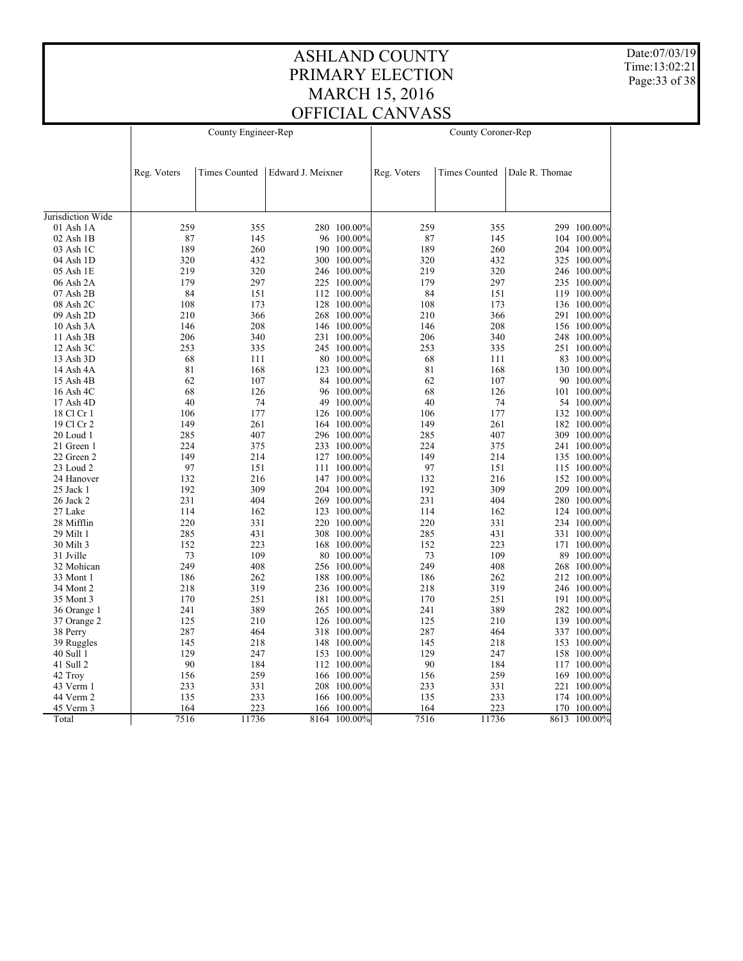Date:07/03/19 Time:13:02:21 Page:33 of 38

|                   |             | County Engineer-Rep  |                   |             |             | County Coroner-Rep   |                |              |
|-------------------|-------------|----------------------|-------------------|-------------|-------------|----------------------|----------------|--------------|
|                   |             |                      |                   |             |             |                      |                |              |
|                   |             |                      |                   |             |             |                      |                |              |
|                   | Reg. Voters | <b>Times Counted</b> | Edward J. Meixner |             | Reg. Voters | <b>Times Counted</b> | Dale R. Thomae |              |
|                   |             |                      |                   |             |             |                      |                |              |
|                   |             |                      |                   |             |             |                      |                |              |
| Jurisdiction Wide |             |                      |                   |             |             |                      |                |              |
| 01 Ash 1A         | 259         | 355                  |                   | 280 100.00% | 259         | 355                  |                | 299 100.00%  |
| $02$ Ash $1B$     | 87          | 145                  |                   | 96 100.00%  | 87          | 145                  |                | 104 100.00%  |
| 03 Ash 1C         | 189         | 260                  |                   | 190 100.00% | 189         | 260                  |                | 204 100.00%  |
| 04 Ash 1D         | 320         | 432                  |                   | 300 100.00% | 320         | 432                  |                | 325 100.00%  |
| 05 Ash 1E         | 219         | 320                  |                   | 246 100.00% | 219         | 320                  |                | 246 100.00%  |
| 06 Ash 2A         | 179         | 297                  |                   | 225 100.00% | 179         | 297                  |                | 235 100.00%  |
| 07 Ash 2B         | 84          | 151                  |                   | 112 100.00% | 84          | 151                  |                | 119 100.00%  |
| 08 Ash 2C         | 108         | 173                  |                   | 128 100.00% | 108         | 173                  |                | 136 100.00%  |
| 09 Ash 2D         | 210         | 366                  |                   | 268 100.00% | 210         | 366                  |                | 291 100.00%  |
| 10 Ash 3A         | 146         | 208                  |                   | 146 100.00% | 146         | 208                  |                | 156 100.00%  |
| 11 Ash 3B         | 206         | 340                  |                   | 231 100.00% | 206         | 340                  |                | 248 100.00%  |
| 12 Ash 3C         | 253         | 335                  |                   | 245 100.00% | 253         | 335                  |                | 251 100.00%  |
| 13 Ash 3D         | 68          | 111                  |                   | 80 100.00%  | 68          | 111                  |                | 83 100.00%   |
| 14 Ash 4A         | 81          | 168                  |                   | 123 100.00% | 81          | 168                  |                | 130 100.00%  |
| 15 Ash 4B         | 62          | 107                  |                   | 84 100.00%  | 62          | 107                  |                | 90 100.00%   |
| 16 Ash 4C         | 68          | 126                  |                   | 96 100.00%  | 68          | 126                  |                | 101 100.00%  |
| 17 Ash 4D         | 40          | 74                   |                   | 49 100.00%  | 40          | 74                   |                | 54 100.00%   |
| 18 Cl Cr 1        | 106         | 177                  |                   | 126 100.00% | 106         | 177                  |                | 132 100.00%  |
| 19 Cl Cr 2        | 149         | 261                  |                   | 164 100.00% | 149         | 261                  |                | 182 100.00%  |
| 20 Loud 1         | 285         | 407                  |                   | 296 100.00% | 285         | 407                  |                | 309 100.00%  |
| 21 Green 1        | 224         | 375                  |                   | 233 100.00% | 224         | 375                  |                | 241 100.00%  |
| 22 Green 2        | 149         | 214                  |                   | 127 100.00% | 149         | 214                  |                | 135 100.00%  |
| 23 Loud 2         | 97          | 151                  |                   | 111 100.00% | 97          | 151                  |                | 115 100.00%  |
| 24 Hanover        | 132         | 216                  |                   | 147 100.00% | 132         | 216                  |                | 152 100.00%  |
| 25 Jack 1         | 192         | 309                  |                   | 204 100.00% | 192         | 309                  |                | 209 100.00%  |
| 26 Jack 2         | 231         | 404                  |                   | 269 100.00% | 231         | 404                  |                | 280 100.00%  |
| 27 Lake           | 114         | 162                  |                   | 123 100.00% | 114         | 162                  |                | 124 100.00%  |
| 28 Mifflin        | 220         | 331                  |                   | 220 100.00% | 220         | 331                  |                | 234 100.00%  |
| 29 Milt 1         | 285         | 431                  |                   | 308 100.00% | 285         | 431                  |                | 331 100.00%  |
| 30 Milt 3         | 152         | 223                  |                   | 168 100.00% | 152         | 223                  |                | 171 100.00%  |
| 31 Jville         | 73          | 109                  |                   | 80 100.00%  | 73          | 109                  | 89             | $100.00\%$   |
| 32 Mohican        | 249         | 408                  |                   | 256 100.00% | 249         | 408                  |                | 268 100.00%  |
| 33 Mont 1         | 186         | 262                  |                   | 188 100.00% | 186         | 262                  |                | 212 100.00%  |
| 34 Mont 2         | 218         | 319                  |                   | 236 100.00% | 218         | 319                  |                | 246 100.00%  |
| 35 Mont 3         | 170         | 251                  |                   | 181 100.00% | 170         | 251                  |                | 191 100.00%  |
| 36 Orange 1       | 241         | 389                  |                   | 265 100.00% | 241         | 389                  |                | 282 100.00%  |
| 37 Orange 2       | 125         | 210                  |                   | 126 100.00% | 125         | 210                  |                | 139 100.00%  |
| 38 Perry          | 287         | 464                  |                   | 318 100.00% | 287         | 464                  |                | 337 100.00%  |
| 39 Ruggles        | 145         | 218                  |                   | 148 100.00% | 145         | 218                  |                | 153 100.00%  |
| 40 Sull 1         | 129         | 247                  |                   | 153 100.00% | 129         | 247                  |                | 158 100.00%  |
| 41 Sull 2         | 90          | 184                  |                   | 112 100.00% | 90          | 184                  |                | 117 100.00%  |
| 42 Troy           | 156         | 259                  |                   | 166 100.00% | 156         | 259                  |                | 169 100.00%  |
| 43 Verm 1         | 233         | 331                  |                   | 208 100.00% | 233         | 331                  |                | 221 100.00%  |
| 44 Verm 2         | 135         | 233                  |                   | 166 100.00% | 135         | 233                  |                | 174 100.00%  |
| 45 Verm 3         | 164         | 223                  | 166               | 100.00%     | 164         | 223                  | 170            | 100.00%      |
| Total             | 7516        | 11736                | 8164              | $100.00\%$  | 7516        | 11736                |                | 8613 100.00% |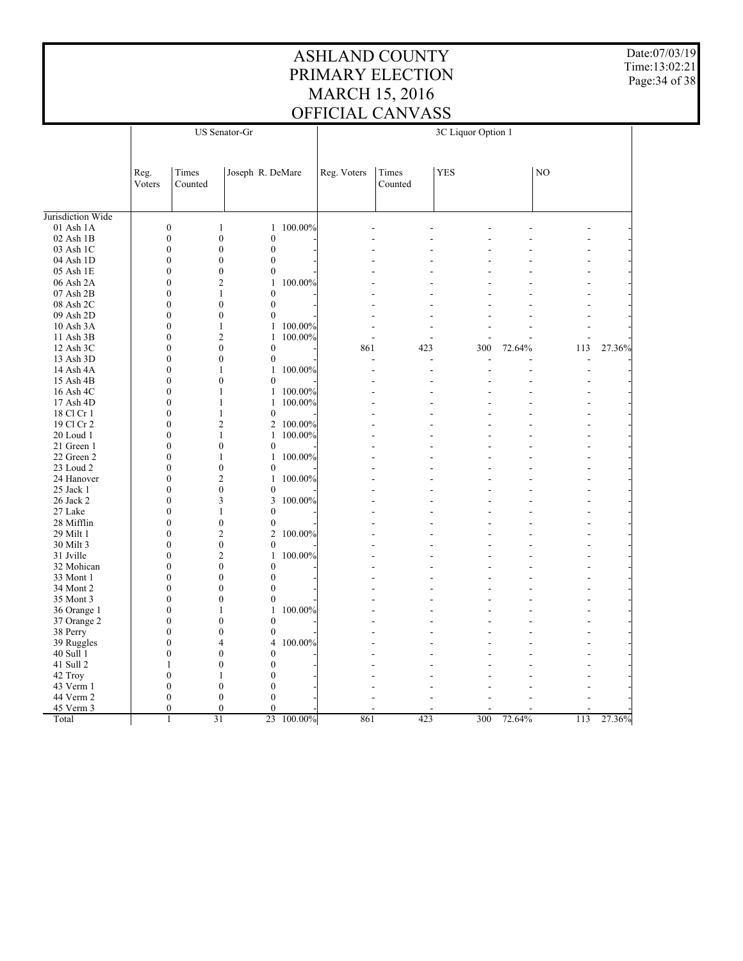Date:07/03/19 Time:13:02:21 Page:34 of 38

|                   | <b>US</b> Senator-Gr |                  |                  |                  |            | 3C Liquor Option 1 |         |            |        |     |        |  |
|-------------------|----------------------|------------------|------------------|------------------|------------|--------------------|---------|------------|--------|-----|--------|--|
|                   |                      |                  |                  |                  |            |                    |         |            |        |     |        |  |
|                   |                      |                  |                  |                  |            |                    |         |            |        |     |        |  |
|                   | Reg.                 | Times            |                  | Joseph R. DeMare |            | Reg. Voters        | Times   | <b>YES</b> |        | NO  |        |  |
|                   | Voters               | Counted          |                  |                  |            |                    | Counted |            |        |     |        |  |
|                   |                      |                  |                  |                  |            |                    |         |            |        |     |        |  |
| Jurisdiction Wide |                      |                  |                  |                  |            |                    |         |            |        |     |        |  |
| 01 Ash 1A         |                      | $\mathbf{0}$     | $\mathbf{1}$     | 1                | 100.00%    |                    |         |            |        |     |        |  |
| 02 Ash 1B         |                      | $\boldsymbol{0}$ | $\boldsymbol{0}$ | $\boldsymbol{0}$ |            |                    |         |            |        |     |        |  |
| 03 Ash 1C         |                      | $\mathbf{0}$     | $\mathbf{0}$     | $\mathbf{0}$     |            |                    |         |            |        |     |        |  |
| 04 Ash 1D         |                      | $\boldsymbol{0}$ | $\boldsymbol{0}$ | $\boldsymbol{0}$ |            |                    |         |            |        |     |        |  |
| 05 Ash 1E         |                      | $\mathbf{0}$     | $\mathbf{0}$     | $\mathbf{0}$     |            |                    |         |            |        |     |        |  |
| 06 Ash 2A         |                      | $\mathbf{0}$     | $\overline{2}$   | 1                | 100.00%    |                    |         |            |        |     |        |  |
| 07 Ash 2B         |                      | $\boldsymbol{0}$ | $\mathbf{1}$     | $\mathbf{0}$     |            |                    |         |            |        |     |        |  |
| 08 Ash 2C         |                      | $\mathbf{0}$     | $\mathbf{0}$     | $\overline{0}$   |            |                    |         |            |        |     |        |  |
| 09 Ash 2D         |                      | $\mathbf{0}$     | $\mathbf{0}$     | $\mathbf{0}$     |            |                    |         |            |        |     |        |  |
| 10 Ash 3A         |                      | $\boldsymbol{0}$ | $\mathbf{1}$     | $\mathbf{1}$     | 100.00%    |                    |         |            |        |     |        |  |
| 11 Ash 3B         |                      | $\mathbf{0}$     | $\overline{2}$   | $\mathbf{1}$     | 100.00%    |                    |         |            |        |     |        |  |
| 12 Ash 3C         |                      | $\mathbf{0}$     | $\mathbf{0}$     | $\mathbf{0}$     |            | 861                | 423     | 300        | 72.64% | 113 | 27.36% |  |
| 13 Ash 3D         |                      | $\boldsymbol{0}$ | $\boldsymbol{0}$ | $\boldsymbol{0}$ |            |                    |         |            |        |     |        |  |
| 14 Ash 4A         |                      | $\mathbf{0}$     | 1                |                  | 1 100.00%  |                    | L.      | L.         |        | ÷,  |        |  |
| 15 Ash 4B         |                      | $\mathbf{0}$     | $\theta$         | $\mathbf{0}$     |            |                    |         |            |        |     |        |  |
| 16 Ash 4C         |                      | $\boldsymbol{0}$ | $\mathbf{1}$     |                  | 1 100.00%  |                    |         |            |        |     |        |  |
| 17 Ash 4D         |                      | $\mathbf{0}$     | $\mathbf{1}$     | $\mathbf{1}$     | 100.00%    |                    |         |            |        |     |        |  |
| 18 Cl Cr 1        |                      | $\mathbf{0}$     | 1                | $\mathbf{0}$     |            |                    |         |            |        |     |        |  |
| 19 Cl Cr 2        |                      | $\boldsymbol{0}$ | $\overline{2}$   |                  | 2 100.00%  |                    |         |            |        |     |        |  |
| 20 Loud 1         |                      | $\mathbf{0}$     | $\mathbf{1}$     | 1                | 100.00%    |                    |         |            |        |     |        |  |
| 21 Green 1        |                      | $\mathbf{0}$     | $\mathbf{0}$     | $\mathbf{0}$     |            |                    |         |            |        |     |        |  |
| 22 Green 2        |                      | $\mathbf{0}$     | $\mathbf{1}$     |                  | 1 100.00%  |                    |         |            |        |     |        |  |
| 23 Loud 2         |                      | $\boldsymbol{0}$ | $\boldsymbol{0}$ | $\mathbf{0}$     |            |                    |         |            |        |     |        |  |
|                   |                      | $\mathbf{0}$     | $\overline{2}$   | $\mathbf{1}$     | 100.00%    |                    |         |            |        |     |        |  |
| 24 Hanover        |                      | $\mathbf{0}$     | $\mathbf{0}$     |                  |            |                    |         |            |        |     |        |  |
| 25 Jack 1         |                      |                  |                  | $\boldsymbol{0}$ |            |                    |         |            |        |     |        |  |
| 26 Jack 2         |                      | $\mathbf{0}$     | 3                | 3                | 100.00%    |                    |         |            |        |     |        |  |
| 27 Lake           |                      | $\mathbf{0}$     | 1                | $\theta$         |            |                    |         |            |        |     |        |  |
| 28 Mifflin        |                      | $\boldsymbol{0}$ | $\boldsymbol{0}$ | $\boldsymbol{0}$ |            |                    |         |            |        |     |        |  |
| 29 Milt 1         |                      | $\mathbf{0}$     | $\overline{2}$   | $\overline{c}$   | 100.00%    |                    |         |            |        |     |        |  |
| 30 Milt 3         |                      | $\mathbf{0}$     | $\boldsymbol{0}$ | $\mathbf{0}$     |            |                    |         |            |        |     |        |  |
| 31 Jville         |                      | $\boldsymbol{0}$ | $\overline{2}$   | $\mathbf{1}$     | 100.00%    |                    |         |            |        |     |        |  |
| 32 Mohican        |                      | $\mathbf{0}$     | $\mathbf{0}$     | $\mathbf{0}$     |            |                    |         |            |        |     |        |  |
| 33 Mont 1         |                      | $\mathbf{0}$     | $\mathbf{0}$     | $\mathbf{0}$     |            |                    |         |            |        |     |        |  |
| 34 Mont 2         |                      | $\boldsymbol{0}$ | $\theta$         | $\theta$         |            |                    |         |            |        |     |        |  |
| 35 Mont 3         |                      | $\boldsymbol{0}$ | $\mathbf{0}$     | $\mathbf{0}$     |            |                    |         |            |        |     |        |  |
| 36 Orange 1       |                      | $\mathbf{0}$     | 1                | 1                | 100.00%    |                    |         |            |        |     |        |  |
| 37 Orange 2       |                      | $\boldsymbol{0}$ | $\boldsymbol{0}$ | $\boldsymbol{0}$ |            |                    |         |            |        |     |        |  |
| 38 Perry          |                      | $\boldsymbol{0}$ | $\mathbf{0}$     | $\boldsymbol{0}$ |            |                    |         |            |        |     |        |  |
| 39 Ruggles        |                      | $\overline{0}$   | $\overline{4}$   | $\overline{4}$   | 100.00%    |                    |         |            |        |     |        |  |
| 40 Sull 1         |                      | $\boldsymbol{0}$ | $\boldsymbol{0}$ | $\boldsymbol{0}$ |            |                    |         |            |        |     |        |  |
| 41 Sull 2         |                      | $\mathbf{1}$     | $\mathbf{0}$     | $\mathbf{0}$     |            |                    |         |            |        |     |        |  |
| 42 Troy           |                      | $\mathbf{0}$     | 1                | $\theta$         |            |                    |         |            |        |     |        |  |
| 43 Verm 1         |                      | $\boldsymbol{0}$ | $\boldsymbol{0}$ | $\boldsymbol{0}$ |            |                    |         |            |        |     |        |  |
| 44 Verm 2         |                      | $\boldsymbol{0}$ | $\mathbf{0}$     | $\theta$         |            |                    |         |            |        |     |        |  |
| 45 Verm 3         |                      | $\theta$         | $\mathbf{0}$     | $\theta$         |            |                    |         |            |        |     |        |  |
| Total             |                      | 1                | $\overline{31}$  |                  | 23 100.00% | 861                | 423     | 300        | 72.64% | 113 | 27.36% |  |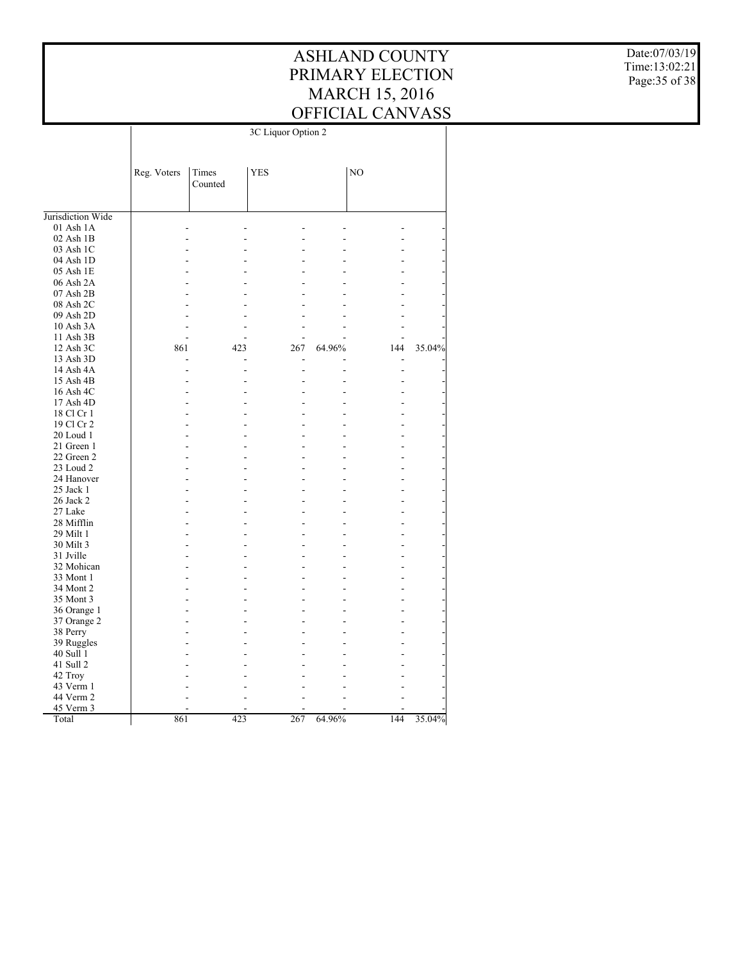Date:07/03/19 Time:13:02:21 Page:35 of 38

| NO<br>Reg. Voters<br>Times<br><b>YES</b><br>Counted<br>Jurisdiction Wide<br>01 Ash 1A<br>J.<br>02 Ash 1B<br>03 Ash 1C<br>04 Ash 1D<br>05 Ash 1E<br>06 Ash 2A<br>$07$ Ash $2B$<br>08 Ash 2C<br>09 Ash 2D<br>10 Ash 3A<br>11 Ash 3B<br>861<br>12 Ash 3C<br>423<br>267<br>64.96%<br>144<br>13 Ash 3D<br>٠<br>14 Ash 4A<br>-<br>Ĭ.<br>15 Ash 4B<br>J.<br>16 Ash 4C<br>17 Ash 4D<br>18 Cl Cr 1<br>19 Cl Cr 2<br>J.<br>$20$ Loud 1<br>21 Green 1<br>22 Green 2<br>23 Loud 2<br>24 Hanover<br>25 Jack 1<br>26 Jack 2<br>27 Lake<br>28 Mifflin<br>29 Milt 1<br>30 Milt 3<br>31 Jville<br>32 Mohican<br>33 Mont 1<br>34 Mont 2<br>35 Mont 3<br>36 Orange 1<br>37 Orange 2<br>38 Perry<br>39 Ruggles<br>40 Sull 1<br>41 Sull 2<br>42 Troy<br>43 Verm 1<br>44 Verm 2<br>45 Verm 3<br>Total<br>861<br>423<br>267<br>64.96%<br>144 | 3C Liquor Option 2 |  |  |  |  |  |
|-----------------------------------------------------------------------------------------------------------------------------------------------------------------------------------------------------------------------------------------------------------------------------------------------------------------------------------------------------------------------------------------------------------------------------------------------------------------------------------------------------------------------------------------------------------------------------------------------------------------------------------------------------------------------------------------------------------------------------------------------------------------------------------------------------------------------|--------------------|--|--|--|--|--|
|                                                                                                                                                                                                                                                                                                                                                                                                                                                                                                                                                                                                                                                                                                                                                                                                                       |                    |  |  |  |  |  |
|                                                                                                                                                                                                                                                                                                                                                                                                                                                                                                                                                                                                                                                                                                                                                                                                                       |                    |  |  |  |  |  |
| 35.04%<br>35.04%                                                                                                                                                                                                                                                                                                                                                                                                                                                                                                                                                                                                                                                                                                                                                                                                      |                    |  |  |  |  |  |
|                                                                                                                                                                                                                                                                                                                                                                                                                                                                                                                                                                                                                                                                                                                                                                                                                       |                    |  |  |  |  |  |
|                                                                                                                                                                                                                                                                                                                                                                                                                                                                                                                                                                                                                                                                                                                                                                                                                       |                    |  |  |  |  |  |
|                                                                                                                                                                                                                                                                                                                                                                                                                                                                                                                                                                                                                                                                                                                                                                                                                       |                    |  |  |  |  |  |
|                                                                                                                                                                                                                                                                                                                                                                                                                                                                                                                                                                                                                                                                                                                                                                                                                       |                    |  |  |  |  |  |
|                                                                                                                                                                                                                                                                                                                                                                                                                                                                                                                                                                                                                                                                                                                                                                                                                       |                    |  |  |  |  |  |
|                                                                                                                                                                                                                                                                                                                                                                                                                                                                                                                                                                                                                                                                                                                                                                                                                       |                    |  |  |  |  |  |
|                                                                                                                                                                                                                                                                                                                                                                                                                                                                                                                                                                                                                                                                                                                                                                                                                       |                    |  |  |  |  |  |
|                                                                                                                                                                                                                                                                                                                                                                                                                                                                                                                                                                                                                                                                                                                                                                                                                       |                    |  |  |  |  |  |
|                                                                                                                                                                                                                                                                                                                                                                                                                                                                                                                                                                                                                                                                                                                                                                                                                       |                    |  |  |  |  |  |
|                                                                                                                                                                                                                                                                                                                                                                                                                                                                                                                                                                                                                                                                                                                                                                                                                       |                    |  |  |  |  |  |
|                                                                                                                                                                                                                                                                                                                                                                                                                                                                                                                                                                                                                                                                                                                                                                                                                       |                    |  |  |  |  |  |
|                                                                                                                                                                                                                                                                                                                                                                                                                                                                                                                                                                                                                                                                                                                                                                                                                       |                    |  |  |  |  |  |
|                                                                                                                                                                                                                                                                                                                                                                                                                                                                                                                                                                                                                                                                                                                                                                                                                       |                    |  |  |  |  |  |
|                                                                                                                                                                                                                                                                                                                                                                                                                                                                                                                                                                                                                                                                                                                                                                                                                       |                    |  |  |  |  |  |
|                                                                                                                                                                                                                                                                                                                                                                                                                                                                                                                                                                                                                                                                                                                                                                                                                       |                    |  |  |  |  |  |
|                                                                                                                                                                                                                                                                                                                                                                                                                                                                                                                                                                                                                                                                                                                                                                                                                       |                    |  |  |  |  |  |
|                                                                                                                                                                                                                                                                                                                                                                                                                                                                                                                                                                                                                                                                                                                                                                                                                       |                    |  |  |  |  |  |
|                                                                                                                                                                                                                                                                                                                                                                                                                                                                                                                                                                                                                                                                                                                                                                                                                       |                    |  |  |  |  |  |
|                                                                                                                                                                                                                                                                                                                                                                                                                                                                                                                                                                                                                                                                                                                                                                                                                       |                    |  |  |  |  |  |
|                                                                                                                                                                                                                                                                                                                                                                                                                                                                                                                                                                                                                                                                                                                                                                                                                       |                    |  |  |  |  |  |
|                                                                                                                                                                                                                                                                                                                                                                                                                                                                                                                                                                                                                                                                                                                                                                                                                       |                    |  |  |  |  |  |
|                                                                                                                                                                                                                                                                                                                                                                                                                                                                                                                                                                                                                                                                                                                                                                                                                       |                    |  |  |  |  |  |
|                                                                                                                                                                                                                                                                                                                                                                                                                                                                                                                                                                                                                                                                                                                                                                                                                       |                    |  |  |  |  |  |
|                                                                                                                                                                                                                                                                                                                                                                                                                                                                                                                                                                                                                                                                                                                                                                                                                       |                    |  |  |  |  |  |
|                                                                                                                                                                                                                                                                                                                                                                                                                                                                                                                                                                                                                                                                                                                                                                                                                       |                    |  |  |  |  |  |
|                                                                                                                                                                                                                                                                                                                                                                                                                                                                                                                                                                                                                                                                                                                                                                                                                       |                    |  |  |  |  |  |
|                                                                                                                                                                                                                                                                                                                                                                                                                                                                                                                                                                                                                                                                                                                                                                                                                       |                    |  |  |  |  |  |
|                                                                                                                                                                                                                                                                                                                                                                                                                                                                                                                                                                                                                                                                                                                                                                                                                       |                    |  |  |  |  |  |
|                                                                                                                                                                                                                                                                                                                                                                                                                                                                                                                                                                                                                                                                                                                                                                                                                       |                    |  |  |  |  |  |
|                                                                                                                                                                                                                                                                                                                                                                                                                                                                                                                                                                                                                                                                                                                                                                                                                       |                    |  |  |  |  |  |
|                                                                                                                                                                                                                                                                                                                                                                                                                                                                                                                                                                                                                                                                                                                                                                                                                       |                    |  |  |  |  |  |
|                                                                                                                                                                                                                                                                                                                                                                                                                                                                                                                                                                                                                                                                                                                                                                                                                       |                    |  |  |  |  |  |
|                                                                                                                                                                                                                                                                                                                                                                                                                                                                                                                                                                                                                                                                                                                                                                                                                       |                    |  |  |  |  |  |
|                                                                                                                                                                                                                                                                                                                                                                                                                                                                                                                                                                                                                                                                                                                                                                                                                       |                    |  |  |  |  |  |
|                                                                                                                                                                                                                                                                                                                                                                                                                                                                                                                                                                                                                                                                                                                                                                                                                       |                    |  |  |  |  |  |
|                                                                                                                                                                                                                                                                                                                                                                                                                                                                                                                                                                                                                                                                                                                                                                                                                       |                    |  |  |  |  |  |
|                                                                                                                                                                                                                                                                                                                                                                                                                                                                                                                                                                                                                                                                                                                                                                                                                       |                    |  |  |  |  |  |
|                                                                                                                                                                                                                                                                                                                                                                                                                                                                                                                                                                                                                                                                                                                                                                                                                       |                    |  |  |  |  |  |
|                                                                                                                                                                                                                                                                                                                                                                                                                                                                                                                                                                                                                                                                                                                                                                                                                       |                    |  |  |  |  |  |
|                                                                                                                                                                                                                                                                                                                                                                                                                                                                                                                                                                                                                                                                                                                                                                                                                       |                    |  |  |  |  |  |
|                                                                                                                                                                                                                                                                                                                                                                                                                                                                                                                                                                                                                                                                                                                                                                                                                       |                    |  |  |  |  |  |
|                                                                                                                                                                                                                                                                                                                                                                                                                                                                                                                                                                                                                                                                                                                                                                                                                       |                    |  |  |  |  |  |
|                                                                                                                                                                                                                                                                                                                                                                                                                                                                                                                                                                                                                                                                                                                                                                                                                       |                    |  |  |  |  |  |
|                                                                                                                                                                                                                                                                                                                                                                                                                                                                                                                                                                                                                                                                                                                                                                                                                       |                    |  |  |  |  |  |
|                                                                                                                                                                                                                                                                                                                                                                                                                                                                                                                                                                                                                                                                                                                                                                                                                       |                    |  |  |  |  |  |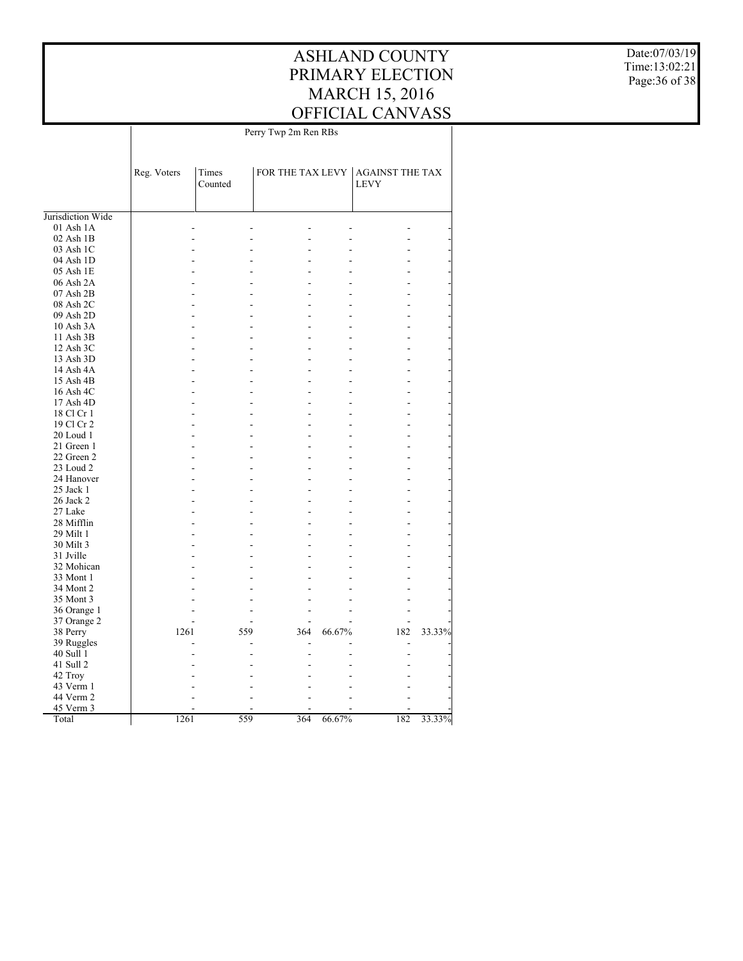Date:07/03/19 Time:13:02:21 Page:36 of 38

|                         | Perry Twp 2m Ren RBs |                  |     |        |                                                 |        |
|-------------------------|----------------------|------------------|-----|--------|-------------------------------------------------|--------|
|                         | Reg. Voters          | Times<br>Counted |     |        | FOR THE TAX LEVY AGAINST THE TAX<br><b>LEVY</b> |        |
| Jurisdiction Wide       |                      |                  |     |        |                                                 |        |
| $01$ Ash $1A$           |                      |                  |     |        |                                                 |        |
| 02 Ash 1B               |                      |                  |     |        |                                                 |        |
| 03 Ash 1C               |                      |                  |     |        |                                                 |        |
| 04 Ash 1D               |                      |                  |     |        |                                                 |        |
| 05 Ash 1E               |                      |                  |     |        |                                                 |        |
| 06 Ash 2A               |                      |                  |     |        |                                                 |        |
| 07 Ash 2B               |                      |                  |     |        |                                                 |        |
| 08 Ash 2C               |                      |                  |     |        |                                                 |        |
| 09 Ash 2D               |                      |                  |     |        |                                                 |        |
| 10 Ash 3A               |                      |                  | L.  |        |                                                 |        |
| 11 Ash 3B               |                      |                  |     |        |                                                 |        |
| 12 Ash 3C               |                      |                  |     |        |                                                 |        |
| 13 Ash 3D               |                      |                  |     |        |                                                 |        |
| 14 Ash 4A               |                      |                  |     |        |                                                 |        |
| 15 Ash 4B               |                      |                  |     |        |                                                 |        |
| 16 Ash 4C               |                      |                  |     |        |                                                 |        |
| 17 Ash 4D               |                      |                  |     |        |                                                 |        |
| 18 Cl Cr 1              |                      |                  |     |        |                                                 |        |
| 19 Cl Cr 2<br>20 Loud 1 |                      |                  |     |        |                                                 |        |
| 21 Green 1              |                      |                  | L,  |        |                                                 |        |
| 22 Green 2              |                      |                  |     |        |                                                 |        |
| 23 Loud 2               |                      |                  |     |        |                                                 |        |
| 24 Hanover              |                      |                  | L.  |        |                                                 |        |
| 25 Jack 1               |                      |                  |     |        |                                                 |        |
| 26 Jack 2               |                      |                  |     |        |                                                 |        |
| 27 Lake                 |                      |                  |     |        |                                                 |        |
| 28 Mifflin              |                      |                  |     |        |                                                 |        |
| 29 Milt 1               |                      |                  |     |        |                                                 |        |
| 30 Milt 3               |                      |                  |     |        |                                                 |        |
| 31 Jville               |                      |                  |     |        |                                                 |        |
| 32 Mohican              |                      |                  |     |        |                                                 |        |
| 33 Mont 1               |                      |                  |     |        |                                                 |        |
| 34 Mont 2               |                      |                  |     |        |                                                 |        |
| 35 Mont 3               |                      |                  |     |        |                                                 |        |
| 36 Orange 1             |                      |                  |     |        |                                                 |        |
| 37 Orange 2             |                      |                  |     |        |                                                 |        |
| 38 Perry                | 1261                 | 559              | 364 | 66.67% | 182                                             | 33.33% |
| 39 Ruggles              |                      |                  |     |        |                                                 |        |
| 40 Sull 1               |                      |                  |     |        |                                                 |        |
| 41 Sull 2               |                      |                  |     |        |                                                 |        |
| 42 Troy                 |                      |                  |     |        |                                                 |        |
| 43 Verm 1               |                      |                  |     |        |                                                 |        |
| 44 Verm 2               |                      |                  |     |        |                                                 |        |
| 45 Verm 3               |                      |                  |     |        |                                                 |        |
| Total                   | 1261                 | 559              | 364 | 66.67% | 182                                             | 33.33% |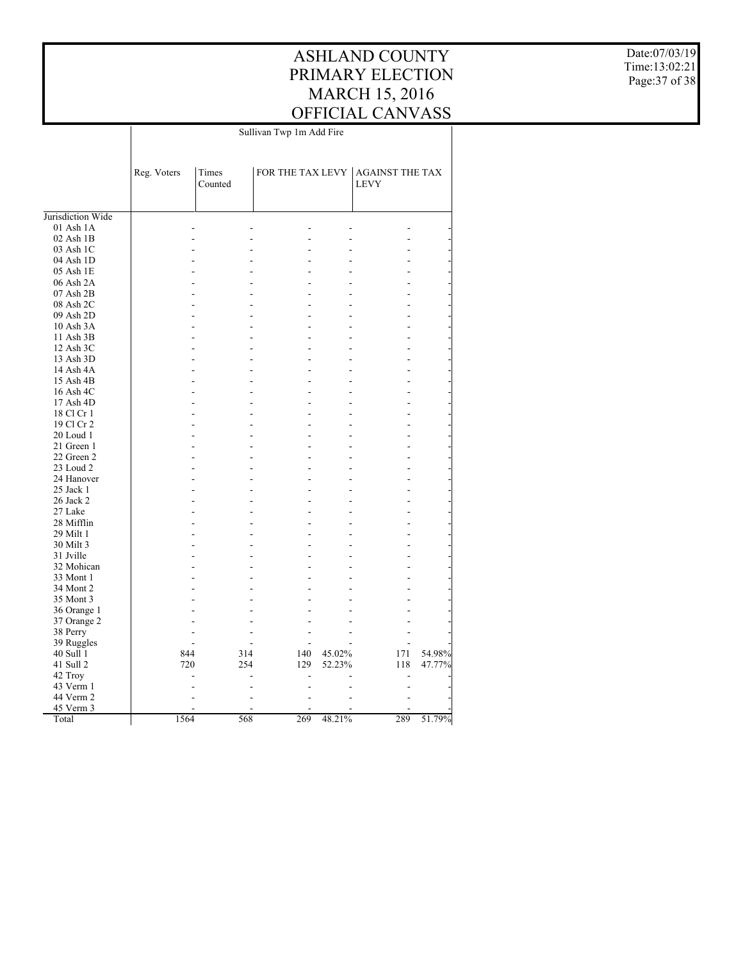Date:07/03/19 Time:13:02:21 Page:37 of 38

|                        | Sullivan Twp 1m Add Fire |                  |                |        |                                                 |        |
|------------------------|--------------------------|------------------|----------------|--------|-------------------------------------------------|--------|
|                        | Reg. Voters              | Times<br>Counted |                |        | FOR THE TAX LEVY AGAINST THE TAX<br><b>LEVY</b> |        |
|                        |                          |                  |                |        |                                                 |        |
| Jurisdiction Wide      |                          |                  |                |        |                                                 |        |
| 01 Ash 1A<br>02 Ash 1B |                          |                  |                |        |                                                 |        |
| 03 Ash 1C              |                          |                  |                |        |                                                 |        |
| 04 Ash 1D              |                          |                  |                |        |                                                 |        |
| 05 Ash 1E              |                          |                  |                |        |                                                 |        |
| 06 Ash 2A              |                          |                  |                |        | ٠                                               |        |
| $07$ Ash $2B$          |                          |                  |                |        |                                                 |        |
| 08 Ash 2C              |                          |                  |                |        |                                                 |        |
| 09 Ash 2D              |                          |                  |                |        |                                                 |        |
| 10 Ash 3A              |                          |                  | -              |        | L,                                              |        |
|                        |                          |                  |                |        |                                                 |        |
| 11 Ash 3B              |                          |                  |                |        |                                                 |        |
| 12 Ash 3C<br>13 Ash 3D |                          |                  |                |        | ÷                                               |        |
| 14 Ash 4A              |                          |                  |                |        |                                                 |        |
| 15 Ash 4B              |                          |                  |                |        | -                                               |        |
|                        |                          |                  |                |        | $\overline{a}$                                  |        |
| 16 Ash 4C              |                          |                  |                |        |                                                 |        |
| 17 Ash 4D              |                          |                  | ۷              |        | ÷.                                              |        |
| 18 Cl Cr 1             |                          |                  |                |        |                                                 |        |
| 19 Cl Cr 2             |                          |                  |                |        | L,                                              |        |
| 20 Loud 1              |                          |                  | ٠              |        | $\overline{a}$                                  |        |
| 21 Green 1             |                          |                  |                |        |                                                 |        |
| 22 Green 2             |                          |                  | ٠              |        | ÷                                               |        |
| 23 Loud 2              |                          |                  |                |        | -                                               |        |
| 24 Hanover             |                          |                  | ٠              |        | $\overline{a}$                                  |        |
| 25 Jack 1              |                          |                  |                |        |                                                 |        |
| 26 Jack 2              |                          |                  |                |        | -                                               |        |
| 27 Lake                |                          |                  |                |        |                                                 |        |
| 28 Mifflin             |                          |                  |                |        |                                                 |        |
| 29 Milt 1              |                          |                  | $\overline{a}$ |        | ٠                                               |        |
| 30 Milt 3              |                          |                  |                |        | $\overline{a}$                                  |        |
| 31 Jville              |                          |                  |                |        | ٠                                               |        |
| 32 Mohican             |                          |                  |                |        |                                                 |        |
| 33 Mont 1              |                          |                  |                |        |                                                 |        |
| 34 Mont 2              |                          |                  |                |        |                                                 |        |
| 35 Mont 3              |                          |                  |                |        |                                                 |        |
| 36 Orange 1            |                          |                  |                |        |                                                 |        |
| 37 Orange 2            |                          |                  |                |        |                                                 |        |
| 38 Perry               |                          |                  |                |        |                                                 |        |
| 39 Ruggles             |                          |                  |                |        |                                                 |        |
| 40 Sull 1              | 844                      | 314              | 140            | 45.02% | 171                                             | 54.98% |
| 41 Sull 2              | 720                      | 254              | 129            | 52.23% | 118                                             | 47.77% |
| 42 Troy                |                          |                  |                |        |                                                 |        |
| 43 Verm 1              |                          |                  |                |        |                                                 |        |
| 44 Verm 2              |                          |                  |                |        |                                                 |        |
| 45 Verm 3              |                          |                  | 269            |        |                                                 | 51.79% |
| Total                  | 1564                     | 568              |                | 48.21% | 289                                             |        |